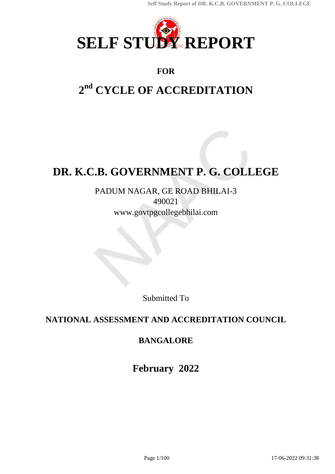

# **FOR**

# **2 nd CYCLE OF ACCREDITATION**

# **DR. K.C.B. GOVERNMENT P. G. COLLEGE**

PADUM NAGAR, GE ROAD BHILAI-3 490021 www.govtpgcollegebhilai.com

Submitted To

# **NATIONAL ASSESSMENT AND ACCREDITATION COUNCIL**

# **BANGALORE**

**February 2022**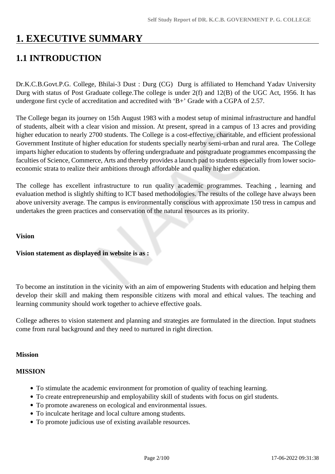# **1. EXECUTIVE SUMMARY**

# **1.1 INTRODUCTION**

Dr.K.C.B.Govt.P.G. College, Bhilai-3 Dust : Durg (CG) Durg is affiliated to Hemchand Yadav University Durg with status of Post Graduate college.The college is under 2(f) and 12(B) of the UGC Act, 1956. It has undergone first cycle of accreditation and accredited with 'B+' Grade with a CGPA of 2.57.

The College began its journey on 15th August 1983 with a modest setup of minimal infrastructure and handful of students, albeit with a clear vision and mission. At present, spread in a campus of 13 acres and providing higher education to nearly 2700 students. The College is a cost-effective, charitable, and efficient professional Government Institute of higher education for students specially nearby semi-urban and rural area. The College imparts higher education to students by offering undergraduate and postgraduate programmes encompassing the faculties of Science, Commerce, Arts and thereby provides a launch pad to students especially from lower socioeconomic strata to realize their ambitions through affordable and quality higher education.

The college has excellent infrastructure to run quality academic programmes. Teaching , learning and evaluation method is slightly shifting to ICT based methodologies. The results of the college have always been above university average. The campus is environmentally conscious with approximate 150 tress in campus and undertakes the green practices and conservation of the natural resources as its priority.

#### **Vision**

#### **Vision statement as displayed in website is as :**

To become an institution in the vicinity with an aim of empowering Students with education and helping them develop their skill and making them responsible citizens with moral and ethical values. The teaching and learning community should work together to achieve effective goals.

College adheres to vision statement and planning and strategies are formulated in the direction. Input studnets come from rural background and they need to nurtured in right direction.

#### **Mission**

#### **MISSION**

- To stimulate the academic environment for promotion of quality of teaching learning.
- To create entrepreneurship and employability skill of students with focus on girl students.
- To promote awareness on ecological and environmental issues.
- To inculcate heritage and local culture among students.
- To promote judicious use of existing available resources.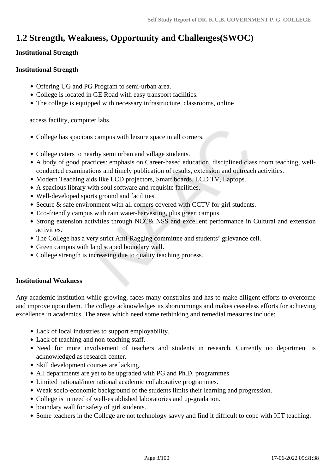# **1.2 Strength, Weakness, Opportunity and Challenges(SWOC)**

#### **Institutional Strength**

#### **Institutional Strength**

- Offering UG and PG Program to semi-urban area.
- College is located in GE Road with easy transport facilities.
- The college is equipped with necessary infrastructure, classrooms, online

access facility, computer labs.

- College has spacious campus with leisure space in all corners.
- College caters to nearby semi urban and village students.
- A body of good practices: emphasis on Career-based education, disciplined class room teaching, wellconducted examinations and timely publication of results, extension and outreach activities.
- Modern Teaching aids like LCD projectors, Smart boards, LCD TV, Laptops.
- A spacious library with soul software and requisite facilities.
- Well-developed sports ground and facilities.
- Secure & safe environment with all corners covered with CCTV for girl students.
- Eco-friendly campus with rain water-harvesting, plus green campus.
- Strong extension activities through NCC& NSS and excellent performance in Cultural and extension activities.
- The College has a very strict Anti-Ragging committee and students' grievance cell.
- Green campus with land scaped boundary wall.
- College strength is increasing due to quality teaching process.

#### **Institutional Weakness**

Any academic institution while growing, faces many constrains and has to make diligent efforts to overcome and improve upon them. The college acknowledges its shortcomings and makes ceaseless efforts for achieving excellence in academics. The areas which need some rethinking and remedial measures include:

- Lack of local industries to support employability.
- Lack of teaching and non-teaching staff.
- Need for more involvement of teachers and students in research. Currently no department is acknowledged as research center.
- Skill development courses are lacking.
- All departments are yet to be upgraded with PG and Ph.D. programmes
- Limited national/international academic collaborative programmes.
- Weak socio-economic background of the students limits their learning and progression.
- College is in need of well-established laboratories and up-gradation.
- boundary wall for safety of girl students.
- Some teachers in the College are not technology savvy and find it difficult to cope with ICT teaching.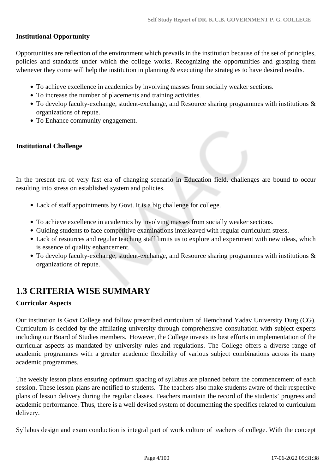#### **Institutional Opportunity**

Opportunities are reflection of the environment which prevails in the institution because of the set of principles, policies and standards under which the college works. Recognizing the opportunities and grasping them whenever they come will help the institution in planning  $\&$  executing the strategies to have desired results.

- To achieve excellence in academics by involving masses from socially weaker sections.
- To increase the number of placements and training activities.
- To develop faculty-exchange, student-exchange, and Resource sharing programmes with institutions & organizations of repute.
- To Enhance community engagement.

#### **Institutional Challenge**

In the present era of very fast era of changing scenario in Education field, challenges are bound to occur resulting into stress on established system and policies.

- Lack of staff appointments by Govt. It is a big challenge for college.
- To achieve excellence in academics by involving masses from socially weaker sections.
- Guiding students to face competitive examinations interleaved with regular curriculum stress.
- Lack of resources and regular teaching staff limits us to explore and experiment with new ideas, which is essence of quality enhancement.
- To develop faculty-exchange, student-exchange, and Resource sharing programmes with institutions & organizations of repute.

# **1.3 CRITERIA WISE SUMMARY**

#### **Curricular Aspects**

Our institution is Govt College and follow prescribed curriculum of Hemchand Yadav University Durg (CG). Curriculum is decided by the affiliating university through comprehensive consultation with subject experts including our Board of Studies members. However, the College invests its best efforts in implementation of the curricular aspects as mandated by university rules and regulations. The College offers a diverse range of academic programmes with a greater academic flexibility of various subject combinations across its many academic programmes.

The weekly lesson plans ensuring optimum spacing of syllabus are planned before the commencement of each session. These lesson plans are notified to students. The teachers also make students aware of their respective plans of lesson delivery during the regular classes. Teachers maintain the record of the students' progress and academic performance. Thus, there is a well devised system of documenting the specifics related to curriculum delivery.

Syllabus design and exam conduction is integral part of work culture of teachers of college. With the concept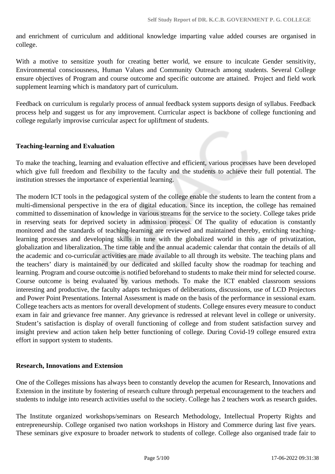and enrichment of curriculum and additional knowledge imparting value added courses are organised in college.

With a motive to sensitize youth for creating better world, we ensure to inculcate Gender sensitivity, Environmental consciousness, Human Values and Community Outreach among students. Several College ensure objectives of Program and course outcome and specific outcome are attained. Project and field work supplement learning which is mandatory part of curriculum.

Feedback on curriculum is regularly process of annual feedback system supports design of syllabus. Feedback process help and suggest us for any improvement. Curricular aspect is backbone of college functioning and college regularly improvise curricular aspect for upliftment of students.

#### **Teaching-learning and Evaluation**

To make the teaching, learning and evaluation effective and efficient, various processes have been developed which give full freedom and flexibility to the faculty and the students to achieve their full potential. The institution stresses the importance of experiential learning.

The modern ICT tools in the pedagogical system of the college enable the students to learn the content from a multi-dimensional perspective in the era of digital education. Since its inception, the college has remained committed to dissemination of knowledge in various streams for the service to the society. College takes pride in reserving seats for deprived society in admission process. Of The quality of education is constantly monitored and the standards of teaching-learning are reviewed and maintained thereby, enriching teachinglearning processes and developing skills in tune with the globalized world in this age of privatization, globalization and liberalization. The time table and the annual academic calendar that contain the details of all the academic and co-curricular activities are made available to all through its website. The teaching plans and the teachers' diary is maintained by our dedicated and skilled faculty show the roadmap for teaching and learning. Program and course outcome is notified beforehand to students to make their mind for selected course. Course outcome is being evaluated by various methods. To make the ICT enabled classroom sessions interesting and productive, the faculty adapts techniques of deliberations, discussions, use of LCD Projectors and Power Point Presentations. Internal Assessment is made on the basis of the performance in sessional exam. College teachers acts as mentors for overall development of students. College ensures every measure to conduct exam in fair and grievance free manner. Any grievance is redressed at relevant level in college or university. Student's satisfaction is display of overall functioning of college and from student satisfaction survey and insight preview and action taken help better functioning of college. During Covid-19 college ensured extra effort in support system to students.

#### **Research, Innovations and Extension**

One of the Colleges missions has always been to constantly develop the acumen for Research, Innovations and Extension in the institute by fostering of research culture through perpetual encouragement to the teachers and students to indulge into research activities useful to the society. College has 2 teachers work as research guides.

The Institute organized workshops/seminars on Research Methodology, Intellectual Property Rights and entrepreneurship. College organised two nation workshops in History and Commerce during last five years. These seminars give exposure to broader network to students of college. College also organised trade fair to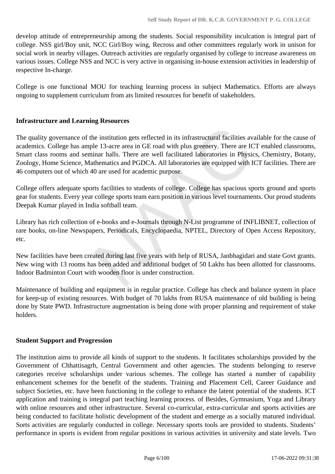develop attitude of entrepreneurship among the students. Social responsibility inculcation is integral part of college. NSS girl/Boy unit, NCC Girl/Boy wing, Recross and other committees regularly work in unison for social work in nearby villages. Outreach activities are regularly organised by college to increase awareness on various issues. College NSS and NCC is very active in organising in-house extension activities in leadership of respective In-charge.

College is one functional MOU for teaching learning process in subject Mathematics. Efforts are always ongoing to supplement curriculum from ats limited resources for benefit of stakeholders.

#### **Infrastructure and Learning Resources**

The quality governance of the institution gets reflected in its infrastructural facilities available for the cause of academics. College has ample 13-acre area in GE road with plus greenery. There are ICT enabled classrooms, Smart class rooms and seminar halls. There are well facilitated laboratories in Physics, Chemistry, Botany, Zoology, Home Science, Mathematics and PGDCA. All laboratories are equipped with ICT facilities. There are 46 computers out of which 40 are used for academic purpose.

College offers adequate sports facilities to students of college. College has spacious sports ground and sports gear for students. Every year college sports team earn position in various level tournaments. Our proud students Deepak Kumar played in India softball team.

Library has rich collection of e-books and e-Journals through N-List programme of INFLIBNET, collection of rare books, on-line Newspapers, Periodicals, Encyclopaedia, NPTEL, Directory of Open Access Repository, etc.

New facilities have been created during last five years with help of RUSA, Janbhagidari and state Govt grants. New wing with 13 rooms has been added and additional budget of 50 Lakhs has been allotted for classrooms. Indoor Badminton Court with wooden floor is under construction.

Maintenance of building and equipment is in regular practice. College has check and balance system in place for keep-up of existing resources. With budget of 70 lakhs from RUSA maintenance of old building is being done by State PWD. Infrastructure augmentation is being done with proper planning and requirement of stake holders.

#### **Student Support and Progression**

The institution aims to provide all kinds of support to the students. It facilitates scholarships provided by the Government of Chhattisagrh, Central Government and other agencies. The students belonging to reserve categories receive scholarships under various schemes. The college has started a number of capability enhancement schemes for the benefit of the students. Training and Placement Cell, Career Guidance and subject Societies, etc. have been functioning in the college to enhance the latent potential of the students. ICT application and training is integral part teaching learning process. of Besides, Gymnasium, Yoga and Library with online resources and other infrastructure. Several co-curricular, extra-curricular and sports activities are being conducted to facilitate holistic development of the student and emerge as a socially matured individual. Sorts activities are regularly conducted in college. Necessary sports tools are provided to students. Students' performance in sports is evident from regular positions in various activities in university and state levels. Two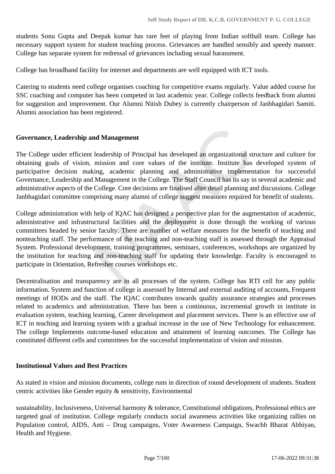students Sonu Gupta and Deepak kumar has rare feet of playing from Indian softball team. College has necessary support system for student teaching process. Grievances are handled sensibly and speedy manner. College has separate system for redressal of grievances including sexual harassment.

College has broadband facility for internet and departments are well equipped with ICT tools.

Catering to students need college organises coaching for competitive exams regularly. Value added course for SSC coaching and computer has been competed in last academic year. College collects feedback from alumni for suggestion and improvement. Our Alumni Nitish Dubey is currently chairperson of Janbhagidari Samiti. Alumni association has been registered.

#### **Governance, Leadership and Management**

The College under efficient leadership of Principal has developed an organizational structure and culture for obtaining goals of vision, mission and core values of the institute. Institute has developed system of participative decision making, academic planning and administrative implementation for successful Governance, Leadership and Management in the College. The Staff Council has its say in several academic and administrative aspects of the College. Core decisions are finalised after detail planning and discussions. College Janbhagidari committee comprising many alumni of college suggest measures required for benefit of students.

College administration with help of IQAC has designed a perspective plan for the augmentation of academic, administrative and infrastructural facilities and the deployment is done through the working of various committees headed by senior faculty. There are number of welfare measures for the benefit of teaching and nonteaching staff. The performance of the teaching and non-teaching staff is assessed through the Appraisal System. Professional development, training programmes, seminars, conferences, workshops are organized by the institution for teaching and non-teaching staff for updating their knowledge. Faculty is encouraged to participate in Orientation, Refresher courses workshops etc.

Decentralisation and transparency are in all processes of the system. College has RTI cell for any public information. System and function of college is assessed by Internal and external auditing of accounts, Frequent meetings of HODs and the staff. The IQAC contributes towards quality assurance strategies and processes related to academics and administration. There has been a continuous, incremental growth in institute in evaluation system, teaching learning, Career development and placement services. There is an effective use of ICT in teaching and learning system with a gradual increase in the use of New Technology for enhancement. The college Implements outcome-based education and attainment of learning outcomes. The College has constituted different cells and committees for the successful implementation of vision and mission.

#### **Institutional Values and Best Practices**

As stated in vision and mission documents, college runs in direction of round development of students. Student centric activities like Gender equity & sensitivity, Environmental

sustainability, Inclusiveness, Universal harmony & tolerance, Constitutional obligations, Professional ethics are targeted goal of institution. College regularly conducts social awareness activities like organizing rallies on Population control, AIDS, Anti – Drug campaigns, Voter Awareness Campaign, Swachh Bharat Abhiyan, Health and Hygiene.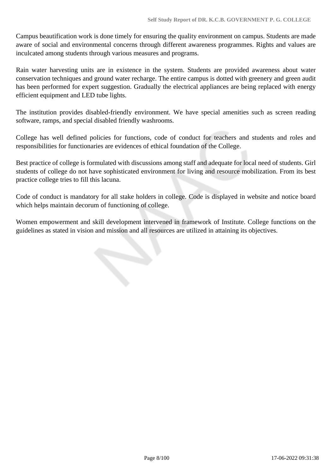Campus beautification work is done timely for ensuring the quality environment on campus. Students are made aware of social and environmental concerns through different awareness programmes. Rights and values are inculcated among students through various measures and programs.

Rain water harvesting units are in existence in the system. Students are provided awareness about water conservation techniques and ground water recharge. The entire campus is dotted with greenery and green audit has been performed for expert suggestion. Gradually the electrical appliances are being replaced with energy efficient equipment and LED tube lights.

The institution provides disabled-friendly environment. We have special amenities such as screen reading software, ramps, and special disabled friendly washrooms.

College has well defined policies for functions, code of conduct for teachers and students and roles and responsibilities for functionaries are evidences of ethical foundation of the College.

Best practice of college is formulated with discussions among staff and adequate for local need of students. Girl students of college do not have sophisticated environment for living and resource mobilization. From its best practice college tries to fill this lacuna.

Code of conduct is mandatory for all stake holders in college. Code is displayed in website and notice board which helps maintain decorum of functioning of college.

Women empowerment and skill development intervened in framework of Institute. College functions on the guidelines as stated in vision and mission and all resources are utilized in attaining its objectives.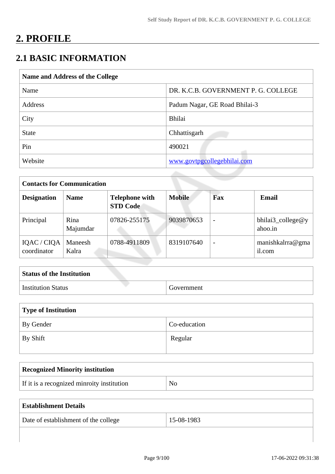# **2. PROFILE**

# **2.1 BASIC INFORMATION**

| Name and Address of the College |                                     |  |
|---------------------------------|-------------------------------------|--|
| Name                            | DR. K.C.B. GOVERNMENT P. G. COLLEGE |  |
| Address                         | Padum Nagar, GE Road Bhilai-3       |  |
| City                            | Bhilai                              |  |
| <b>State</b>                    | Chhattisgarh                        |  |
| Pin                             | 490021                              |  |
| Website                         | www.govtpgcollegebhilai.com         |  |

| <b>Contacts for Communication</b> |                  |                                          |               |                          |                              |
|-----------------------------------|------------------|------------------------------------------|---------------|--------------------------|------------------------------|
| <b>Designation</b>                | <b>Name</b>      | <b>Telephone with</b><br><b>STD Code</b> | <b>Mobile</b> | Fax                      | Email                        |
| Principal                         | Rina<br>Majumdar | 07826-255175                             | 9039870653    |                          | bhilai3_college@y<br>ahoo.in |
| IQAC / CIQA<br>coordinator        | Maneesh<br>Kalra | 0788-4911809                             | 8319107640    | $\overline{\phantom{0}}$ | manishkalrra@gma<br>il.com   |

| <b>Status of the Institution</b> |            |
|----------------------------------|------------|
| <b>Institution Status</b>        | Government |

| Type of Institution   |              |
|-----------------------|--------------|
| By Gender             | Co-education |
| <sup>1</sup> By Shift | Regular      |

| <b>Recognized Minority institution</b>     |    |
|--------------------------------------------|----|
| If it is a recognized minroity institution | No |

| <b>Establishment Details</b>         |            |
|--------------------------------------|------------|
| Date of establishment of the college | 15-08-1983 |
|                                      |            |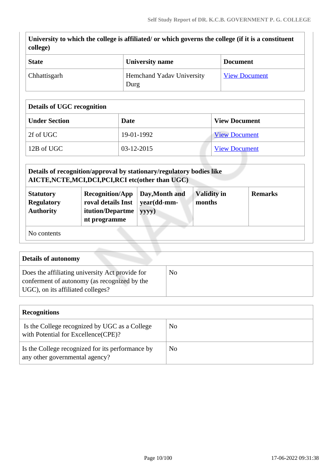| University to which the college is affiliated/ or which governs the college (if it is a constituent |  |
|-----------------------------------------------------------------------------------------------------|--|
| college)                                                                                            |  |

| <b>State</b> | <b>University name</b>            | <b>Document</b>      |
|--------------|-----------------------------------|----------------------|
| Chhattisgarh | Hemchand Yadav University<br>Durg | <b>View Document</b> |

#### **Details of UGC recognition**

| <b>Under Section</b> | Date         | <b>View Document</b> |
|----------------------|--------------|----------------------|
| 2f of UGC            | 19-01-1992   | <b>View Document</b> |
| 12B of UGC           | $03-12-2015$ | <b>View Document</b> |

|                                                           | AICTE, NCTE, MCI, DCI, PCI, RCI etc(other than UGC)                              |                                        |                              |                |
|-----------------------------------------------------------|----------------------------------------------------------------------------------|----------------------------------------|------------------------------|----------------|
| <b>Statutory</b><br><b>Regulatory</b><br><b>Authority</b> | <b>Recognition/App</b><br>roval details Inst<br>itution/Departme<br>nt programme | Day, Month and<br>year(dd-mm-<br>yyyy) | <b>Validity in</b><br>months | <b>Remarks</b> |

| <b>Details of autonomy</b>                                                                                                           |    |
|--------------------------------------------------------------------------------------------------------------------------------------|----|
| Does the affiliating university Act provide for<br>conferment of autonomy (as recognized by the<br>UGC), on its affiliated colleges? | No |

| <b>Recognitions</b>                                                                   |     |
|---------------------------------------------------------------------------------------|-----|
| Is the College recognized by UGC as a College<br>with Potential for Excellence (CPE)? | No. |
| Is the College recognized for its performance by<br>any other governmental agency?    | No. |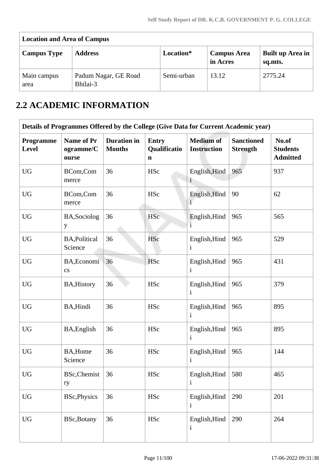| <b>Location and Area of Campus</b> |                                  |            |                                |                             |  |  |  |  |  |  |
|------------------------------------|----------------------------------|------------|--------------------------------|-----------------------------|--|--|--|--|--|--|
| <b>Campus Type</b>                 | <b>Address</b>                   | Location*  | <b>Campus Area</b><br>in Acres | Built up Area in<br>sq.mts. |  |  |  |  |  |  |
| Main campus<br>area                | Padum Nagar, GE Road<br>Bhilai-3 | Semi-urban | 13.12                          | 2775.24                     |  |  |  |  |  |  |

# **2.2 ACADEMIC INFORMATION**

|                    | Details of Programmes Offered by the College (Give Data for Current Academic year) |                                     |                                             |                                        |                                      |                                             |  |  |  |  |  |
|--------------------|------------------------------------------------------------------------------------|-------------------------------------|---------------------------------------------|----------------------------------------|--------------------------------------|---------------------------------------------|--|--|--|--|--|
| Programme<br>Level | <b>Name of Pr</b><br>ogramme/C<br>ourse                                            | <b>Duration</b> in<br><b>Months</b> | <b>Entry</b><br>Qualificatio<br>$\mathbf n$ | <b>Medium</b> of<br><b>Instruction</b> | <b>Sanctioned</b><br><b>Strength</b> | No.of<br><b>Students</b><br><b>Admitted</b> |  |  |  |  |  |
| <b>UG</b>          | BCom, Com<br>merce                                                                 | 36                                  | HSc                                         | English, Hind<br>$\mathbf{i}$          | 965                                  | 937                                         |  |  |  |  |  |
| <b>UG</b>          | BCom,Com<br>merce                                                                  | 36                                  | <b>HSc</b>                                  | English, Hind<br>$\mathbf{i}$          | 90                                   | 62                                          |  |  |  |  |  |
| <b>UG</b>          | BA, Sociolog<br>y                                                                  | 36                                  | <b>HSc</b>                                  | English, Hind<br>$\mathbf{i}$          | 965                                  | 565                                         |  |  |  |  |  |
| <b>UG</b>          | <b>BA, Political</b><br>Science                                                    | 36                                  | <b>HSc</b>                                  | English, Hind<br>$\mathbf{i}$          | 965                                  | 529                                         |  |  |  |  |  |
| <b>UG</b>          | BA, Economi<br>$\mathbf{c}\mathbf{s}$                                              | 36                                  | <b>HSc</b>                                  | English, Hind<br>$\mathbf{i}$          | 965                                  | 431                                         |  |  |  |  |  |
| <b>UG</b>          | <b>BA, History</b>                                                                 | 36                                  | <b>HSc</b>                                  | English, Hind<br>$\mathbf{1}$          | 965                                  | 379                                         |  |  |  |  |  |
| <b>UG</b>          | BA, Hindi                                                                          | 36                                  | <b>HSc</b>                                  | English, Hind<br>$\mathbf{i}$          | 965                                  | 895                                         |  |  |  |  |  |
| <b>UG</b>          | BA, English                                                                        | 36                                  | <b>HSc</b>                                  | English, Hind<br>$\mathbf{i}$          | 965                                  | 895                                         |  |  |  |  |  |
| <b>UG</b>          | BA, Home<br>Science                                                                | 36                                  | <b>HSc</b>                                  | English, Hind<br>$\mathbf{i}$          | 965                                  | 144                                         |  |  |  |  |  |
| UG                 | <b>BSc, Chemist</b><br>ry                                                          | 36                                  | <b>HSc</b>                                  | English, Hind<br>$\mathbf{i}$          | 580                                  | 465                                         |  |  |  |  |  |
| <b>UG</b>          | <b>BSc, Physics</b>                                                                | 36                                  | <b>HSc</b>                                  | English, Hind<br>$\mathbf{1}$          | 290                                  | 201                                         |  |  |  |  |  |
| <b>UG</b>          | <b>BSc,Botany</b>                                                                  | 36                                  | <b>HSc</b>                                  | English, Hind<br>$\mathbf{i}$          | 290                                  | 264                                         |  |  |  |  |  |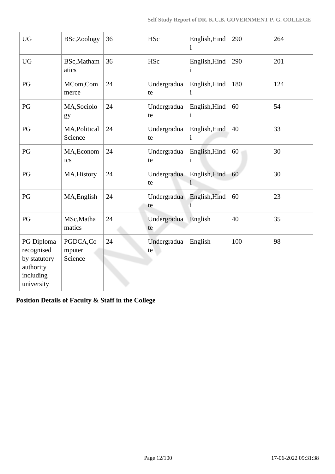| <b>UG</b>                                                                        | BSc,Zoology                   | 36 | <b>HSc</b>        | English, Hind<br>$\mathbf{1}$ | 290 | 264 |
|----------------------------------------------------------------------------------|-------------------------------|----|-------------------|-------------------------------|-----|-----|
| <b>UG</b>                                                                        | BSc,Matham<br>atics           | 36 | <b>HSc</b>        | English, Hind<br>$\mathbf{1}$ | 290 | 201 |
| PG                                                                               | MCom,Com<br>merce             | 24 | Undergradua<br>te | English, Hind<br>$\mathbf{i}$ | 180 | 124 |
| PG                                                                               | MA, Sociolo<br>gy             | 24 | Undergradua<br>te | English, Hind<br>i            | 60  | 54  |
| PG                                                                               | MA, Political<br>Science      | 24 | Undergradua<br>te | English, Hind<br>i            | 40  | 33  |
| PG                                                                               | MA, Econom<br>ics             | 24 | Undergradua<br>te | English, Hind<br>i            | 60  | 30  |
| PG                                                                               | MA, History                   | 24 | Undergradua<br>te | English, Hind<br>$\mathbf{i}$ | 60  | 30  |
| PG                                                                               | MA, English                   | 24 | Undergradua<br>te | English, Hind<br>$\mathbf{i}$ | 60  | 23  |
| PG                                                                               | MSc, Matha<br>matics          | 24 | Undergradua<br>te | English                       | 40  | 35  |
| PG Diploma<br>recognised<br>by statutory<br>authority<br>including<br>university | PGDCA,Co<br>mputer<br>Science | 24 | Undergradua<br>te | English                       | 100 | 98  |

**Position Details of Faculty & Staff in the College**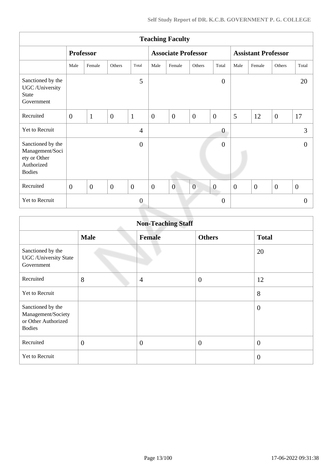| <b>Teaching Faculty</b>                                                             |                  |                  |                |                  |                  |                            |                |                  |                            |                |                |                |
|-------------------------------------------------------------------------------------|------------------|------------------|----------------|------------------|------------------|----------------------------|----------------|------------------|----------------------------|----------------|----------------|----------------|
|                                                                                     |                  | <b>Professor</b> |                |                  |                  | <b>Associate Professor</b> |                |                  | <b>Assistant Professor</b> |                |                |                |
|                                                                                     | Male             | Female           | Others         | Total            | Male             | Female                     | Others         | Total            | Male                       | Female         | Others         | Total          |
| Sanctioned by the<br>UGC /University<br><b>State</b><br>Government                  |                  |                  |                | 5                |                  |                            |                | $\boldsymbol{0}$ |                            |                |                | 20             |
| Recruited                                                                           | $\boldsymbol{0}$ | $\mathbf{1}$     | $\overline{0}$ | $\mathbf{1}$     | $\boldsymbol{0}$ | $\overline{0}$             | $\overline{0}$ | $\overline{0}$   | 5                          | 12             | $\overline{0}$ | 17             |
| Yet to Recruit                                                                      |                  |                  |                | 4                |                  |                            |                | $\boldsymbol{0}$ |                            |                |                | 3              |
| Sanctioned by the<br>Management/Soci<br>ety or Other<br>Authorized<br><b>Bodies</b> |                  |                  |                | $\boldsymbol{0}$ |                  |                            |                | $\boldsymbol{0}$ |                            |                |                | $\Omega$       |
| Recruited                                                                           | $\boldsymbol{0}$ | $\overline{0}$   | $\overline{0}$ | $\mathbf{0}$     | $\boldsymbol{0}$ | $\overline{0}$             | $\overline{0}$ | $\overline{0}$   | $\overline{0}$             | $\overline{0}$ | $\overline{0}$ | $\overline{0}$ |
| Yet to Recruit                                                                      |                  |                  |                | $\overline{0}$   |                  |                            |                | $\theta$         |                            |                |                | $\theta$       |

|                                                                                 | <b>Non-Teaching Staff</b> |                |                |                  |  |  |  |  |  |  |  |
|---------------------------------------------------------------------------------|---------------------------|----------------|----------------|------------------|--|--|--|--|--|--|--|
|                                                                                 | <b>Male</b>               | <b>Female</b>  | <b>Others</b>  | <b>Total</b>     |  |  |  |  |  |  |  |
| Sanctioned by the<br><b>UGC</b> / University State<br>Government                |                           |                |                | 20               |  |  |  |  |  |  |  |
| Recruited                                                                       | 8                         | $\overline{4}$ | $\overline{0}$ | 12               |  |  |  |  |  |  |  |
| Yet to Recruit                                                                  |                           |                |                | 8                |  |  |  |  |  |  |  |
| Sanctioned by the<br>Management/Society<br>or Other Authorized<br><b>Bodies</b> |                           |                |                | $\overline{0}$   |  |  |  |  |  |  |  |
| Recruited                                                                       | $\overline{0}$            | $\mathbf{0}$   | $\overline{0}$ | $\boldsymbol{0}$ |  |  |  |  |  |  |  |
| Yet to Recruit                                                                  |                           |                |                | $\overline{0}$   |  |  |  |  |  |  |  |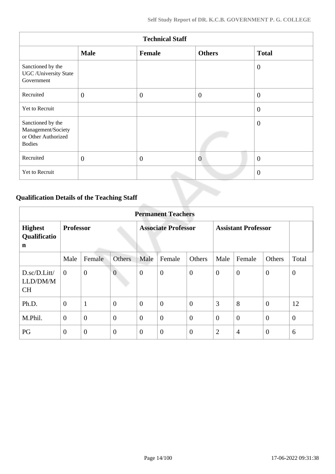|                                                                                 | <b>Technical Staff</b> |              |                |                |  |  |  |  |  |  |  |
|---------------------------------------------------------------------------------|------------------------|--------------|----------------|----------------|--|--|--|--|--|--|--|
|                                                                                 | <b>Male</b>            | Female       | <b>Others</b>  | <b>Total</b>   |  |  |  |  |  |  |  |
| Sanctioned by the<br><b>UGC</b> / University State<br>Government                |                        |              |                | $\overline{0}$ |  |  |  |  |  |  |  |
| Recruited                                                                       | $\mathbf{0}$           | $\mathbf{0}$ | $\overline{0}$ | $\overline{0}$ |  |  |  |  |  |  |  |
| Yet to Recruit                                                                  |                        |              |                | $\overline{0}$ |  |  |  |  |  |  |  |
| Sanctioned by the<br>Management/Society<br>or Other Authorized<br><b>Bodies</b> |                        |              |                | $\theta$       |  |  |  |  |  |  |  |
| Recruited                                                                       | $\mathbf{0}$           | $\mathbf{0}$ | $\overline{0}$ | $\theta$       |  |  |  |  |  |  |  |
| Yet to Recruit                                                                  |                        |              |                | $\overline{0}$ |  |  |  |  |  |  |  |

# **Qualification Details of the Teaching Staff**

|                                       | <b>Permanent Teachers</b> |                |                |                            |                  |                |                            |                |                |                |  |  |
|---------------------------------------|---------------------------|----------------|----------------|----------------------------|------------------|----------------|----------------------------|----------------|----------------|----------------|--|--|
| <b>Highest</b><br>Qualificatio<br>n   | <b>Professor</b>          |                |                | <b>Associate Professor</b> |                  |                | <b>Assistant Professor</b> |                |                |                |  |  |
|                                       | Male                      | Female         | Others         | Male                       | Female           | Others         | Male                       | Female         | Others         | Total          |  |  |
| D.sc/D.Litt/<br>LLD/DM/M<br><b>CH</b> | $\overline{0}$            | $\mathbf{0}$   | $\overline{0}$ | $\boldsymbol{0}$           | $\boldsymbol{0}$ | $\overline{0}$ | $\overline{0}$             | $\overline{0}$ | $\overline{0}$ | $\overline{0}$ |  |  |
| Ph.D.                                 | $\overline{0}$            | $\mathbf{1}$   | $\overline{0}$ | $\Omega$                   | $\overline{0}$   | $\overline{0}$ | 3                          | 8              | $\overline{0}$ | 12             |  |  |
| M.Phil.                               | $\overline{0}$            | $\overline{0}$ | $\overline{0}$ | $\overline{0}$             | $\overline{0}$   | $\overline{0}$ | $\overline{0}$             | $\overline{0}$ | $\overline{0}$ | $\overline{0}$ |  |  |
| PG                                    | $\overline{0}$            | $\overline{0}$ | $\overline{0}$ | $\overline{0}$             | $\overline{0}$   | $\overline{0}$ | $\overline{2}$             | $\overline{4}$ | $\overline{0}$ | 6              |  |  |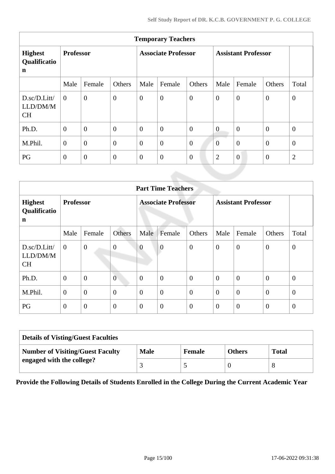| <b>Temporary Teachers</b>                     |                  |                |                |                            |                |                |                            |                  |                  |                |  |
|-----------------------------------------------|------------------|----------------|----------------|----------------------------|----------------|----------------|----------------------------|------------------|------------------|----------------|--|
| <b>Highest</b><br>Qualificatio<br>$\mathbf n$ | <b>Professor</b> |                |                | <b>Associate Professor</b> |                |                | <b>Assistant Professor</b> |                  |                  |                |  |
|                                               | Male             | Female         | Others         | Male                       | Female         | Others         | Male                       | Female           | Others           | Total          |  |
| D.sc/D.Litt/<br>LLD/DM/M<br><b>CH</b>         | $\Omega$         | $\overline{0}$ | $\overline{0}$ | $\overline{0}$             | $\overline{0}$ | $\overline{0}$ | $\theta$                   | $\theta$         | $\overline{0}$   | $\theta$       |  |
| Ph.D.                                         | $\Omega$         | $\overline{0}$ | $\overline{0}$ | $\overline{0}$             | $\overline{0}$ | $\overline{0}$ | $\overline{0}$             | $\overline{0}$   | $\overline{0}$   | $\overline{0}$ |  |
| M.Phil.                                       | $\overline{0}$   | $\overline{0}$ | $\overline{0}$ | $\overline{0}$             | $\overline{0}$ | $\overline{0}$ | $\theta$                   | $\overline{0}$   | $\overline{0}$   | $\mathbf{0}$   |  |
| PG                                            | $\overline{0}$   | $\overline{0}$ | $\overline{0}$ | $\overline{0}$             | $\overline{0}$ | $\overline{0}$ | $\overline{2}$             | $\boldsymbol{0}$ | $\boldsymbol{0}$ | $\overline{2}$ |  |

|                                                         | <b>Part Time Teachers</b> |                            |                  |                |                            |                  |                |                |              |              |  |  |
|---------------------------------------------------------|---------------------------|----------------------------|------------------|----------------|----------------------------|------------------|----------------|----------------|--------------|--------------|--|--|
| <b>Professor</b><br><b>Highest</b><br>Qualificatio<br>n |                           | <b>Associate Professor</b> |                  |                | <b>Assistant Professor</b> |                  |                |                |              |              |  |  |
|                                                         | Male                      | Female                     | Others           | Male           | Female                     | Others           | Male           | Female         | Others       | Total        |  |  |
| D.sc/D.Litt/<br>LLD/DM/M<br><b>CH</b>                   | $\overline{0}$            | $\overline{0}$             | $\boldsymbol{0}$ | $\theta$       | $\boldsymbol{0}$           | $\boldsymbol{0}$ | $\overline{0}$ | $\overline{0}$ | $\mathbf{0}$ | $\mathbf{0}$ |  |  |
| Ph.D.                                                   | $\mathbf{0}$              | $\overline{0}$             | $\mathbf{0}$     | $\overline{0}$ | $\overline{0}$             | $\mathbf{0}$     | $\Omega$       | $\overline{0}$ | $\mathbf{0}$ | $\theta$     |  |  |
| M.Phil.                                                 | $\overline{0}$            | $\overline{0}$             | $\overline{0}$   | $\overline{0}$ | $\overline{0}$             | $\overline{0}$   | $\theta$       | $\overline{0}$ | $\theta$     | $\theta$     |  |  |
| PG                                                      | $\theta$                  | $\mathbf{0}$               | $\boldsymbol{0}$ | $\overline{0}$ | $\boldsymbol{0}$           | $\overline{0}$   | $\overline{0}$ | $\overline{0}$ | $\mathbf{0}$ | $\theta$     |  |  |

| <b>Details of Visting/Guest Faculties</b> |             |               |               |              |  |  |  |  |
|-------------------------------------------|-------------|---------------|---------------|--------------|--|--|--|--|
| <b>Number of Visiting/Guest Faculty</b>   | <b>Male</b> | <b>Female</b> | <b>Others</b> | <b>Total</b> |  |  |  |  |
| engaged with the college?                 |             |               |               |              |  |  |  |  |

**Provide the Following Details of Students Enrolled in the College During the Current Academic Year**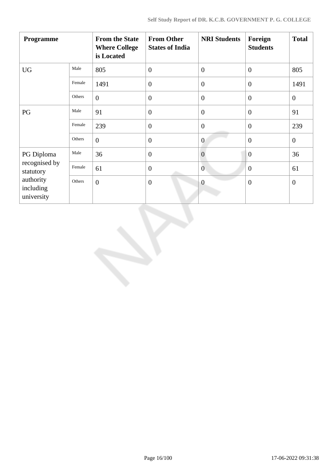| Programme                                                          |        | <b>From the State</b><br><b>Where College</b><br>is Located | <b>From Other</b><br><b>States of India</b> | <b>NRI Students</b> | Foreign<br><b>Students</b> | <b>Total</b>   |
|--------------------------------------------------------------------|--------|-------------------------------------------------------------|---------------------------------------------|---------------------|----------------------------|----------------|
| <b>UG</b>                                                          | Male   | 805                                                         | $\theta$                                    | $\overline{0}$      | $\overline{0}$             | 805            |
|                                                                    | Female | 1491                                                        | $\theta$                                    | $\overline{0}$      | $\overline{0}$             | 1491           |
|                                                                    | Others | $\overline{0}$                                              | $\overline{0}$                              | $\overline{0}$      | $\overline{0}$             | $\overline{0}$ |
| PG                                                                 | Male   | 91                                                          | $\overline{0}$                              | $\overline{0}$      | $\overline{0}$             | 91             |
|                                                                    | Female | 239                                                         | $\boldsymbol{0}$                            | $\overline{0}$      | $\overline{0}$             | 239            |
|                                                                    | Others | $\overline{0}$                                              | $\theta$                                    | $\overline{0}$      | $\overline{0}$             | $\overline{0}$ |
| PG Diploma                                                         | Male   | 36                                                          | $\theta$                                    | $\overline{0}$      | $\overline{0}$             | 36             |
| recognised by<br>statutory<br>authority<br>including<br>university | Female | 61                                                          | $\overline{0}$                              | $\overline{0}$      | $\overline{0}$             | 61             |
|                                                                    | Others | $\overline{0}$                                              | $\theta$                                    | $\overline{0}$      | $\overline{0}$             | $\overline{0}$ |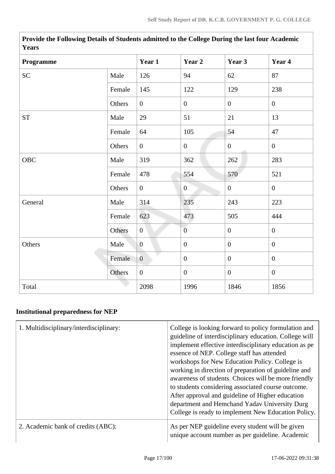| <b>Years</b> |        |                |                  |                  |                  |
|--------------|--------|----------------|------------------|------------------|------------------|
| Programme    |        | Year 1         | Year 2           | Year 3           | Year 4           |
| <b>SC</b>    | Male   | 126            | 94               | 62               | 87               |
|              | Female | 145            | 122              | 129              | 238              |
|              | Others | $\overline{0}$ | $\overline{0}$   | $\mathbf{0}$     | $\overline{0}$   |
| <b>ST</b>    | Male   | 29             | 51               | 21               | 13               |
|              | Female | 64             | 105              | 54               | 47               |
|              | Others | $\overline{0}$ | $\boldsymbol{0}$ | $\mathbf{0}$     | $\mathbf{0}$     |
| OBC          | Male   | 319            | 362              | 262              | 283              |
|              | Female | 478            | 554              | 570              | 521              |
|              | Others | $\overline{0}$ | $\overline{0}$   | $\mathbf{0}$     | $\mathbf{0}$     |
| General      | Male   | 314            | 235              | 243              | 223              |
|              | Female | 623            | 473              | 505              | 444              |
|              | Others | $\overline{0}$ | $\overline{0}$   | $\overline{0}$   | $\overline{0}$   |
| Others       | Male   | $\overline{0}$ | $\boldsymbol{0}$ | $\mathbf{0}$     | $\overline{0}$   |
|              | Female | $\overline{0}$ | $\boldsymbol{0}$ | $\boldsymbol{0}$ | $\boldsymbol{0}$ |
|              | Others | $\overline{0}$ | $\boldsymbol{0}$ | $\boldsymbol{0}$ | $\boldsymbol{0}$ |
| Total        |        | 2098           | 1996             | 1846             | 1856             |

**Provide the Following Details of Students admitted to the College During the last four Academic Years**

# **Institutional preparedness for NEP**

| 1. Multidisciplinary/interdisciplinary: | College is looking forward to policy formulation and<br>guideline of interdisciplinary education. College will<br>implement effective interdisciplinary education as pe<br>essence of NEP. College staff has attended<br>workshops for New Education Policy. College is<br>working in direction of preparation of guideline and<br>awareness of students. Choices will be more friendly<br>to students considering associated course outcome.<br>After approval and guideline of Higher education<br>department and Hemchand Yadav University Durg<br>College is ready to implement New Education Policy. |
|-----------------------------------------|-----------------------------------------------------------------------------------------------------------------------------------------------------------------------------------------------------------------------------------------------------------------------------------------------------------------------------------------------------------------------------------------------------------------------------------------------------------------------------------------------------------------------------------------------------------------------------------------------------------|
| 2. Academic bank of credits (ABC):      | As per NEP guideline every student will be given<br>unique account number as per guideline. Academic                                                                                                                                                                                                                                                                                                                                                                                                                                                                                                      |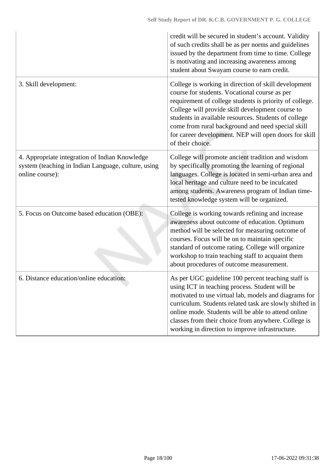|                                                                                                                          | credit will be secured in student's account. Validity<br>of such credits shall be as per norms and guidelines<br>issued by the department from time to time. College<br>is motivating and increasing awareness among<br>student about Swayam course to earn credit.                                                                                                                                            |
|--------------------------------------------------------------------------------------------------------------------------|----------------------------------------------------------------------------------------------------------------------------------------------------------------------------------------------------------------------------------------------------------------------------------------------------------------------------------------------------------------------------------------------------------------|
| 3. Skill development:                                                                                                    | College is working in direction of skill development<br>course for students. Vocational course as per<br>requirement of college students is priority of college.<br>College will provide skill development course to<br>students in available resources. Students of college<br>come from rural background and need special skill<br>for career development. NEP will open doors for skill<br>of their choice. |
| 4. Appropriate integration of Indian Knowledge<br>system (teaching in Indian Language, culture, using<br>online course): | College will promote ancient tradition and wisdom<br>by specifically promoting the learning of regional<br>languages. College is located in semi-urban area and<br>local heritage and culture need to be inculcated<br>among students. Awareness program of Indian time-<br>tested knowledge system will be organized.                                                                                         |
| 5. Focus on Outcome based education (OBE):                                                                               | College is working towards refining and increase<br>awareness about outcome of education. Optimum<br>method will be selected for measuring outcome of<br>courses. Focus will be on to maintain specific<br>standard of outcome rating. College will organize<br>workshop to train teaching staff to acquaint them<br>about procedures of outcome measurement.                                                  |
| 6. Distance education/online education:                                                                                  | As per UGC guideline 100 percent teaching staff is<br>using ICT in teaching process. Student will be<br>motivated to use virtual lab, models and diagrams for<br>curriculum. Students related task are slowly shifted in<br>online mode. Students will be able to attend online<br>classes from their choice from anywhere. College is<br>working in direction to improve infrastructure.                      |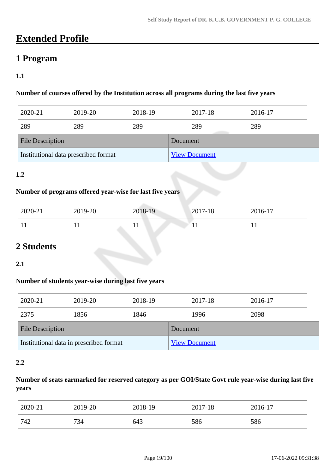# **Extended Profile**

# **1 Program**

### **1.1**

#### **Number of courses offered by the Institution across all programs during the last five years**

| 2020-21                              | 2019-20 | 2018-19  |                      | 2017-18 | 2016-17 |  |
|--------------------------------------|---------|----------|----------------------|---------|---------|--|
| 289                                  | 289     | 289      |                      | 289     | 289     |  |
| <b>File Description</b>              |         | Document |                      |         |         |  |
| Institutional data prescribed format |         |          | <b>View Document</b> |         |         |  |

#### **1.2**

#### **Number of programs offered year-wise for last five years**

| 2020-21 | 2019-20 | 2018-19  | $ 2017-18 $  | 2016-17 |
|---------|---------|----------|--------------|---------|
| . .     | . .     | $\bf{1}$ | $\mathbf{r}$ | . .     |

# **2 Students**

**2.1**

### **Number of students year-wise during last five years**

| 2020-21                                 | 2019-20 | 2018-19  |                      | 2017-18 | 2016-17 |  |
|-----------------------------------------|---------|----------|----------------------|---------|---------|--|
| 2375                                    | 1856    | 1846     |                      | 1996    | 2098    |  |
| <b>File Description</b>                 |         | Document |                      |         |         |  |
| Institutional data in prescribed format |         |          | <b>View Document</b> |         |         |  |

#### **2.2**

## **Number of seats earmarked for reserved category as per GOI/State Govt rule year-wise during last five years**

| 2020-21 | 2019-20 | 2018-19 | 2017-18 | 2016-17 |
|---------|---------|---------|---------|---------|
| 742     | 734     | 643     | 586     | 586     |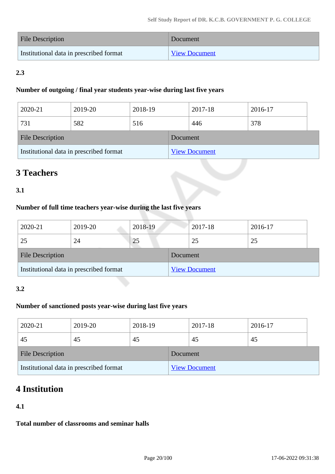| File Description                        | Document             |
|-----------------------------------------|----------------------|
| Institutional data in prescribed format | <b>View Document</b> |

# **2.3**

#### **Number of outgoing / final year students year-wise during last five years**

| 2020-21                                 | 2019-20 | 2018-19  |                      | 2017-18 | 2016-17 |  |
|-----------------------------------------|---------|----------|----------------------|---------|---------|--|
| 731                                     | 582     | 516      |                      | 446     | 378     |  |
| <b>File Description</b>                 |         | Document |                      |         |         |  |
| Institutional data in prescribed format |         |          | <b>View Document</b> |         |         |  |

# **3 Teachers**

### **3.1**

### **Number of full time teachers year-wise during the last five years**

| 2020-21                                 | 2019-20 | 2018-19  |                      | 2017-18 | 2016-17 |
|-----------------------------------------|---------|----------|----------------------|---------|---------|
| 25                                      | 24      | 25       |                      | 25      | 25      |
| <b>File Description</b>                 |         | Document |                      |         |         |
| Institutional data in prescribed format |         |          | <b>View Document</b> |         |         |

#### **3.2**

### **Number of sanctioned posts year-wise during last five years**

| 2020-21                                 | 2019-20 | 2018-19  |                      | 2017-18 | 2016-17 |
|-----------------------------------------|---------|----------|----------------------|---------|---------|
| 45                                      | 45      | 45       |                      | 45      | 45      |
| <b>File Description</b>                 |         | Document |                      |         |         |
| Institutional data in prescribed format |         |          | <b>View Document</b> |         |         |

# **4 Institution**

### **4.1**

**Total number of classrooms and seminar halls**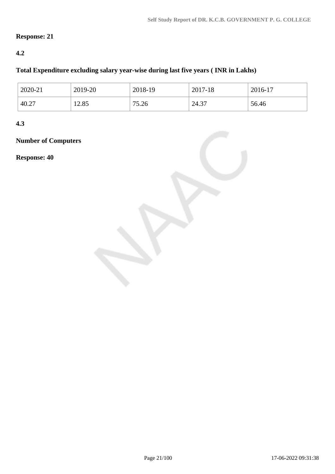# **Response: 21**

### **4.2**

### **Total Expenditure excluding salary year-wise during last five years ( INR in Lakhs)**

| 2020-21 | 2019-20 | 2018-19 | 2017-18 | 2016-17 |
|---------|---------|---------|---------|---------|
| 40.27   | 12.85   | 75.26   | 24.37   | 56.46   |

**4.3**

# **Number of Computers**

**Response: 40**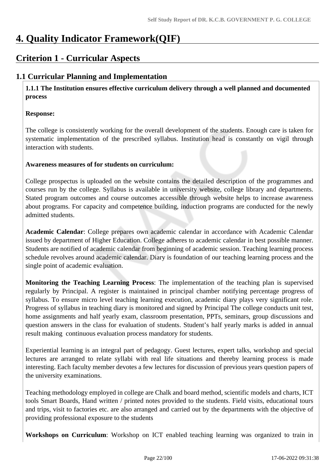# **4. Quality Indicator Framework(QIF)**

# **Criterion 1 - Curricular Aspects**

# **1.1 Curricular Planning and Implementation**

 **1.1.1 The Institution ensures effective curriculum delivery through a well planned and documented process**

#### **Response:**

The college is consistently working for the overall development of the students. Enough care is taken for systematic implementation of the prescribed syllabus. Institution head is constantly on vigil through interaction with students.

#### **Awareness measures of for students on curriculum:**

College prospectus is uploaded on the website contains the detailed description of the programmes and courses run by the college. Syllabus is available in university website, college library and departments. Stated program outcomes and course outcomes accessible through website helps to increase awareness about programs. For capacity and competence building, induction programs are conducted for the newly admitted students.

**Academic Calendar**: College prepares own academic calendar in accordance with Academic Calendar issued by department of Higher Education. College adheres to academic calendar in best possible manner. Students are notified of academic calendar from beginning of academic session. Teaching learning process schedule revolves around academic calendar. Diary is foundation of our teaching learning process and the single point of academic evaluation.

**Monitoring the Teaching Learning Process**: The implementation of the teaching plan is supervised regularly by Principal. A register is maintained in principal chamber notifying percentage progress of syllabus. To ensure micro level teaching learning execution, academic diary plays very significant role. Progress of syllabus in teaching diary is monitored and signed by Principal The college conducts unit test, home assignments and half yearly exam, classroom presentation, PPTs, seminars, group discussions and question answers in the class for evaluation of students. Student's half yearly marks is added in annual result making continuous evaluation process mandatory for students.

Experiential learning is an integral part of pedagogy. Guest lectures, expert talks, workshop and special lectures are arranged to relate syllabi with real life situations and thereby learning process is made interesting. Each faculty member devotes a few lectures for discussion of previous years question papers of the university examinations.

Teaching methodology employed in college are Chalk and board method, scientific models and charts, ICT tools Smart Boards, Hand written / printed notes provided to the students. Field visits, educational tours and trips, visit to factories etc. are also arranged and carried out by the departments with the objective of providing professional exposure to the students

**Workshops on Curriculum**: Workshop on ICT enabled teaching learning was organized to train in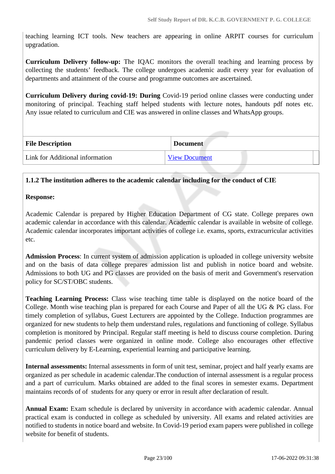teaching learning ICT tools. New teachers are appearing in online ARPIT courses for curriculum upgradation.

**Curriculum Delivery follow-up:** The IQAC monitors the overall teaching and learning process by collecting the students' feedback. The college undergoes academic audit every year for evaluation of departments and attainment of the course and programme outcomes are ascertained.

**Curriculum Delivery during covid-19: During** Covid-19 period online classes were conducting under monitoring of principal. Teaching staff helped students with lecture notes, handouts pdf notes etc. Any issue related to curriculum and CIE was answered in online classes and WhatsApp groups.

| <b>File Description</b>         | <b>Document</b>      |
|---------------------------------|----------------------|
| Link for Additional information | <b>View Document</b> |

#### **1.1.2 The institution adheres to the academic calendar including for the conduct of CIE**

#### **Response:**

Academic Calendar is prepared by Higher Education Department of CG state. College prepares own academic calendar in accordance with this calendar. Academic calendar is available in website of college. Academic calendar incorporates important activities of college i.e. exams, sports, extracurricular activities etc.

**Admission Process**: In current system of admission application is uploaded in college university website and on the basis of data college prepares admission list and publish in notice board and website. Admissions to both UG and PG classes are provided on the basis of merit and Government's reservation policy for SC/ST/OBC students.

**Teaching Learning Process:** Class wise teaching time table is displayed on the notice board of the College. Month wise teaching plan is prepared for each Course and Paper of all the UG & PG class. For timely completion of syllabus, Guest Lecturers are appointed by the College. Induction programmes are organized for new students to help them understand rules, regulations and functioning of college. Syllabus completion is monitored by Principal. Regular staff meeting is held to discuss course completion. During pandemic period classes were organized in online mode. College also encourages other effective curriculum delivery by E-Learning, experiential learning and participative learning.

**Internal assessments:** Internal assessments in form of unit test, seminar, project and half yearly exams are organized as per schedule in academic calendar.The conduction of internal assessment is a regular process and a part of curriculum. Marks obtained are added to the final scores in semester exams. Department maintains records of of students for any query or error in result after declaration of result.

**Annual Exam:** Exam schedule is declared by university in accordance with academic calendar. Annual practical exam is conducted in college as scheduled by university. All exams and related activities are notified to students in notice board and website. In Covid-19 period exam papers were published in college website for benefit of students.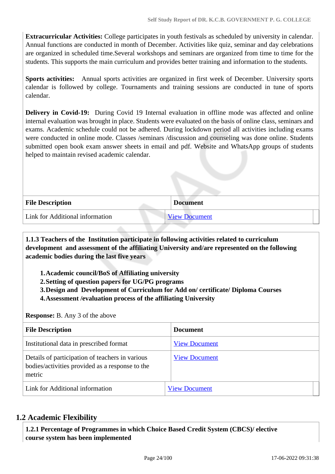**Extracurricular Activities:** College participates in youth festivals as scheduled by university in calendar. Annual functions are conducted in month of December. Activities like quiz, seminar and day celebrations are organized in scheduled time.Several workshops and seminars are organized from time to time for the students. This supports the main curriculum and provides better training and information to the students.

**Sports activities:** Annual sports activities are organized in first week of December. University sports calendar is followed by college. Tournaments and training sessions are conducted in tune of sports calendar.

**Delivery in Covid-19:** During Covid 19 Internal evaluation in offline mode was affected and online internal evaluation was brought in place. Students were evaluated on the basis of online class, seminars and exams. Academic schedule could not be adhered. During lockdown period all activities including exams were conducted in online mode. Classes /seminars /discussion and counseling was done online. Students submitted open book exam answer sheets in email and pdf. Website and WhatsApp groups of students helped to maintain revised academic calendar.

| <b>File Description</b>         | <b>Document</b>      |
|---------------------------------|----------------------|
| Link for Additional information | <b>View Document</b> |

 **1.1.3 Teachers of the Institution participate in following activities related to curriculum development and assessment of the affiliating University and/are represented on the following academic bodies during the last five years** 

- **1.Academic council/BoS of Affiliating university**
- **2.Setting of question papers for UG/PG programs**
- **3.Design and Development of Curriculum for Add on/ certificate/ Diploma Courses**
- **4.Assessment /evaluation process of the affiliating University**

**Response:** B. Any 3 of the above

| <b>File Description</b>                                                                                      | <b>Document</b>      |
|--------------------------------------------------------------------------------------------------------------|----------------------|
| Institutional data in prescribed format                                                                      | <b>View Document</b> |
| Details of participation of teachers in various<br>bodies/activities provided as a response to the<br>metric | <b>View Document</b> |
| Link for Additional information                                                                              | <b>View Document</b> |

### **1.2 Academic Flexibility**

 **1.2.1 Percentage of Programmes in which Choice Based Credit System (CBCS)/ elective course system has been implemented**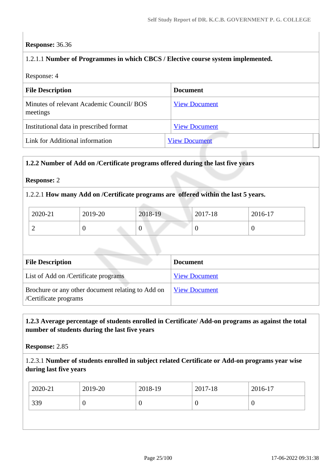#### **Response:** 36.36

#### 1.2.1.1 **Number of Programmes in which CBCS / Elective course system implemented.**

#### Response: 4

| <b>File Description</b>                               | <b>Document</b>      |
|-------------------------------------------------------|----------------------|
| Minutes of relevant Academic Council/ BOS<br>meetings | <b>View Document</b> |
| Institutional data in prescribed format               | <b>View Document</b> |
| Link for Additional information                       | <b>View Document</b> |

#### **1.2.2 Number of Add on /Certificate programs offered during the last five years**

#### **Response:** 2

#### 1.2.2.1 **How many Add on /Certificate programs are offered within the last 5 years.**

| 2020-21 | 2019-20 | 2018-19 | 2017-18 | 2016-17 |
|---------|---------|---------|---------|---------|
| ∽       | ◡       |         | v       |         |

| <b>File Description</b>                                                    | <b>Document</b>      |
|----------------------------------------------------------------------------|----------------------|
| List of Add on /Certificate programs                                       | <b>View Document</b> |
| Brochure or any other document relating to Add on<br>/Certificate programs | <b>View Document</b> |

#### **1.2.3 Average percentage of students enrolled in Certificate/ Add-on programs as against the total number of students during the last five years**

#### **Response:** 2.85

#### 1.2.3.1 **Number of students enrolled in subject related Certificate or Add-on programs year wise during last five years**

| 2019-20<br>2020-21<br>2018-19 | 2017-18<br>2016-17 |
|-------------------------------|--------------------|
| 339                           | $\theta$           |
| U                             | -0                 |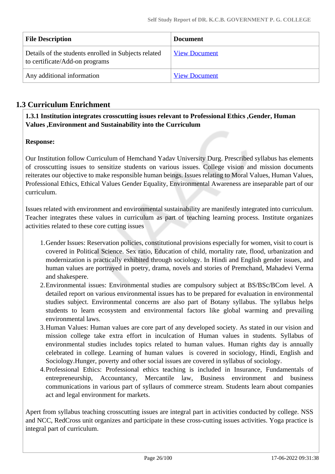| <b>File Description</b>                                                                | <b>Document</b>      |
|----------------------------------------------------------------------------------------|----------------------|
| Details of the students enrolled in Subjects related<br>to certificate/Add-on programs | <b>View Document</b> |
| Any additional information                                                             | <b>View Document</b> |

# **1.3 Curriculum Enrichment**

 **1.3.1 Institution integrates crosscutting issues relevant to Professional Ethics ,Gender, Human Values ,Environment and Sustainability into the Curriculum**

#### **Response:**

Our Institution follow Curriculum of Hemchand Yadav University Durg. Prescribed syllabus has elements of crosscutting issues to sensitize students on various issues. College vision and mission documents reiterates our objective to make responsible human beings. Issues relating to Moral Values, Human Values, Professional Ethics, Ethical Values Gender Equality, Environmental Awareness are inseparable part of our curriculum.

Issues related with environment and environmental sustainability are manifestly integrated into curriculum. Teacher integrates these values in curriculum as part of teaching learning process. Institute organizes activities related to these core cutting issues

- 1.Gender Issues: Reservation policies, constitutional provisions especially for women, visit to court is covered in Political Science. Sex ratio, Education of child, mortality rate, flood, urbanization and modernization is practically exhibited through sociology. In Hindi and English gender issues, and human values are portrayed in poetry, drama, novels and stories of Premchand, Mahadevi Verma and shakespere.
- 2.Environmental issues: Environmental studies are compulsory subject at BS/BSc/BCom level. A detailed report on various environmental issues has to be prepared for evaluation in environmental studies subject. Environmental concerns are also part of Botany syllabus. The syllabus helps students to learn ecosystem and environmental factors like global warming and prevailing environmental laws.
- 3.Human Values: Human values are core part of any developed society. As stated in our vision and mission college take extra effort in inculcation of Human values in students. Syllabus of environmental studies includes topics related to human values. Human rights day is annually celebrated in college. Learning of human values is covered in sociology, Hindi, English and Sociology.Hunger, poverty and other social issues are covered in syllabus of sociology.
- 4.Professional Ethics: Professional ethics teaching is included in Insurance, Fundamentals of entrepreneurship, Accountancy, Mercantile law, Business environment and business communications in various part of syllaurs of commerce stream. Students learn about companies act and legal environment for markets.

Apert from syllabus teaching crosscutting issues are integral part in activities conducted by college. NSS and NCC, RedCross unit organizes and participate in these cross-cutting issues activities. Yoga practice is integral part of curriculum.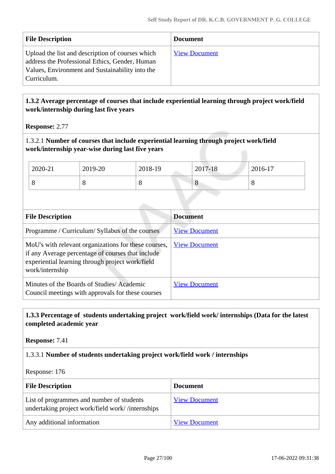| <b>File Description</b>                                                                                                                                              | <b>Document</b>      |
|----------------------------------------------------------------------------------------------------------------------------------------------------------------------|----------------------|
| Upload the list and description of courses which<br>address the Professional Ethics, Gender, Human<br>Values, Environment and Sustainability into the<br>Curriculum. | <b>View Document</b> |

### **1.3.2 Average percentage of courses that include experiential learning through project work/field work/internship during last five years**

**Response:** 2.77

1.3.2.1 **Number of courses that include experiential learning through project work/field work/internship year-wise during last five years**

| 2020-21 | 2019-20 | 2018-19 | 2017-18 | 2016-17 |
|---------|---------|---------|---------|---------|
|         | $\circ$ |         | $\circ$ | u       |

| <b>File Description</b>                                                                                                                                                          | <b>Document</b>      |
|----------------------------------------------------------------------------------------------------------------------------------------------------------------------------------|----------------------|
| Programme / Curriculum/ Syllabus of the courses                                                                                                                                  | <b>View Document</b> |
| MoU's with relevant organizations for these courses,<br>if any Average percentage of courses that include<br>experiential learning through project work/field<br>work/internship | <b>View Document</b> |
| Minutes of the Boards of Studies/Academic<br>Council meetings with approvals for these courses                                                                                   | <b>View Document</b> |

#### **1.3.3 Percentage of students undertaking project work/field work/ internships (Data for the latest completed academic year**

**Response:** 7.41

#### 1.3.3.1 **Number of students undertaking project work/field work / internships**

Response: 176

| <b>File Description</b>                                                                       | <b>Document</b>      |
|-----------------------------------------------------------------------------------------------|----------------------|
| List of programmes and number of students<br>undertaking project work/field work//internships | <b>View Document</b> |
| Any additional information                                                                    | <b>View Document</b> |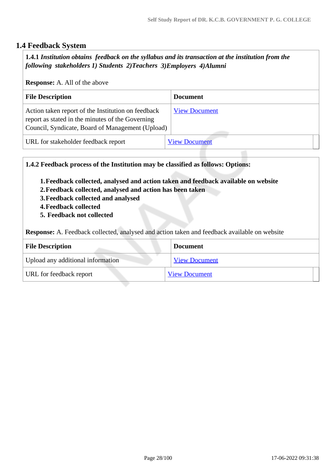### **1.4 Feedback System**

 **1.4.1** *Institution obtains feedback on the syllabus and its transaction at the institution from the following stakeholders 1) Students 2)Teachers 3)Employers 4)Alumni* 

**Response:** A. All of the above

| <b>File Description</b>                                                                                                                                    | <b>Document</b>      |
|------------------------------------------------------------------------------------------------------------------------------------------------------------|----------------------|
| Action taken report of the Institution on feedback<br>report as stated in the minutes of the Governing<br>Council, Syndicate, Board of Management (Upload) | <b>View Document</b> |
| URL for stakeholder feedback report                                                                                                                        | <b>View Document</b> |

**1.4.2 Feedback process of the Institution may be classified as follows: Options:**

- **1.Feedback collected, analysed and action taken and feedback available on website**
- **2.Feedback collected, analysed and action has been taken**
- **3.Feedback collected and analysed**
- **4.Feedback collected**
- **5. Feedback not collected**

**Response:** A. Feedback collected, analysed and action taken and feedback available on website

| <b>File Description</b>           | <b>Document</b>      |
|-----------------------------------|----------------------|
| Upload any additional information | <b>View Document</b> |
| URL for feedback report           | <b>View Document</b> |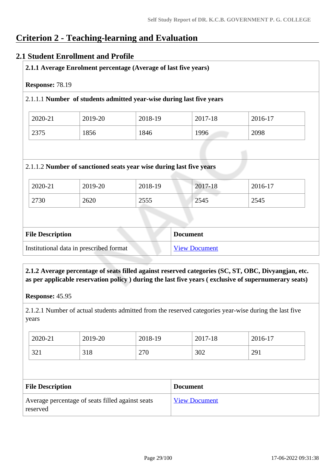# **Criterion 2 - Teaching-learning and Evaluation**

### **2.1 Student Enrollment and Profile**

|         |         | 2.1.1.1 Number of students admitted year-wise during last five years |         |         |
|---------|---------|----------------------------------------------------------------------|---------|---------|
| 2020-21 | 2019-20 | 2018-19                                                              | 2017-18 | 2016-17 |
| 2375    | 1856    | 1846                                                                 | 1996    | 2098    |
|         | 2019-20 | 2018-19                                                              | 2017-18 | 2016-17 |
| 2020-21 |         |                                                                      |         |         |

#### **2.1.2 Average percentage of seats filled against reserved categories (SC, ST, OBC, Divyangjan, etc. as per applicable reservation policy ) during the last five years ( exclusive of supernumerary seats)**

**Response:** 45.95

2.1.2.1 Number of actual students admitted from the reserved categories year-wise during the last five years

| 2020-21 | 2019-20 | 2018-19 | 2017-18 | 2016-17 |
|---------|---------|---------|---------|---------|
| 321     | 318     | 270     | 302     | 291     |

| <b>File Description</b>                                      | <b>Document</b>      |
|--------------------------------------------------------------|----------------------|
| Average percentage of seats filled against seats<br>reserved | <b>View Document</b> |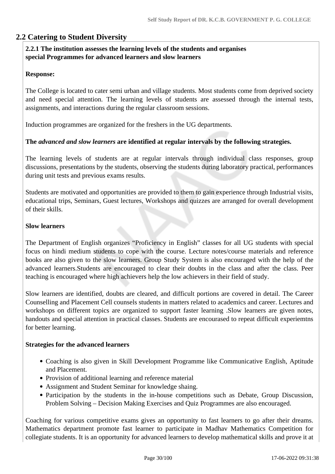## **2.2 Catering to Student Diversity**

#### **2.2.1 The institution assesses the learning levels of the students and organises special Programmes for advanced learners and slow learners**

#### **Response:**

The College is located to cater semi urban and village students. Most students come from deprived society and need special attention. The learning levels of students are assessed through the internal tests, assignments, and interactions during the regular classroom sessions.

Induction programmes are organized for the freshers in the UG departments.

#### **The** *advanced and slow learners* **are identified at regular intervals by the following strategies.**

The learning levels of students are at regular intervals through individual class responses, group discussions, presentations by the students, observing the students during laboratory practical, performances during unit tests and previous exams results.

Students are motivated and opportunities are provided to them to gain experience through Industrial visits, educational trips, Seminars, Guest lectures, Workshops and quizzes are arranged for overall development of their skills.

#### **Slow learners**

The Department of English organizes "Proficiency in English" classes for all UG students with special focus on hindi medium students to cope with the course. Lecture notes/course materials and reference books are also given to the slow learners. Group Study System is also encouraged with the help of the advanced learners.Students are encouraged to clear their doubts in the class and after the class. Peer teaching is encouraged where high achievers help the low achievers in their field of study.

Slow learners are identified, doubts are cleared, and difficult portions are covered in detail. The Career Counselling and Placement Cell counsels students in matters related to academics and career. Lectures and workshops on different topics are organized to support faster learning .Slow learners are given notes, handouts and special attention in practical classes. Students are encourased to repeat difficult experiemtns for better learning.

#### **Strategies for the advanced learners**

- Coaching is also given in Skill Development Programme like Communicative English, Aptitude and Placement.
- Provision of additional learning and reference material
- Assignment and Student Seminar for knowledge shaing.
- Participation by the students in the in-house competitions such as Debate, Group Discussion, Problem Solving – Decision Making Exercises and Quiz Programmes are also encouraged.

Coaching for various competitive exams gives an opportunity to fast learners to go after their dreams. Mathematics department promote fast learner to participate in Madhav Mathematics Competition for collegiate students. It is an opportunity for advanced learners to develop mathematical skills and prove it at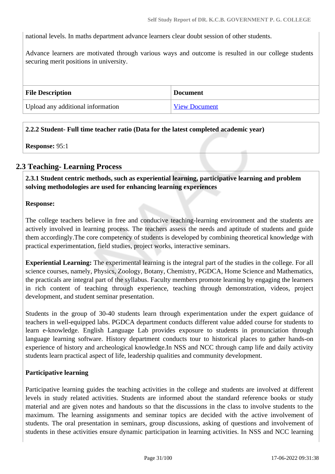national levels. In maths department advance learners clear doubt session of other students.

Advance learners are motivated through various ways and outcome is resulted in our college students securing merit positions in university.

| <b>File Description</b>           | <b>Document</b>      |
|-----------------------------------|----------------------|
| Upload any additional information | <b>View Document</b> |

#### **2.2.2 Student- Full time teacher ratio (Data for the latest completed academic year)**

**Response:** 95:1

#### **2.3 Teaching- Learning Process**

 **2.3.1 Student centric methods, such as experiential learning, participative learning and problem solving methodologies are used for enhancing learning experiences**

#### **Response:**

The college teachers believe in free and conducive teaching-learning environment and the students are actively involved in learning process. The teachers assess the needs and aptitude of students and guide them accordingly.The core competency of students is developed by combining theoretical knowledge with practical experimentation, field studies, project works, interactive seminars.

**Experiential Learning:** The experimental learning is the integral part of the studies in the college. For all science courses, namely, Physics, Zoology, Botany, Chemistry, PGDCA, Home Science and Mathematics, the practicals are integral part of the syllabus. Faculty members promote learning by engaging the learners in rich content of teaching through experience, teaching through demonstration, videos, project development, and student seminar presentation.

Students in the group of 30-40 students learn through experimentation under the expert guidance of teachers in well-equipped labs. PGDCA department conducts different value added course for students to learn e-knowledge. English Language Lab provides exposure to students in pronunciation through language learning software. History department conducts tour to historical places to gather hands-on experience of history and archeological knowledge.In NSS and NCC through camp life and daily activity students learn practical aspect of life, leadership qualities and community development.

#### **Participative learning**

Participative learning guides the teaching activities in the college and students are involved at different levels in study related activities. Students are informed about the standard reference books or study material and are given notes and handouts so that the discussions in the class to involve students to the maximum. The learning assignments and seminar topics are decided with the active involvement of students. The oral presentation in seminars, group discussions, asking of questions and involvement of students in these activities ensure dynamic participation in learning activities. In NSS and NCC learning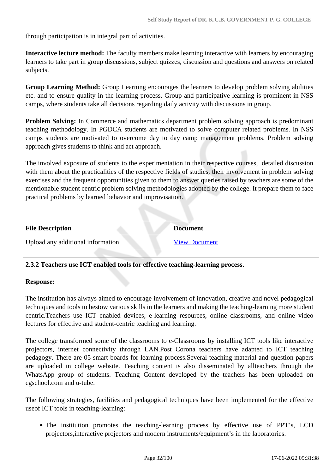through participation is in integral part of activities.

**Interactive lecture method:** The faculty members make learning interactive with learners by encouraging learners to take part in group discussions, subject quizzes, discussion and questions and answers on related subjects.

**Group Learning Method:** Group Learning encourages the learners to develop problem solving abilities etc. and to ensure quality in the learning process. Group and participative learning is prominent in NSS camps, where students take all decisions regarding daily activity with discussions in group.

**Problem Solving:** In Commerce and mathematics department problem solving approach is predominant teaching methodology. In PGDCA students are motivated to solve computer related problems. In NSS camps students are motivated to overcome day to day camp management problems. Problem solving approach gives students to think and act approach.

The involved exposure of students to the experimentation in their respective courses, detailed discussion with them about the practicalities of the respective fields of studies, their involvement in problem solving exercises and the frequent opportunities given to them to answer queries raised by teachers are some of the mentionable student centric problem solving methodologies adopted by the college. It prepare them to face practical problems by learned behavior and improvisation.

| <b>File Description</b>           | <b>Document</b>      |
|-----------------------------------|----------------------|
| Upload any additional information | <b>View Document</b> |

#### **2.3.2 Teachers use ICT enabled tools for effective teaching-learning process.**

#### **Response:**

The institution has always aimed to encourage involvement of innovation, creative and novel pedagogical techniques and tools to bestow various skills in the learners and making the teaching-learning more student centric.Teachers use ICT enabled devices, e-learning resources, online classrooms, and online video lectures for effective and student-centric teaching and learning.

The college transformed some of the classrooms to e-Classrooms by installing ICT tools like interactive projectors, internet connectivity through LAN.Post Corona teachers have adapted to ICT teaching pedagogy. There are 05 smart boards for learning process.Several teaching material and question papers are uploaded in college website. Teaching content is also disseminated by allteachers through the WhatsApp group of students. Teaching Content developed by the teachers has been uploaded on cgschool.com and u-tube.

The following strategies, facilities and pedagogical techniques have been implemented for the effective useof ICT tools in teaching-learning:

The institution promotes the teaching-learning process by effective use of PPT's, LCD projectors,interactive projectors and modern instruments/equipment's in the laboratories.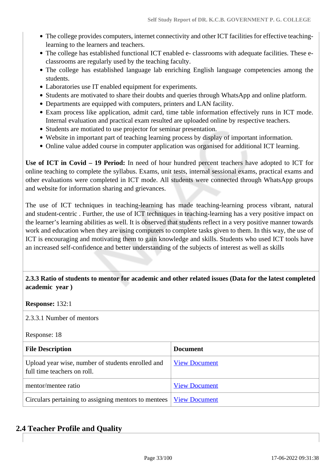- The college provides computers, internet connectivity and other ICT facilities for effective teachinglearning to the learners and teachers.
- The college has established functional ICT enabled e- classrooms with adequate facilities. These eclassrooms are regularly used by the teaching faculty.
- The college has established language lab enriching English language competencies among the students.
- Laboratories use IT enabled equipment for experiments.
- Students are motivated to share their doubts and queries through WhatsApp and online platform.
- Departments are equipped with computers, printers and LAN facility.
- Exam process like application, admit card, time table information effectively runs in ICT mode. Internal evaluation and practical exam resulted are uploaded online by respective teachers.
- Students are motiated to use projector for seminar presentation.
- Website in important part of teaching learning process by display of important information.
- Online value added course in computer application was organised for additional ICT learning.

**Use of ICT in Covid – 19 Period:** In need of hour hundred percent teachers have adopted to ICT for online teaching to complete the syllabus. Exams, unit tests, internal sessional exams, practical exams and other evaluations were completed in ICT mode. All students were connected through WhatsApp groups and website for information sharing and grievances.

The use of ICT techniques in teaching-learning has made teaching-learning process vibrant, natural and student-centric . Further, the use of ICT techniques in teaching-learning has a very positive impact on the learner's learning abilities as well. It is observed that students reflect in a very positive manner towards work and education when they are using computers to complete tasks given to them. In this way, the use of ICT is encouraging and motivating them to gain knowledge and skills. Students who used ICT tools have an increased self-confidence and better understanding of the subjects of interest as well as skills

 **2.3.3 Ratio of students to mentor for academic and other related issues (Data for the latest completed academic year )**

#### **Response:** 132:1

2.3.3.1 Number of mentors

Response: 18

| <b>File Description</b>                                                          | <b>Document</b>      |
|----------------------------------------------------------------------------------|----------------------|
| Upload year wise, number of students enrolled and<br>full time teachers on roll. | <b>View Document</b> |
| mentor/mentee ratio                                                              | <b>View Document</b> |
| Circulars pertaining to assigning mentors to mentees   <u>View Document</u>      |                      |

### **2.4 Teacher Profile and Quality**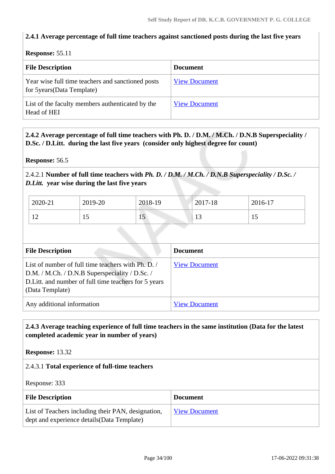#### **2.4.1 Average percentage of full time teachers against sanctioned posts during the last five years**

#### **Response:** 55.11

| <b>File Description</b>                                                         | <b>Document</b>      |
|---------------------------------------------------------------------------------|----------------------|
| Year wise full time teachers and sanctioned posts<br>for 5years (Data Template) | <b>View Document</b> |
| List of the faculty members authenticated by the<br>Head of HEI                 | <b>View Document</b> |

### **2.4.2 Average percentage of full time teachers with Ph. D. / D.M. / M.Ch. / D.N.B Superspeciality / D.Sc. / D.Litt. during the last five years (consider only highest degree for count)**

**Response:** 56.5

### 2.4.2.1 **Number of full time teachers with** *Ph. D. / D.M. / M.Ch. / D.N.B Superspeciality / D.Sc. / D.Litt.* **year wise during the last five years**

| 2020-21                   | 2019-20 | 2018-19 | 2017-18                  | 2016-17 |
|---------------------------|---------|---------|--------------------------|---------|
| 1 <sub>0</sub><br>$\perp$ | ⊥ັ      | ΠJ      | $\overline{\phantom{0}}$ | 1 J     |

| <b>File Description</b>                                                                                                                                                          | <b>Document</b>      |
|----------------------------------------------------------------------------------------------------------------------------------------------------------------------------------|----------------------|
| List of number of full time teachers with Ph. D. /<br>D.M. / M.Ch. / D.N.B Superspeciality / D.Sc. /<br>D. Litt. and number of full time teachers for 5 years<br>(Data Template) | <b>View Document</b> |
| Any additional information                                                                                                                                                       | <b>View Document</b> |

### **2.4.3 Average teaching experience of full time teachers in the same institution (Data for the latest completed academic year in number of years)**

**Response:** 13.32

#### 2.4.3.1 **Total experience of full-time teachers**

Response: 333

| <b>File Description</b>                                                                           | <b>Document</b>      |
|---------------------------------------------------------------------------------------------------|----------------------|
| List of Teachers including their PAN, designation,<br>dept and experience details (Data Template) | <b>View Document</b> |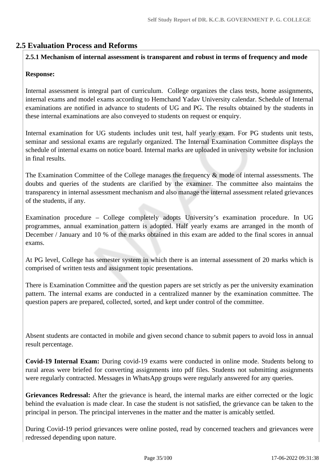# **2.5 Evaluation Process and Reforms**

#### **2.5.1 Mechanism of internal assessment is transparent and robust in terms of frequency and mode**

#### **Response:**

Internal assessment is integral part of curriculum. College organizes the class tests, home assignments, internal exams and model exams according to Hemchand Yadav University calendar. Schedule of Internal examinations are notified in advance to students of UG and PG. The results obtained by the students in these internal examinations are also conveyed to students on request or enquiry.

Internal examination for UG students includes unit test, half yearly exam. For PG students unit tests, seminar and sessional exams are regularly organized. The Internal Examination Committee displays the schedule of internal exams on notice board. Internal marks are uploaded in university website for inclusion in final results.

The Examination Committee of the College manages the frequency & mode of internal assessments. The doubts and queries of the students are clarified by the examiner. The committee also maintains the transparency in internal assessment mechanism and also manage the internal assessment related grievances of the students, if any.

Examination procedure – College completely adopts University's examination procedure. In UG programmes, annual examination pattern is adopted. Half yearly exams are arranged in the month of December / January and 10 % of the marks obtained in this exam are added to the final scores in annual exams.

At PG level, College has semester system in which there is an internal assessment of 20 marks which is comprised of written tests and assignment topic presentations.

There is Examination Committee and the question papers are set strictly as per the university examination pattern. The internal exams are conducted in a centralized manner by the examination committee. The question papers are prepared, collected, sorted, and kept under control of the committee.

Absent students are contacted in mobile and given second chance to submit papers to avoid loss in annual result percentage.

**Covid-19 Internal Exam:** During covid-19 exams were conducted in online mode. Students belong to rural areas were briefed for converting assignments into pdf files. Students not submitting assignments were regularly contracted. Messages in WhatsApp groups were regularly answered for any queries.

**Grievances Redressal:** After the grievance is heard, the internal marks are either corrected or the logic behind the evaluation is made clear. In case the student is not satisfied, the grievance can be taken to the principal in person. The principal intervenes in the matter and the matter is amicably settled.

During Covid-19 period grievances were online posted, read by concerned teachers and grievances were redressed depending upon nature.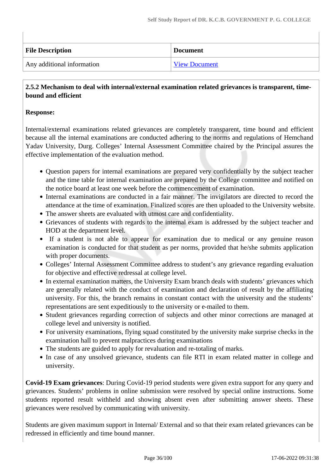| <b>File Description</b>    | <b>Document</b>      |
|----------------------------|----------------------|
| Any additional information | <b>View Document</b> |

#### **2.5.2 Mechanism to deal with internal/external examination related grievances is transparent, timebound and efficient**

#### **Response:**

Internal/external examinations related grievances are completely transparent, time bound and efficient because all the internal examinations are conducted adhering to the norms and regulations of Hemchand Yadav University, Durg. Colleges' Internal Assessment Committee chaired by the Principal assures the effective implementation of the evaluation method.

- Question papers for internal examinations are prepared very confidentially by the subject teacher and the time table for internal examination are prepared by the College committee and notified on the notice board at least one week before the commencement of examination.
- Internal examinations are conducted in a fair manner. The invigilators are directed to record the attendance at the time of examination. Finalized scores are then uploaded to the University website.
- The answer sheets are evaluated with utmost care and confidentiality.
- Grievances of students with regards to the internal exam is addressed by the subject teacher and HOD at the department level.
- If a student is not able to appear for examination due to medical or any genuine reason examination is conducted for that student as per norms, provided that he/she submits application with proper documents.
- Colleges' Internal Assessment Committee address to student's any grievance regarding evaluation for objective and effective redressal at college level.
- In external examination matters, the University Exam branch deals with students' grievances which are generally related with the conduct of examination and declaration of result by the affiliating university. For this, the branch remains in constant contact with the university and the students' representations are sent expeditiously to the university or e-mailed to them.
- Student grievances regarding correction of subjects and other minor corrections are managed at college level and university is notified.
- For university examinations, flying squad constituted by the university make surprise checks in the examination hall to prevent malpractices during examinations
- The students are guided to apply for revaluation and re-totaling of marks.
- In case of any unsolved grievance, students can file RTI in exam related matter in college and university.

**Covid-19 Exam grievances**: During Covid-19 period students were given extra support for any query and grievances. Students' problems in online submission were resolved by special online instructions. Some students reported result withheld and showing absent even after submitting answer sheets. These grievances were resolved by communicating with university.

Students are given maximum support in Internal/ External and so that their exam related grievances can be redressed in efficiently and time bound manner.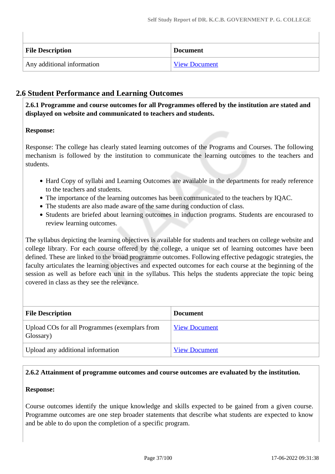| <b>File Description</b>    | <b>Document</b>      |
|----------------------------|----------------------|
| Any additional information | <b>View Document</b> |

## **2.6 Student Performance and Learning Outcomes**

 **2.6.1 Programme and course outcomes for all Programmes offered by the institution are stated and displayed on website and communicated to teachers and students.**

## **Response:**

Response: The college has clearly stated learning outcomes of the Programs and Courses. The following mechanism is followed by the institution to communicate the learning outcomes to the teachers and students.

- Hard Copy of syllabi and Learning Outcomes are available in the departments for ready reference to the teachers and students.
- The importance of the learning outcomes has been communicated to the teachers by IQAC.
- The students are also made aware of the same during conduction of class.
- Students are briefed about learning outcomes in induction programs. Students are encourased to review learning outcomes.

The syllabus depicting the learning objectives is available for students and teachers on college website and college library. For each course offered by the college, a unique set of learning outcomes have been defined. These are linked to the broad programme outcomes. Following effective pedagogic strategies, the faculty articulates the learning objectives and expected outcomes for each course at the beginning of the session as well as before each unit in the syllabus. This helps the students appreciate the topic being covered in class as they see the relevance.

| <b>File Description</b>                                    | <b>Document</b>      |
|------------------------------------------------------------|----------------------|
| Upload COs for all Programmes (exemplars from<br>Glossary) | <b>View Document</b> |
| Upload any additional information                          | <b>View Document</b> |

## **2.6.2 Attainment of programme outcomes and course outcomes are evaluated by the institution.**

## **Response:**

Course outcomes identify the unique knowledge and skills expected to be gained from a given course. Programme outcomes are one step broader statements that describe what students are expected to know and be able to do upon the completion of a specific program.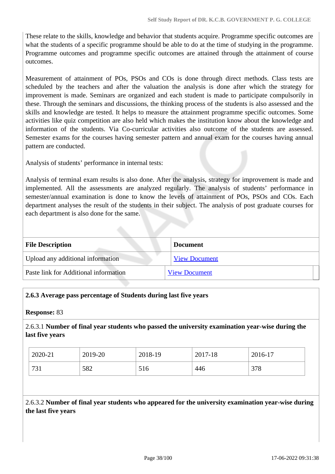These relate to the skills, knowledge and behavior that students acquire. Programme specific outcomes are what the students of a specific programme should be able to do at the time of studying in the programme. Programme outcomes and programme specific outcomes are attained through the attainment of course outcomes.

Measurement of attainment of POs, PSOs and COs is done through direct methods. Class tests are scheduled by the teachers and after the valuation the analysis is done after which the strategy for improvement is made. Seminars are organized and each student is made to participate compulsorily in these. Through the seminars and discussions, the thinking process of the students is also assessed and the skills and knowledge are tested. It helps to measure the attainment programme specific outcomes. Some activities like quiz competition are also held which makes the institution know about the knowledge and information of the students. Via Co-curricular activities also outcome of the students are assessed. Semester exams for the courses having semester pattern and annual exam for the courses having annual pattern are conducted.

Analysis of students' performance in internal tests:

Analysis of terminal exam results is also done. After the analysis, strategy for improvement is made and implemented. All the assessments are analyzed regularly. The analysis of students' performance in semester/annual examination is done to know the levels of attainment of POs, PSOs and COs. Each department analyses the result of the students in their subject. The analysis of post graduate courses for each department is also done for the same.

| <b>File Description</b>               | <b>Document</b>      |
|---------------------------------------|----------------------|
| Upload any additional information     | <b>View Document</b> |
| Paste link for Additional information | <b>View Document</b> |

## **2.6.3 Average pass percentage of Students during last five years**

**Response:** 83

2.6.3.1 **Number of final year students who passed the university examination year-wise during the last five years**

| 2020-21 | 2019-20 | 2018-19 | 2017-18 | 2016-17    |
|---------|---------|---------|---------|------------|
| 731     | 582     | 516     | 446     | 270<br>310 |

2.6.3.2 **Number of final year students who appeared for the university examination year-wise during the last five years**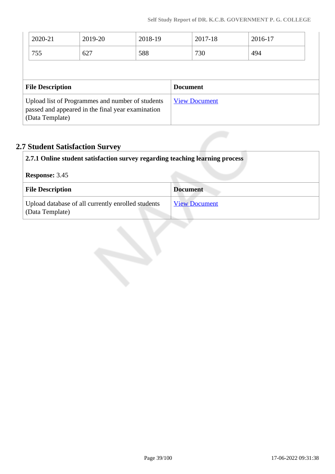| 2020-21                                                                                                                  | 2019-20 | 2018-19 |  | 2017-18              | 2016-17 |  |
|--------------------------------------------------------------------------------------------------------------------------|---------|---------|--|----------------------|---------|--|
| 755                                                                                                                      | 627     | 588     |  | 730                  | 494     |  |
|                                                                                                                          |         |         |  |                      |         |  |
| <b>File Description</b><br><b>Document</b>                                                                               |         |         |  |                      |         |  |
| Upload list of Programmes and number of students<br>passed and appeared in the final year examination<br>(Data Template) |         |         |  | <b>View Document</b> |         |  |

# **2.7 Student Satisfaction Survey**

| 2.7.1 Online student satisfaction survey regarding teaching learning process |                      |  |  |
|------------------------------------------------------------------------------|----------------------|--|--|
| <b>Response: 3.45</b>                                                        |                      |  |  |
| <b>File Description</b>                                                      | <b>Document</b>      |  |  |
| Upload database of all currently enrolled students<br>(Data Template)        | <b>View Document</b> |  |  |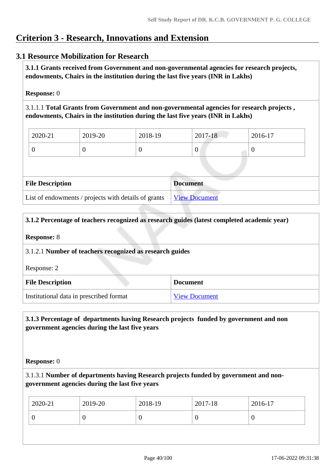# **Criterion 3 - Research, Innovations and Extension**

## **3.1 Resource Mobilization for Research**

 **3.1.1 Grants received from Government and non-governmental agencies for research projects, endowments, Chairs in the institution during the last five years (INR in Lakhs)** 

#### **Response:** 0

3.1.1.1 **Total Grants from Government and non-governmental agencies for research projects , endowments, Chairs in the institution during the last five years (INR in Lakhs)**

| 2020-21 | 2019-20 | 2018-19 | 2017-18 | 2016-17 |
|---------|---------|---------|---------|---------|
|         |         |         | v       |         |

| <b>File Description</b>                                              | <b>Document</b> |
|----------------------------------------------------------------------|-----------------|
| List of endowments / projects with details of grants   View Document |                 |

#### **3.1.2 Percentage of teachers recognized as research guides (latest completed academic year)**

# **Response:** 8 3.1.2.1 **Number of teachers recognized as research guides** Response: 2 **File Description Document** Institutional data in prescribed format [View Document](https://assessmentonline.naac.gov.in/storage/app/hei/SSR/106643/3.1.2_1642172526_6997.pdf)

## **3.1.3 Percentage of departments having Research projects funded by government and non government agencies during the last five years**

#### **Response:** 0

3.1.3.1 **Number of departments having Research projects funded by government and nongovernment agencies during the last five years**

| 2020-21 | 2019-20 | 2018-19 | 2017-18 | 2016-17 |
|---------|---------|---------|---------|---------|
|         | ν       |         |         | U       |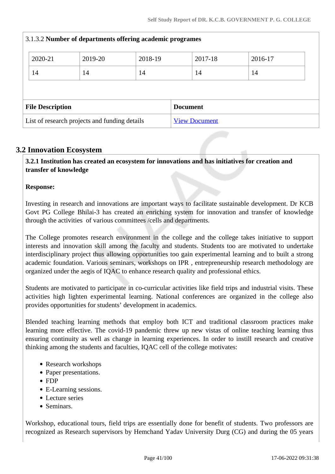|                                                                       | 3.1.3.2 Number of departments offering academic programes |         |         |  |         |         |  |
|-----------------------------------------------------------------------|-----------------------------------------------------------|---------|---------|--|---------|---------|--|
|                                                                       | 2020-21                                                   | 2019-20 | 2018-19 |  | 2017-18 | 2016-17 |  |
|                                                                       | 14                                                        | 14      | 14      |  | 14      | 14      |  |
|                                                                       |                                                           |         |         |  |         |         |  |
|                                                                       | <b>File Description</b><br><b>Document</b>                |         |         |  |         |         |  |
| List of research projects and funding details<br><b>View Document</b> |                                                           |         |         |  |         |         |  |

## **3.2 Innovation Ecosystem**

 **3.2.1 Institution has created an ecosystem for innovations and has initiatives for creation and transfer of knowledge**

## **Response:**

Investing in research and innovations are important ways to facilitate sustainable development. Dr KCB Govt PG College Bhilai-3 has created an enriching system for innovation and transfer of knowledge through the activities of various committees /cells and departments.

The College promotes research environment in the college and the college takes initiative to support interests and innovation skill among the faculty and students. Students too are motivated to undertake interdisciplinary project thus allowing opportunities too gain experimental learning and to built a strong academic foundation. Various seminars, workshops on IPR , entrepreneurship research methodology are organized under the aegis of IQAC to enhance research quality and professional ethics.

Students are motivated to participate in co-curricular activities like field trips and industrial visits. These activities high lighten experimental learning. National conferences are organized in the college also provides opportunities for students' development in academics.

Blended teaching learning methods that employ both ICT and traditional classroom practices make learning more effective. The covid-19 pandemic threw up new vistas of online teaching learning thus ensuring continuity as well as change in learning experiences. In order to instill research and creative thinking among the students and faculties, IQAC cell of the college motivates:

- Research workshops
- Paper presentations.
- FDP
- E-Learning sessions.
- Lecture series
- Seminars.

Workshop, educational tours, field trips are essentially done for benefit of students. Two professors are recognized as Research supervisors by Hemchand Yadav University Durg (CG) and during the 05 years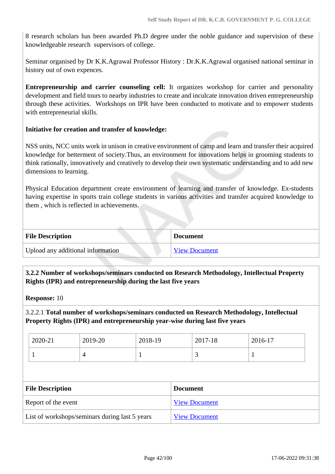8 research scholars has been awarded Ph.D degree under the noble guidance and supervision of these knowledgeable research supervisors of college.

Seminar organised by Dr K.K.Agrawal Professor History : Dr.K.K.Agrawal organised national seminar in history out of own expences.

**Entrepreneurship and carrier counseling cell:** It organizes workshop for carrier and personality development and field tours to nearby industries to create and inculcate innovation driven entrepreneurship through these activities. Workshops on IPR have been conducted to motivate and to empower students with entrepreneurial skills.

#### **Initiative for creation and transfer of knowledge:**

NSS units, NCC units work in unison in creative environment of camp and learn and transfer their acquired knowledge for betterment of society.Thus, an environment for innovations helps in grooming students to think rationally, innovatively and creatively to develop their own systematic understanding and to add new dimensions to learning.

Physical Education department create environment of learning and transfer of knowledge. Ex-students having expertise in sports train college students in various activities and transfer acquired knowledge to them , which is reflected in achievements.

| <b>File Description</b>           | <b>Document</b>      |
|-----------------------------------|----------------------|
| Upload any additional information | <b>View Document</b> |

 **3.2.2 Number of workshops/seminars conducted on Research Methodology, Intellectual Property Rights (IPR) and entrepreneurship during the last five years**

**Response:** 10

3.2.2.1 **Total number of workshops/seminars conducted on Research Methodology, Intellectual Property Rights (IPR) and entrepreneurship year-wise during last five years** 

| 2020-21 | 2019-20 | 2018-19 | 2017-18 | 2016-17 |
|---------|---------|---------|---------|---------|
|         |         |         |         |         |

| <b>File Description</b>                        | <b>Document</b>      |
|------------------------------------------------|----------------------|
| Report of the event                            | <b>View Document</b> |
| List of workshops/seminars during last 5 years | <b>View Document</b> |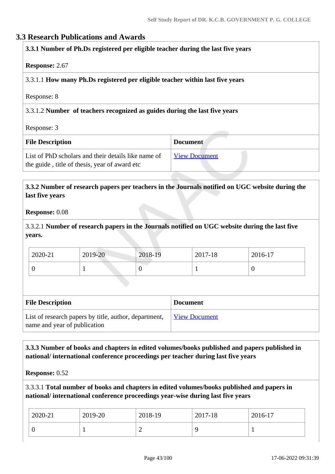## **3.3 Research Publications and Awards**

## **3.3.1 Number of Ph.Ds registered per eligible teacher during the last five years**

#### **Response:** 2.67

#### 3.3.1.1 **How many Ph.Ds registered per eligible teacher within last five years**

Response: 8

#### 3.3.1.2 **Number of teachers recognized as guides during the last five years**

Response: 3

| <b>File Description</b>                                                                              | <b>Document</b>      |
|------------------------------------------------------------------------------------------------------|----------------------|
| List of PhD scholars and their details like name of<br>the guide, title of thesis, year of award etc | <b>View Document</b> |

#### **3.3.2 Number of research papers per teachers in the Journals notified on UGC website during the last five years**

**Response:** 0.08

3.3.2.1 **Number of research papers in the Journals notified on UGC website during the last five years.**

| $12020 - 21$ | 2019-20 | 2018-19 | 2017-18 | 2016-17 |
|--------------|---------|---------|---------|---------|
|              |         |         |         |         |

| <b>File Description</b>                                                               | <b>Document</b>      |
|---------------------------------------------------------------------------------------|----------------------|
| List of research papers by title, author, department,<br>name and year of publication | <b>View Document</b> |

## **3.3.3 Number of books and chapters in edited volumes/books published and papers published in national/ international conference proceedings per teacher during last five years**

**Response:** 0.52

## 3.3.3.1 **Total number of books and chapters in edited volumes/books published and papers in national/ international conference proceedings year-wise during last five years**

| 2020-21 | 2019-20 | 2018-19 | 2017-18 | 2016-17 |
|---------|---------|---------|---------|---------|
|         |         | ∼       |         |         |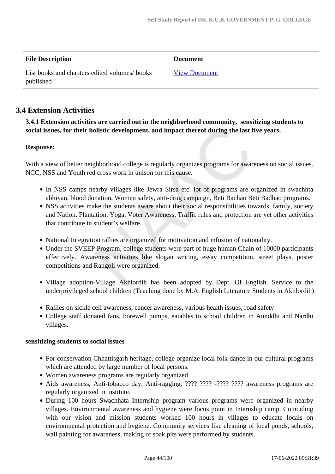| <b>File Description</b>                                   | <b>Document</b>      |
|-----------------------------------------------------------|----------------------|
| List books and chapters edited volumes/books<br>published | <b>View Document</b> |

## **3.4 Extension Activities**

 **3.4.1 Extension activities are carried out in the neighborhood community, sensitizing students to social issues, for their holistic development, and impact thereof during the last five years.**

## **Response:**

With a view of better neighborhood college is regularly organizes programs for awareness on social issues. NCC, NSS and Youth red cross work in unison for this cause.

- In NSS camps nearby villages like Jewra Sirsa etc. lot of programs are organized in swachhta abhiyan, blood donation, Women safety, anti-drug campaign, Beti Bachao Beti Badhao programs.
- NSS activities make the students aware about their social responsibilities towards, family, society and Nation. Plantation, Yoga, Voter Awareness, Traffic rules and protection are yet other activities that contribute in student's welfare.
- National Integration rallies are organized for motivation and infusion of nationality.
- Under the SVEEP Program, college students were part of huge human Chain of 10000 participants effectively. Awareness activities like slogan writing, essay competition, street plays, poster competitions and Rangoli were organized.
- Village adoption-Village Akhlordih has been adopted by Dept. Of English. Service to the underprivileged school children (Teaching done by M.A. English Literature Students in Akhlordih)
- Rallies on sickle cell awareness, cancer awareness, various health issues, road safety
- College staff donated fans, borewell pumps, eatables to school children in Aunddhi and Nardhi villages.

## **sensitizing students to social issues**

- For conservation Chhattisgarh heritage, college organize local folk dance in our cultural programs which are attended by large number of local persons.
- Women awareness programs are regularly organized.
- Aids awareness, Anti-tobacco day, Anti-ragging, ???? ???? -???? ???? awareness programs are regularly organized in institute.
- During 100 hours Swachhata Internship program various programs were organized in nearby villages. Environmental awareness and hygiene were focus point in Internship camp. Coinciding with our vision and mission students worked 100 hours in villages to educate locals on environmental protection and hygiene. Community services like cleaning of local ponds, schools, wall painting for awareness, making of soak pits were performed by students.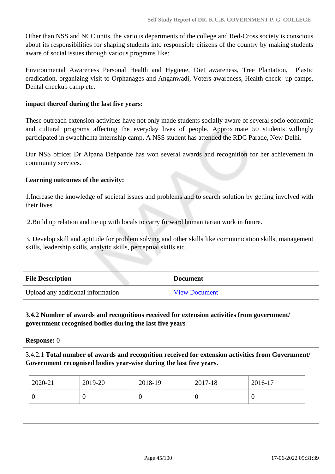Other than NSS and NCC units, the various departments of the college and Red-Cross society is conscious about its responsibilities for shaping students into responsible citizens of the country by making students aware of social issues through various programs like:

Environmental Awareness Personal Health and Hygiene, Diet awareness, Tree Plantation, Plastic eradication, organizing visit to Orphanages and Anganwadi, Voters awareness, Health check -up camps, Dental checkup camp etc.

#### **impact thereof during the last five years:**

These outreach extension activities have not only made students socially aware of several socio economic and cultural programs affecting the everyday lives of people. Approximate 50 students willingly participated in swachhchta internship camp. A NSS student has attended the RDC Parade, New Delhi.

Our NSS officer Dr Alpana Dehpande has won several awards and recognition for her achievement in community services.

#### **Learning outcomes of the activity:**

1.Increase the knowledge of societal issues and problems and to search solution by getting involved with their lives.

2.Build up relation and tie up with locals to carry forward humanitarian work in future.

3. Develop skill and aptitude for problem solving and other skills like communication skills, management skills, leadership skills, analytic skills, perceptual skills etc.

| <b>File Description</b>           | <b>Document</b>      |
|-----------------------------------|----------------------|
| Upload any additional information | <b>View Document</b> |

## **3.4.2 Number of awards and recognitions received for extension activities from government/ government recognised bodies during the last five years**

**Response:** 0

3.4.2.1 **Total number of awards and recognition received for extension activities from Government/ Government recognised bodies year-wise during the last five years.**

| 2020-21 | 2019-20 | 2018-19 | 2017-18 | 2016-17 |
|---------|---------|---------|---------|---------|
| ν       |         |         | 0       |         |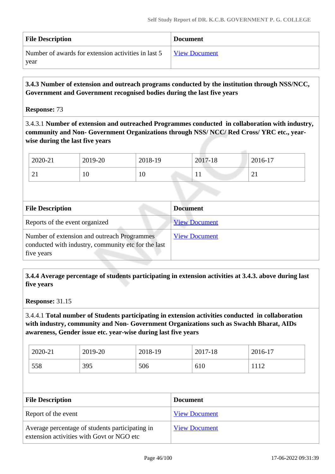| <b>File Description</b>                             | <b>Document</b>      |
|-----------------------------------------------------|----------------------|
| Number of awards for extension activities in last 5 | <b>View Document</b> |
| year                                                |                      |

 **3.4.3 Number of extension and outreach programs conducted by the institution through NSS/NCC, Government and Government recognised bodies during the last five years**

#### **Response:** 73

3.4.3.1 **Number of extension and outreached Programmes conducted in collaboration with industry, community and Non- Government Organizations through NSS/ NCC/ Red Cross/ YRC etc., yearwise during the last five years**

| 2020-21  | 2019-20 | 2018-19  | 2017-18 | 2016-17              |
|----------|---------|----------|---------|----------------------|
| $\sim$ 1 | 10      | 10<br>ΙV | T T     | $\sim$ 1<br>$\sim$ 1 |

| <b>File Description</b>                                                                                          | <b>Document</b>      |
|------------------------------------------------------------------------------------------------------------------|----------------------|
| Reports of the event organized                                                                                   | <b>View Document</b> |
| Number of extension and outreach Programmes<br>conducted with industry, community etc for the last<br>five years | <b>View Document</b> |

 **3.4.4 Average percentage of students participating in extension activities at 3.4.3. above during last five years**

**Response:** 31.15

3.4.4.1 **Total number of Students participating in extension activities conducted in collaboration with industry, community and Non- Government Organizations such as Swachh Bharat, AIDs awareness, Gender issue etc. year-wise during last five years**

| 2020-21 | 2019-20 | 2018-19 | 2017-18 | 2016-17 |
|---------|---------|---------|---------|---------|
| 558     | 395     | 506     | 610     | .112    |

| <b>File Description</b>                                                                      | <b>Document</b>      |  |
|----------------------------------------------------------------------------------------------|----------------------|--|
| Report of the event                                                                          | <b>View Document</b> |  |
| Average percentage of students participating in<br>extension activities with Govt or NGO etc | <b>View Document</b> |  |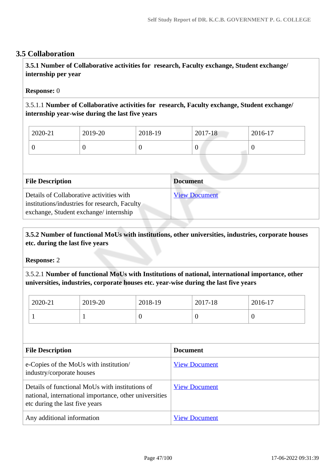## **3.5 Collaboration**

 **3.5.1 Number of Collaborative activities for research, Faculty exchange, Student exchange/ internship per year**

#### **Response:** 0

3.5.1.1 **Number of Collaborative activities for research, Faculty exchange, Student exchange/ internship year-wise during the last five years**

| 2020-21 | 2019-20 | 2018-19 | 2017-18          | 2016-17 |
|---------|---------|---------|------------------|---------|
|         | ◡       |         | $\boldsymbol{0}$ |         |

| <b>File Description</b>                                                                                                            | <b>Document</b>      |
|------------------------------------------------------------------------------------------------------------------------------------|----------------------|
| Details of Collaborative activities with<br>institutions/industries for research, Faculty<br>exchange, Student exchange/internship | <b>View Document</b> |

## **3.5.2 Number of functional MoUs with institutions, other universities, industries, corporate houses etc. during the last five years**

**Response:** 2

3.5.2.1 **Number of functional MoUs with Institutions of national, international importance, other universities, industries, corporate houses etc. year-wise during the last five years**

| 2020-21 | 2019-20 | 2018-19 | 2017-18 | 2016-17 |
|---------|---------|---------|---------|---------|
|         |         | ν       |         | ິ       |

| <b>File Description</b>                                                                                                                     | <b>Document</b>      |
|---------------------------------------------------------------------------------------------------------------------------------------------|----------------------|
| e-Copies of the MoUs with institution/<br>industry/corporate houses                                                                         | <b>View Document</b> |
| Details of functional MoUs with institutions of<br>national, international importance, other universities<br>etc during the last five years | <b>View Document</b> |
| Any additional information                                                                                                                  | <b>View Document</b> |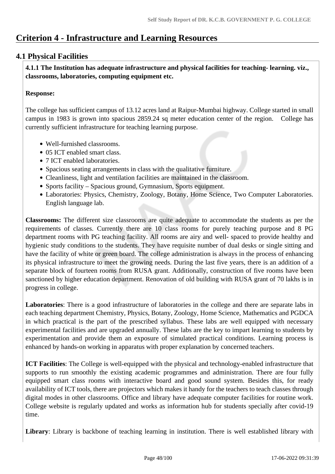# **Criterion 4 - Infrastructure and Learning Resources**

## **4.1 Physical Facilities**

 **4.1.1 The Institution has adequate infrastructure and physical facilities for teaching- learning. viz., classrooms, laboratories, computing equipment etc.** 

## **Response:**

The college has sufficient campus of 13.12 acres land at Raipur-Mumbai highway. College started in small campus in 1983 is grown into spacious 2859.24 sq meter education center of the region. College has currently sufficient infrastructure for teaching learning purpose.

- Well-furnished classrooms.
- 05 ICT enabled smart class.
- 7 ICT enabled laboratories.
- Spacious seating arrangements in class with the qualitative furniture.
- Cleanliness, light and ventilation facilities are maintained in the classroom.
- Sports facility Spacious ground, Gymnasium, Sports equipment.
- Laboratories: Physics, Chemistry, Zoology, Botany, Home Science, Two Computer Laboratories. English language lab.

**Classrooms:** The different size classrooms are quite adequate to accommodate the students as per the requirements of classes. Currently there are 10 class rooms for purely teaching purpose and 8 PG department rooms with PG teaching facility. All rooms are airy and well- spaced to provide healthy and hygienic study conditions to the students. They have requisite number of dual desks or single sitting and have the facility of white or green board. The college administration is always in the process of enhancing its physical infrastructure to meet the growing needs. During the last five years, there is an addition of a separate block of fourteen rooms from RUSA grant. Additionally, construction of five rooms have been sanctioned by higher education department. Renovation of old building with RUSA grant of 70 lakhs is in progress in college.

**Laboratories**: There is a good infrastructure of laboratories in the college and there are separate labs in each teaching department Chemistry, Physics, Botany, Zoology, Home Science, Mathematics and PGDCA in which practical is the part of the prescribed syllabus. These labs are well equipped with necessary experimental facilities and are upgraded annually. These labs are the key to impart learning to students by experimentation and provide them an exposure of simulated practical conditions. Learning process is enhanced by hands-on working in apparatus with proper explanation by concerned teachers.

**ICT Facilities**: The College is well-equipped with the physical and technology-enabled infrastructure that supports to run smoothly the existing academic programmes and administration. There are four fully equipped smart class rooms with interactive board and good sound system. Besides this, for ready availability of ICT tools, there are projectors which makes it handy for the teachers to teach classes through digital modes in other classrooms. Office and library have adequate computer facilities for routine work. College website is regularly updated and works as information hub for students specially after covid-19 time.

**Library**: Library is backbone of teaching learning in institution. There is well established library with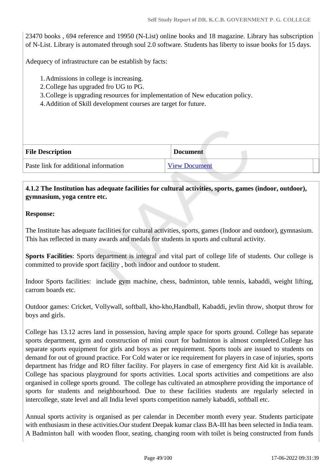23470 books , 694 reference and 19950 (N-List) online books and 18 magazine. Library has subscription of N-List. Library is automated through soul 2.0 software. Students has liberty to issue books for 15 days.

Adequecy of infrastructure can be establish by facts:

- 1.Admissions in college is increasing.
- 2.College has upgraded fro UG to PG.
- 3.College is upgrading resources for implementation of New education policy.
- 4.Addition of Skill development courses are target for future.

| <b>File Description</b>               | <b>Document</b>      |
|---------------------------------------|----------------------|
| Paste link for additional information | <b>View Document</b> |

## **4.1.2 The Institution has adequate facilities for cultural activities, sports, games (indoor, outdoor), gymnasium, yoga centre etc.**

#### **Response:**

The Institute has adequate facilities for cultural activities, sports, games (Indoor and outdoor), gymnasium. This has reflected in many awards and medals for students in sports and cultural activity.

**Sports Facilities**: Sports department is integral and vital part of college life of students. Our college is committed to provide sport facility , both indoor and outdoor to student.

Indoor Sports facilities: include gym machine, chess, badminton, table tennis, kabaddi, weight lifting, carrom boards etc.

Outdoor games: Cricket, Vollywall, softball, kho-kho,Handball, Kabaddi, jevlin throw, shotput throw for boys and girls.

College has 13.12 acres land in possession, having ample space for sports ground. College has separate sports department, gym and construction of mini court for badminton is almost completed.College has separate sports equipment for girls and boys as per requirement. Sports tools are issued to students on demand for out of ground practice. For Cold water or ice requirement for players in case of injuries, sports department has fridge and RO filter facility. For players in case of emergency first Aid kit is available. College has spacious playground for sports activities. Local sports activities and competitions are also organised in college sports ground. The college has cultivated an atmosphere providing the importance of sports for students and neighbourhood. Due to these facilities students are regularly selected in intercollege, state level and all India level sports competition namely kabaddi, softball etc.

Annual sports activity is organised as per calendar in December month every year. Students participate with enthusiasm in these activities.Our student Deepak kumar class BA-III has been selected in India team. A Badminton hall with wooden floor, seating, changing room with toilet is being constructed from funds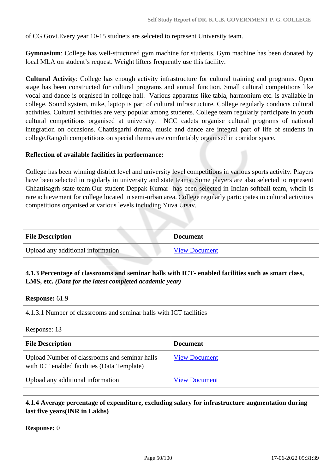of CG Govt.Every year 10-15 studnets are selceted to represent University team.

**Gymnasium**: College has well-structured gym machine for students. Gym machine has been donated by local MLA on student's request. Weight lifters frequently use this facility.

**Cultural Activity**: College has enough activity infrastructure for cultural training and programs. Open stage has been constructed for cultural programs and annual function. Small cultural competitions like vocal and dance is orgnised in college hall. Various apparatus like tabla, harmonium etc. is available in college. Sound system, mike, laptop is part of cultural infrastructure. College regularly conducts cultural activities. Cultural activities are very popular among students. College team regularly participate in youth cultural competitions organised at university. NCC cadets organise cultural programs of national integration on occasions. Chattisgarhi drama, music and dance are integral part of life of students in college.Rangoli competitions on special themes are comfortably organised in corridor space.

#### **Reflection of available facilities in performance:**

College has been winning district level and university level competitions in various sports activity. Players have been selected in regularly in university and state teams. Some players are also selected to represent Chhattisagrh state team.Our student Deppak Kumar has been selected in Indian softball team, whcih is rare achievement for college located in semi-urban area. College regularly participates in cultural activities competitions organised at various levels including Yuva Utsav.

| <b>File Description</b>           | <b>Document</b> |
|-----------------------------------|-----------------|
| Upload any additional information | View Document   |

## **4.1.3 Percentage of classrooms and seminar halls with ICT- enabled facilities such as smart class, LMS, etc.** *(Data for the latest completed academic year)*

**Response:** 61.9

4.1.3.1 Number of classrooms and seminar halls with ICT facilities

Response: 13

| <b>File Description</b>                                                                      | <b>Document</b>      |
|----------------------------------------------------------------------------------------------|----------------------|
| Upload Number of classrooms and seminar halls<br>with ICT enabled facilities (Data Template) | <b>View Document</b> |
| Upload any additional information                                                            | <b>View Document</b> |

## **4.1.4 Average percentage of expenditure, excluding salary for infrastructure augmentation during last five years(INR in Lakhs)**

**Response:** 0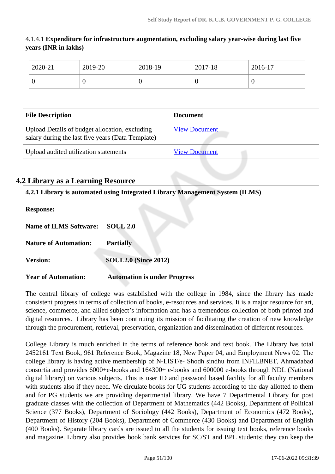|                                                                                                     | 4.1.4.1 Expenditure for infrastructure augmentation, excluding salary year-wise during last five<br>years (INR in lakhs) |          |                      |  |                |          |  |
|-----------------------------------------------------------------------------------------------------|--------------------------------------------------------------------------------------------------------------------------|----------|----------------------|--|----------------|----------|--|
|                                                                                                     | 2020-21                                                                                                                  | 2019-20  | 2018-19              |  | 2017-18        | 2016-17  |  |
|                                                                                                     | $\overline{0}$                                                                                                           | $\theta$ | $\Omega$             |  | $\overline{0}$ | $\theta$ |  |
|                                                                                                     |                                                                                                                          |          |                      |  |                |          |  |
| <b>File Description</b><br><b>Document</b>                                                          |                                                                                                                          |          |                      |  |                |          |  |
| Upload Details of budget allocation, excluding<br>salary during the last five years (Data Template) |                                                                                                                          |          | <b>View Document</b> |  |                |          |  |
| Upload audited utilization statements                                                               |                                                                                                                          |          | <b>View Document</b> |  |                |          |  |

## **4.2 Library as a Learning Resource**

|                               | 4.2.1 Library is automated using Integrated Library Management System (ILMS) |
|-------------------------------|------------------------------------------------------------------------------|
| <b>Response:</b>              |                                                                              |
| <b>Name of ILMS Software:</b> | <b>SOUL 2.0</b>                                                              |
| <b>Nature of Automation:</b>  | <b>Partially</b>                                                             |
| <b>Version:</b>               | <b>SOUL2.0 (Since 2012)</b>                                                  |
| <b>Year of Automation:</b>    | <b>Automation is under Progress</b>                                          |

The central library of college was established with the college in 1984, since the library has made consistent progress in terms of collection of books, e-resources and services. It is a major resource for art, science, commerce, and allied subject's information and has a tremendous collection of both printed and digital resources. Library has been continuing its mission of facilitating the creation of new knowledge through the procurement, retrieval, preservation, organization and dissemination of different resources.

College Library is much enriched in the terms of reference book and text book. The Library has total 2452161 Text Book, 961 Reference Book, Magazine 18, New Paper 04, and Employment News 02. The college library is having active membership of N-LIST/e- Shodh sindhu from INFILBNET, Ahmadabad consortia and provides 6000+e-books and 164300+ e-books and 600000 e-books through NDL (National digital library) on various subjects. This is user ID and password based facility for all faculty members with students also if they need. We circulate books for UG students according to the day allotted to them and for PG students we are providing departmental library. We have 7 Departmental Library for post graduate classes with the collection of Department of Mathematics (442 Books), Department of Political Science (377 Books), Department of Sociology (442 Books), Department of Economics (472 Books), Department of History (204 Books), Department of Commerce (430 Books) and Department of English (400 Books). Separate library cards are issued to all the students for issuing text books, reference books and magazine. Library also provides book bank services for SC/ST and BPL students; they can keep the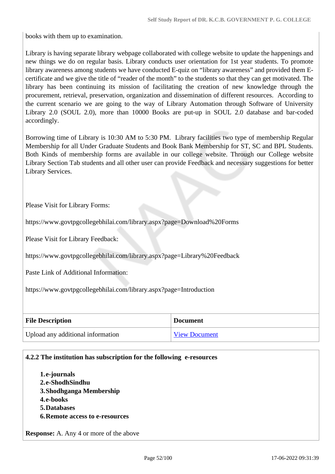books with them up to examination.

Library is having separate library webpage collaborated with college website to update the happenings and new things we do on regular basis. Library conducts user orientation for 1st year students. To promote library awareness among students we have conducted E-quiz on "library awareness" and provided them Ecertificate and we give the title of "reader of the month" to the students so that they can get motivated. The library has been continuing its mission of facilitating the creation of new knowledge through the procurement, retrieval, preservation, organization and dissemination of different resources. According to the current scenario we are going to the way of Library Automation through Software of University Library 2.0 (SOUL 2.0), more than 10000 Books are put-up in SOUL 2.0 database and bar-coded accordingly.

Borrowing time of Library is 10:30 AM to 5:30 PM. Library facilities two type of membership Regular Membership for all Under Graduate Students and Book Bank Membership for ST, SC and BPL Students. Both Kinds of membership forms are available in our college website. Through our College website Library Section Tab students and all other user can provide Feedback and necessary suggestions for better Library Services.

## Please Visit for Library Forms:

https://www.govtpgcollegebhilai.com/library.aspx?page=Download%20Forms

Please Visit for Library Feedback:

https://www.govtpgcollegebhilai.com/library.aspx?page=Library%20Feedback

Paste Link of Additional Information:

https://www.govtpgcollegebhilai.com/library.aspx?page=Introduction

| <b>File Description</b>           | <b>Document</b>      |
|-----------------------------------|----------------------|
| Upload any additional information | <b>View Document</b> |

## **4.2.2 The institution has subscription for the following e-resources**

**1.e-journals 2.e-ShodhSindhu 3.Shodhganga Membership 4.e-books 5.Databases 6.Remote access to e-resources**

**Response:** A. Any 4 or more of the above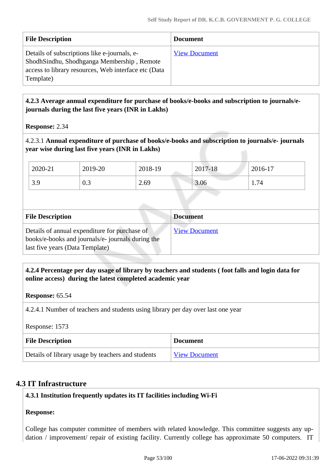| <b>File Description</b>                                                                                                                                         | <b>Document</b>      |
|-----------------------------------------------------------------------------------------------------------------------------------------------------------------|----------------------|
| Details of subscriptions like e-journals, e-<br>ShodhSindhu, Shodhganga Membership, Remote<br>access to library resources, Web interface etc (Data<br>Template) | <b>View Document</b> |

## **4.2.3 Average annual expenditure for purchase of books/e-books and subscription to journals/ejournals during the last five years (INR in Lakhs)**

**Response:** 2.34

4.2.3.1 **Annual expenditure of purchase of books/e-books and subscription to journals/e- journals year wise during last five years (INR in Lakhs)**

| 2020-21   | 2019-20 | 2018-19 | 2017-18 | 2016-17 |
|-----------|---------|---------|---------|---------|
| 39<br>J.J | U.J     | 2.69    | 3.06    | 1.74    |

| <b>File Description</b>                                                                                                               | <b>Document</b>      |
|---------------------------------------------------------------------------------------------------------------------------------------|----------------------|
| Details of annual expenditure for purchase of<br>books/e-books and journals/e- journals during the<br>last five years (Data Template) | <b>View Document</b> |

## **4.2.4 Percentage per day usage of library by teachers and students ( foot falls and login data for online access) during the latest completed academic year**

## **Response:** 65.54

4.2.4.1 Number of teachers and students using library per day over last one year

Response: 1573

| <b>File Description</b>                           | <b>Document</b>      |
|---------------------------------------------------|----------------------|
| Details of library usage by teachers and students | <b>View Document</b> |

## **4.3 IT Infrastructure**

## **4.3.1 Institution frequently updates its IT facilities including Wi-Fi**

## **Response:**

College has computer committee of members with related knowledge. This committee suggests any updation / improvement/ repair of existing facility. Currently college has approximate 50 computers. IT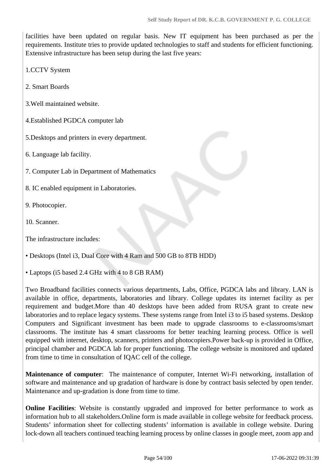facilities have been updated on regular basis. New IT equipment has been purchased as per the requirements. Institute tries to provide updated technologies to staff and students for efficient functioning. Extensive infrastructure has been setup during the last five years:

1.CCTV System

2. Smart Boards

- 3.Well maintained website.
- 4.Established PGDCA computer lab
- 5.Desktops and printers in every department.

6. Language lab facility.

7. Computer Lab in Department of Mathematics

8. IC enabled equipment in Laboratories.

9. Photocopier.

10. Scanner.

The infrastructure includes:

• Desktops (Intel i3, Dual Core with 4 Ram and 500 GB to 8TB HDD)

• Laptops (i5 based 2.4 GHz with 4 to 8 GB RAM)

Two Broadband facilities connects various departments, Labs, Office, PGDCA labs and library. LAN is available in office, departments, laboratories and library. College updates its internet facility as per requirement and budget.More than 40 desktops have been added from RUSA grant to create new laboratories and to replace legacy systems. These systems range from Intel i3 to i5 based systems. Desktop Computers and Significant investment has been made to upgrade classrooms to e-classrooms/smart classrooms. The institute has 4 smart classrooms for better teaching learning process. Office is well equipped with internet, desktop, scanners, printers and photocopiers.Power back-up is provided in Office, principal chamber and PGDCA lab for proper functioning. The college website is monitored and updated from time to time in consultation of IQAC cell of the college.

**Maintenance of computer**: The maintenance of computer, Internet Wi-Fi networking, installation of software and maintenance and up gradation of hardware is done by contract basis selected by open tender. Maintenance and up-gradation is done from time to time.

**Online Facilities**: Website is constantly upgraded and improved for better performance to work as information hub to all stakeholders.Online form is made available in college website for feedback process. Students' information sheet for collecting students' information is available in college website. During lock-down all teachers continued teaching learning process by online classes in google meet, zoom app and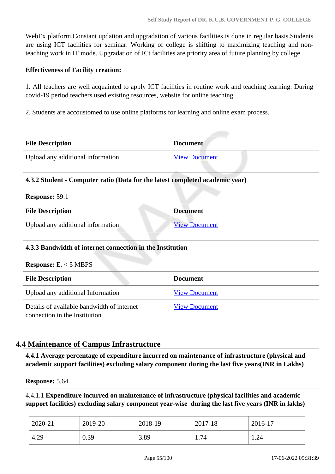WebEx platform.Constant updation and upgradation of various facilities is done in regular basis.Students are using ICT facilities for seminar. Working of college is shifting to maximizing teaching and nonteaching work in IT mode. Upgradation of ICt facilities are priority area of future planning by college.

#### **Effectiveness of Facility creation:**

1. All teachers are well acquainted to apply ICT facilities in routine work and teaching learning. During covid-19 period teachers used existing resources, website for online teaching.

2. Students are accoustomed to use online platforms for learning and online exam process.

| <b>File Description</b>           | <b>Document</b>      |
|-----------------------------------|----------------------|
| Upload any additional information | <b>View Document</b> |

| 4.3.2 Student - Computer ratio (Data for the latest completed academic year) |  |  |  |  |
|------------------------------------------------------------------------------|--|--|--|--|
| <b>Response: 59:1</b>                                                        |  |  |  |  |
| <b>File Description</b><br><b>Document</b>                                   |  |  |  |  |
| Upload any additional information<br><b>View Document</b>                    |  |  |  |  |

| 4.3.3 Bandwidth of internet connection in the Institution                   |                      |  |  |
|-----------------------------------------------------------------------------|----------------------|--|--|
| <b>Response:</b> $E \, < 5$ MBPS                                            |                      |  |  |
| <b>File Description</b>                                                     | <b>Document</b>      |  |  |
| Upload any additional Information                                           | <b>View Document</b> |  |  |
| Details of available bandwidth of internet<br>connection in the Institution | <b>View Document</b> |  |  |

## **4.4 Maintenance of Campus Infrastructure**

 **4.4.1 Average percentage of expenditure incurred on maintenance of infrastructure (physical and academic support facilities) excluding salary component during the last five years(INR in Lakhs)**

**Response:** 5.64

4.4.1.1 **Expenditure incurred on maintenance of infrastructure (physical facilities and academic support facilities) excluding salary component year-wise during the last five years (INR in lakhs)**

| 2020-21 | 2019-20 | 2018-19 | 2017-18 | 2016-17 |
|---------|---------|---------|---------|---------|
| 4.29    | 0.39    | 3.89    | 1.74    | 1.24    |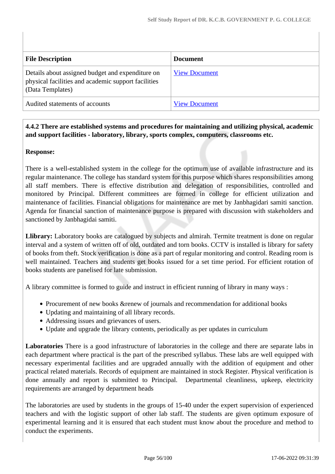| <b>File Description</b>                                                                                                     | <b>Document</b>      |
|-----------------------------------------------------------------------------------------------------------------------------|----------------------|
| Details about assigned budget and expenditure on<br>physical facilities and academic support facilities<br>(Data Templates) | <b>View Document</b> |
| Audited statements of accounts                                                                                              | <b>View Document</b> |

## **4.4.2 There are established systems and procedures for maintaining and utilizing physical, academic and support facilities - laboratory, library, sports complex, computers, classrooms etc.**

## **Response:**

There is a well-established system in the college for the optimum use of available infrastructure and its regular maintenance. The college has standard system for this purpose which shares responsibilities among all staff members. There is effective distribution and delegation of responsibilities, controlled and monitored by Principal. Different committees are formed in college for efficient utilization and maintenance of facilities. Financial obligations for maintenance are met by Janbhagidari samiti sanction. Agenda for financial sanction of maintenance purpose is prepared with discussion with stakeholders and sanctioned by Janbhagidai samiti.

**Llibrary:** Laboratory books are catalogued by subjects and almirah. Termite treatment is done on regular interval and a system of written off of old, outdated and torn books. CCTV is installed is library for safety of books from theft. Stock verification is done as a part of regular monitoring and control. Reading room is well maintained. Teachers and students get books issued for a set time period. For efficient rotation of books students are panelised for late submission.

A library committee is formed to guide and instruct in efficient running of library in many ways :

- Procurement of new books &renew of journals and recommendation for additional books
- Updating and maintaining of all library records.
- Addressing issues and grievances of users.
- Update and upgrade the library contents, periodically as per updates in curriculum

**Laboratories** There is a good infrastructure of laboratories in the college and there are separate labs in each department where practical is the part of the prescribed syllabus. These labs are well equipped with necessary experimental facilities and are upgraded annually with the addition of equipment and other practical related materials. Records of equipment are maintained in stock Register. Physical verification is done annually and report is submitted to Principal. Departmental cleanliness, upkeep, electricity requirements are arranged by department heads

The laboratories are used by students in the groups of 15-40 under the expert supervision of experienced teachers and with the logistic support of other lab staff. The students are given optimum exposure of experimental learning and it is ensured that each student must know about the procedure and method to conduct the experiments.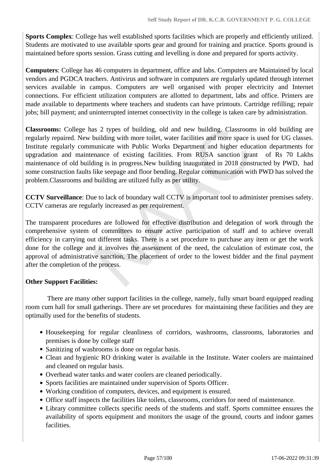**Sports Complex**: College has well established sports facilities which are properly and efficiently utilized. Students are motivated to use available sports gear and ground for training and practice. Sports ground is maintained before sports session. Grass cutting and levelling is done and prepared for sports activity.

**Computers**: College has 46 computers in department, office and labs. Computers are Maintained by local vendors and PGDCA teachers. Antivirus and software in computers are regularly updated through internet services available in campus. Computers are well organised with proper electricity and Internet connections. For efficient utilization computers are allotted to department, labs and office. Printers are made available to departments where teachers and students can have printouts. Cartridge refilling; repair jobs; bill payment; and uninterrupted internet connectivity in the college is taken care by administration.

**Classrooms:** College has 2 types of building, old and new building. Classrooms in old building are regularly repaired. New building with more toilet, water facilities and more space is used for UG classes. Institute regularly communicate with Public Works Department and higher education departments for upgradation and maintenance of existing facilities. From RUSA sanction grant of Rs 70 Lakhs maintenance of old building is in progress.New building inaugurated in 2018 constructed by PWD, had some construction faults like seepage and floor bending. Regular communication with PWD has solved the problem.Classrooms and building are utilized fully as per utility.

**CCTV Surveillance**: Due to lack of boundary wall CCTV is important tool to administer premises safety. CCTV cameras are regularly increased as per requirement.

The transparent procedures are followed for effective distribution and delegation of work through the comprehensive system of committees to ensure active participation of staff and to achieve overall efficiency in carrying out different tasks. There is a set procedure to purchase any item or get the work done for the college and it involves the assessment of the need, the calculation of estimate cost, the approval of administrative sanction, The placement of order to the lowest bidder and the final payment after the completion of the process.

## **Other Support Facilities:**

 There are many other support facilities in the college, namely, fully smart board equipped reading room cum hall for small gatherings. There are set procedures for maintaining these facilities and they are optimally used for the benefits of students.

- Housekeeping for regular cleanliness of corridors, washrooms, classrooms, laboratories and premises is done by college staff
- Sanitizing of washrooms is done on regular basis.
- Clean and hygienic RO drinking water is available in the Institute. Water coolers are maintained and cleaned on regular basis.
- Overhead water tanks and water coolers are cleaned periodically.
- Sports facilities are maintained under supervision of Sports Officer.
- Working condition of computers, devices, and equipment is ensured.
- Office staff inspects the facilities like toilets, classrooms, corridors for need of maintenance.
- Library committee collects specific needs of the students and staff. Sports committee ensures the availability of sports equipment and monitors the usage of the ground, courts and indoor games facilities.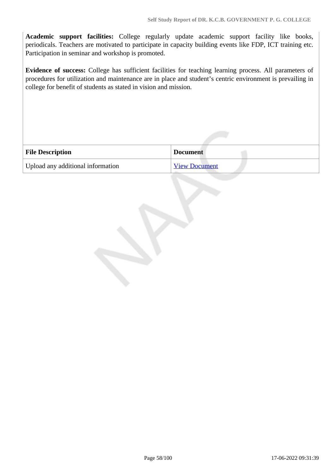**Academic support facilities:** College regularly update academic support facility like books, periodicals. Teachers are motivated to participate in capacity building events like FDP, ICT training etc. Participation in seminar and workshop is promoted.

**Evidence of success:** College has sufficient facilities for teaching learning process. All parameters of procedures for utilization and maintenance are in place and student's centric environment is prevailing in college for benefit of students as stated in vision and mission.

| <b>File Description</b>           | <b>Document</b>      |
|-----------------------------------|----------------------|
| Upload any additional information | <b>View Document</b> |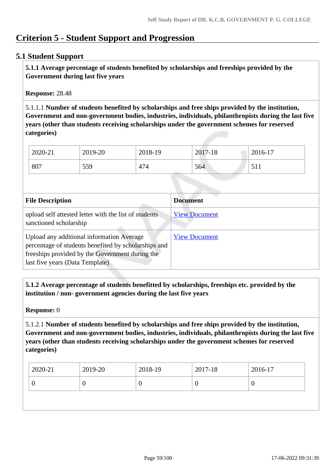# **Criterion 5 - Student Support and Progression**

## **5.1 Student Support**

 **5.1.1 Average percentage of students benefited by scholarships and freeships provided by the Government during last five years** 

**Response:** 28.48

5.1.1.1 **Number of students benefited by scholarships and free ships provided by the institution, Government and non-government bodies, industries, individuals, philanthropists during the last five years (other than students receiving scholarships under the government schemes for reserved categories)** 

| 2020-21 | 2019-20 | 2018-19 | 2017<br>2017-18 | 2016-17                        |
|---------|---------|---------|-----------------|--------------------------------|
| 807     | 559     | 474     | 564             | $\epsilon$ 1 $\epsilon$<br>JII |

| <b>File Description</b>                                                                                                                                                                 | <b>Document</b>      |
|-----------------------------------------------------------------------------------------------------------------------------------------------------------------------------------------|----------------------|
| upload self attested letter with the list of students<br>sanctioned scholarship                                                                                                         | <b>View Document</b> |
| Upload any additional information Average<br>percentage of students benefited by scholarships and<br>freeships provided by the Government during the<br>last five years (Data Template) | <b>View Document</b> |

 **5.1.2 Average percentage of students benefitted by scholarships, freeships etc. provided by the institution / non- government agencies during the last five years**

**Response:** 0

5.1.2.1 **Number of students benefited by scholarships and free ships provided by the institution, Government and non-government bodies, industries, individuals, philanthropists during the last five years (other than students receiving scholarships under the government schemes for reserved categories)** 

| U<br>ν<br>ν | $2020 - 21$ | $2019-20$ | 2018-19 | 2017-18 | 2016-17 |
|-------------|-------------|-----------|---------|---------|---------|
|             |             |           |         |         |         |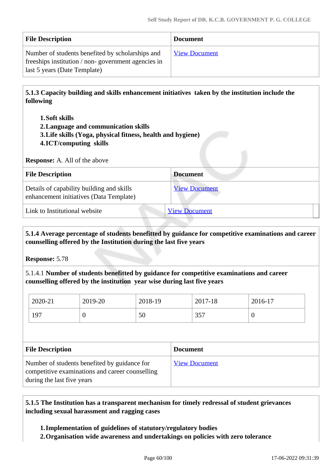| <b>File Description</b>                                                                                                                | <b>Document</b>      |
|----------------------------------------------------------------------------------------------------------------------------------------|----------------------|
| Number of students benefited by scholarships and<br>freeships institution / non-government agencies in<br>last 5 years (Date Template) | <b>View Document</b> |

 **5.1.3 Capacity building and skills enhancement initiatives taken by the institution include the following**

- **1.Soft skills**
- **2.Language and communication skills**
- **3.Life skills (Yoga, physical fitness, health and hygiene)**
- **4.ICT/computing skills**

**Response:** A. All of the above

| <b>File Description</b>                                                              | <b>Document</b>      |  |  |
|--------------------------------------------------------------------------------------|----------------------|--|--|
| Details of capability building and skills<br>enhancement initiatives (Data Template) | <b>View Document</b> |  |  |
| Link to Institutional website                                                        | <b>View Document</b> |  |  |

## **5.1.4 Average percentage of students benefitted by guidance for competitive examinations and career counselling offered by the Institution during the last five years**

**Response:** 5.78

5.1.4.1 **Number of students benefitted by guidance for competitive examinations and career counselling offered by the institution year wise during last five years**

| 2020-21 | 2019-20 | 2018-19 | 2017-18 | 2016-17 |
|---------|---------|---------|---------|---------|
| 197     | U       | 50      | 357     | ν       |

| <b>File Description</b>                                                                                                       | <b>Document</b>      |
|-------------------------------------------------------------------------------------------------------------------------------|----------------------|
| Number of students benefited by guidance for<br>competitive examinations and career counselling<br>during the last five years | <b>View Document</b> |

 **5.1.5 The Institution has a transparent mechanism for timely redressal of student grievances including sexual harassment and ragging cases**

**1.Implementation of guidelines of statutory/regulatory bodies**

**2.Organisation wide awareness and undertakings on policies with zero tolerance**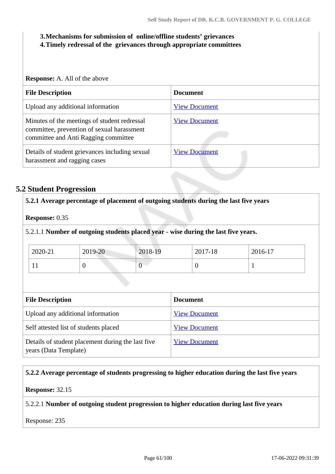#### **3.Mechanisms for submission of online/offline students' grievances**

**4.Timely redressal of the grievances through appropriate committees**

**Response:** A. All of the above

| <b>File Description</b>                                                                                                            | <b>Document</b>      |
|------------------------------------------------------------------------------------------------------------------------------------|----------------------|
| Upload any additional information                                                                                                  | <b>View Document</b> |
| Minutes of the meetings of student redressal<br>committee, prevention of sexual harassment<br>committee and Anti Ragging committee | <b>View Document</b> |
| Details of student grievances including sexual<br>harassment and ragging cases                                                     | <b>View Document</b> |

## **5.2 Student Progression**

## **5.2.1 Average percentage of placement of outgoing students during the last five years**

#### **Response:** 0.35

## 5.2.1.1 **Number of outgoing students placed year - wise during the last five years.**

| 2020-21 | 2019-20 | 2018-19 | 2017-18 | 2016-17 |
|---------|---------|---------|---------|---------|
|         |         |         |         |         |

| <b>File Description</b>                                                    | <b>Document</b>      |
|----------------------------------------------------------------------------|----------------------|
| Upload any additional information                                          | <b>View Document</b> |
| Self attested list of students placed                                      | <b>View Document</b> |
| Details of student placement during the last five<br>years (Data Template) | <b>View Document</b> |

## **5.2.2 Average percentage of students progressing to higher education during the last five years**

#### **Response:** 32.15

## 5.2.2.1 **Number of outgoing student progression to higher education during last five years**

Response: 235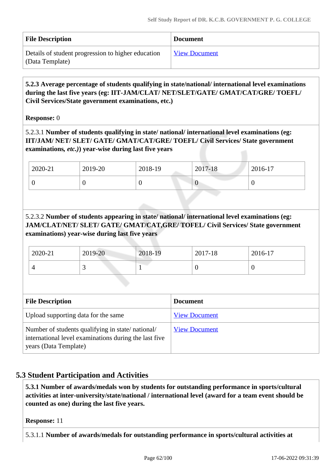| <b>File Description</b>                                               | <b>Document</b>      |
|-----------------------------------------------------------------------|----------------------|
| Details of student progression to higher education<br>(Data Template) | <b>View Document</b> |

 **5.2.3 Average percentage of students qualifying in state/national/ international level examinations during the last five years (eg: IIT-JAM/CLAT/ NET/SLET/GATE/ GMAT/CAT/GRE/ TOEFL/ Civil Services/State government examinations, etc.)**

## **Response:** 0

5.2.3.1 **Number of students qualifying in state/ national/ international level examinations (eg: IIT/JAM/ NET/ SLET/ GATE/ GMAT/CAT/GRE/ TOEFL/ Civil Services/ State government examinations***, etc.)***) year-wise during last five years**

| 2020-21 | 2019-20 | 2018-19 | 2017-18 | 2016-17 |
|---------|---------|---------|---------|---------|
|         | ν       |         | ν       |         |

5.2.3.2 **Number of students appearing in state/ national/ international level examinations (eg: JAM/CLAT/NET/ SLET/ GATE/ GMAT/CAT,GRE/ TOFEL/ Civil Services/ State government examinations) year-wise during last five years**

| 2020-21 | 2019-20                  | 2018-19 | 2017-18 | 2016-17 |  |
|---------|--------------------------|---------|---------|---------|--|
|         | $\overline{\phantom{0}}$ |         |         |         |  |

| <b>File Description</b>                                                                                                            | <b>Document</b>      |
|------------------------------------------------------------------------------------------------------------------------------------|----------------------|
| Upload supporting data for the same                                                                                                | <b>View Document</b> |
| Number of students qualifying in state/national/<br>international level examinations during the last five<br>years (Data Template) | <b>View Document</b> |

## **5.3 Student Participation and Activities**

 **5.3.1 Number of awards/medals won by students for outstanding performance in sports/cultural activities at inter-university/state/national / international level (award for a team event should be counted as one) during the last five years.**

**Response:** 11

5.3.1.1 **Number of awards/medals for outstanding performance in sports/cultural activities at**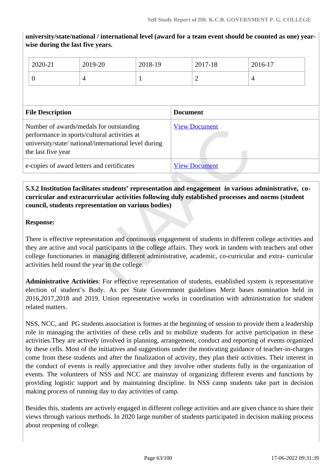**university/state/national / international level (award for a team event should be counted as one) yearwise during the last five years.**

| 2020-21                                                                                                                                                                | 2019-20 | 2018-19              |  | 2017-18 | 2016-17        |
|------------------------------------------------------------------------------------------------------------------------------------------------------------------------|---------|----------------------|--|---------|----------------|
| $\overline{0}$                                                                                                                                                         | 4       |                      |  |         | $\overline{4}$ |
|                                                                                                                                                                        |         |                      |  |         |                |
| <b>File Description</b>                                                                                                                                                |         | <b>Document</b>      |  |         |                |
| Number of awards/medals for outstanding<br>performance in sports/cultural activities at<br>university/state/ national/international level during<br>the last five year |         | <b>View Document</b> |  |         |                |
| e-copies of award letters and certificates                                                                                                                             |         | <b>View Document</b> |  |         |                |

## **5.3.2 Institution facilitates students' representation and engagement in various administrative, cocurricular and extracurricular activities following duly established processes and norms (student council, students representation on various bodies)**

## **Response:**

There is effective representation and continuous engagement of students in different college activities and they are active and vocal participants in the college affairs. They work in tandem with teachers and other college functionaries in managing different administrative, academic, co-curricular and extra- curricular activities held round the year in the college.

**Administrative Activities**: For effective representation of students, established system is representative election of student's Body. As per State Government guidelines Merit bases nomination held in 2016,2017,2018 and 2019. Union representative works in coordination with administration for student related matters.

NSS, NCC, and PG students association is formes at the beginning of session to provide them a leadership role in managing the activities of these cells and to mobilize students for active participation in these activities.They are actively involved in planning, arrangement, conduct and reporting of events organized by these cells. Most of the initiatives and suggestions under the motivating guidance of teacher-in-charges come from these students and after the finalization of activity, they plan their activities. Their interest in the conduct of events is really appreciative and they involve other students fully in the organization of events. The volunteers of NSS and NCC are mainstay of organizing different events and functions by providing logistic support and by maintaining discipline. In NSS camp students take part in decision making process of running day to day activities of camp.

Besides this, students are actively engaged in different college activities and are given chance to share their views through various methods. In 2020 large number of students participated in decision making process about reopening of college.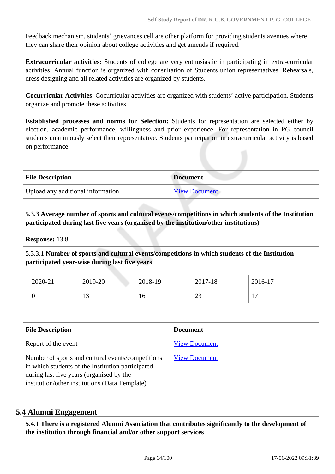Feedback mechanism, students' grievances cell are other platform for providing students avenues where they can share their opinion about college activities and get amends if required.

**Extracurricular activities***:* Students of college are very enthusiastic in participating in extra-curricular activities. Annual function is organized with consultation of Students union representatives. Rehearsals, dress designing and all related activities are organized by students.

**Cocurricular Activities**: Cocurricular activities are organized with students' active participation. Students organize and promote these activities.

**Established processes and norms for Selection:** Students for representation are selected either by election, academic performance, willingness and prior experience. For representation in PG council students unanimously select their representative. Students participation in extracurricular activity is based on performance.

| <b>File Description</b>           | <b>Document</b>      |
|-----------------------------------|----------------------|
| Upload any additional information | <b>View Document</b> |

 **5.3.3 Average number of sports and cultural events/competitions in which students of the Institution participated during last five years (organised by the institution/other institutions)**

**Response:** 13.8

5.3.3.1 **Number of sports and cultural events/competitions in which students of the Institution participated year-wise during last five years**

| 2020-21 | 2019-20 | 2018-19 | 2017-18       | 2016-17                         |
|---------|---------|---------|---------------|---------------------------------|
| ິ       |         | ΙV      | $\cap$<br>ر∠∠ | $\overline{\phantom{0}}$<br>. . |

| <b>File Description</b>                                                                                                                                                                              | <b>Document</b>      |
|------------------------------------------------------------------------------------------------------------------------------------------------------------------------------------------------------|----------------------|
| Report of the event                                                                                                                                                                                  | <b>View Document</b> |
| Number of sports and cultural events/competitions<br>in which students of the Institution participated<br>during last five years (organised by the<br>institution/other institutions (Data Template) | <b>View Document</b> |

## **5.4 Alumni Engagement**

 **5.4.1 There is a registered Alumni Association that contributes significantly to the development of the institution through financial and/or other support services**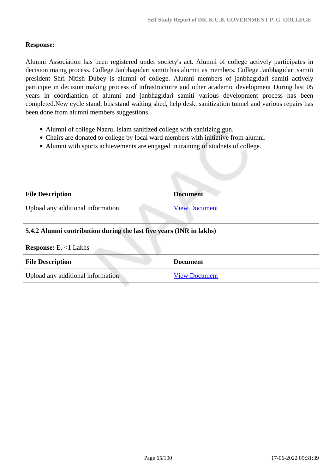## **Response:**

Alumni Association has been registered under society's act. Alumni of college actively participates in decision maing process. College Janbhagidari samiti has alumni as members. College Janbhagidari samiti president Shri Nitish Dubey is alumni of college. Alumni members of janbhagidari samiti actively participte in decision making process of infrastructutre and other academic development During last 05 years in coordiantion of alumni and janbhagidari samiti various development process has been completed.New cycle stand, bus stand waiting shed, help desk, sanitization tunnel and various repairs has been done from alumni members suggestions.

- Alumni of college Nazrul Islam sanitized college with sanitizing gun.
- Chairs are donated to college by local ward members with initiative from alumni.
- Alumni with sports achievements are engaged in training of studnets of college.

| <b>File Description</b>           | <b>Document</b>      |
|-----------------------------------|----------------------|
| Upload any additional information | <b>View Document</b> |

| 5.4.2 Alumni contribution during the last five years (INR in lakhs) |                      |  |
|---------------------------------------------------------------------|----------------------|--|
| <b>Response:</b> E. $<$ 1 Lakhs                                     |                      |  |
| <b>File Description</b>                                             | <b>Document</b>      |  |
| Upload any additional information                                   | <b>View Document</b> |  |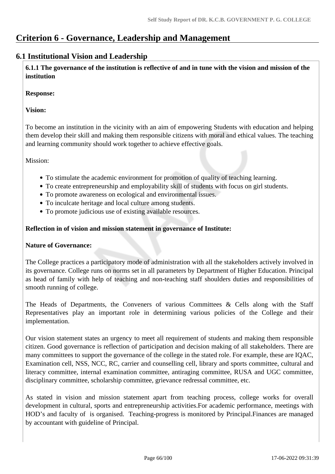# **Criterion 6 - Governance, Leadership and Management**

## **6.1 Institutional Vision and Leadership**

 **6.1.1 The governance of the institution is reflective of and in tune with the vision and mission of the institution**

**Response:** 

## **Vision:**

To become an institution in the vicinity with an aim of empowering Students with education and helping them develop their skill and making them responsible citizens with moral and ethical values. The teaching and learning community should work together to achieve effective goals.

Mission:

- To stimulate the academic environment for promotion of quality of teaching learning.
- To create entrepreneurship and employability skill of students with focus on girl students.
- To promote awareness on ecological and environmental issues.
- To inculcate heritage and local culture among students.
- To promote judicious use of existing available resources.

## **Reflection in of vision and mission statement in governance of Institute:**

## **Nature of Governance:**

The College practices a participatory mode of administration with all the stakeholders actively involved in its governance. College runs on norms set in all parameters by Department of Higher Education. Principal as head of family with help of teaching and non-teaching staff shoulders duties and responsibilities of smooth running of college.

The Heads of Departments, the Conveners of various Committees & Cells along with the Staff Representatives play an important role in determining various policies of the College and their implementation.

Our vision statement states an urgency to meet all requirement of students and making them responsible citizen. Good governance is reflection of participation and decision making of all stakeholders. There are many committees to support the governance of the college in the stated role. For example, these are IQAC, Examination cell, NSS, NCC, RC, carrier and counselling cell, library and sports committee, cultural and literacy committee, internal examination committee, antiraging committee, RUSA and UGC committee, disciplinary committee, scholarship committee, grievance redressal committee, etc.

As stated in vision and mission statement apart from teaching process, college works for overall development in cultural, sports and entrepreneurship activities.For academic performance, meetings with HOD's and faculty of is organised. Teaching-progress is monitored by Principal.Finances are managed by accountant with guideline of Principal.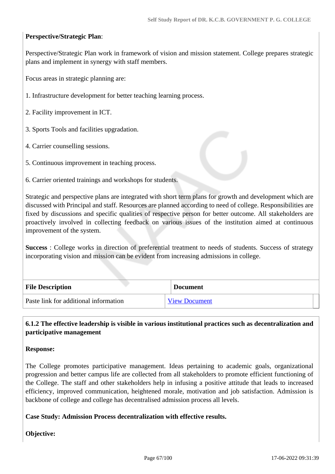## **Perspective/Strategic Plan**:

Perspective/Strategic Plan work in framework of vision and mission statement. College prepares strategic plans and implement in synergy with staff members.

Focus areas in strategic planning are:

1. Infrastructure development for better teaching learning process.

2. Facility improvement in ICT.

- 3. Sports Tools and facilities upgradation.
- 4. Carrier counselling sessions.
- 5. Continuous improvement in teaching process.

6. Carrier oriented trainings and workshops for students.

Strategic and perspective plans are integrated with short term plans for growth and development which are discussed with Principal and staff. Resources are planned according to need of college. Responsibilities are fixed by discussions and specific qualities of respective person for better outcome. All stakeholders are proactively involved in collecting feedback on various issues of the institution aimed at continuous improvement of the system.

**Success** : College works in direction of preferential treatment to needs of students. Success of strategy incorporating vision and mission can be evident from increasing admissions in college.

| <b>File Description</b>               | <b>Document</b>      |
|---------------------------------------|----------------------|
| Paste link for additional information | <b>View Document</b> |

## **6.1.2 The effective leadership is visible in various institutional practices such as decentralization and participative management**

#### **Response:**

The College promotes participative management. Ideas pertaining to academic goals, organizational progression and better campus life are collected from all stakeholders to promote efficient functioning of the College. The staff and other stakeholders help in infusing a positive attitude that leads to increased efficiency, improved communication, heightened morale, motivation and job satisfaction. Admission is backbone of college and college has decentralised admission process all levels.

#### **Case Study: Admission Process decentralization with effective results.**

## **Objective:**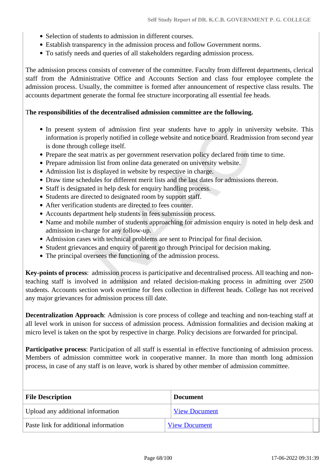- Selection of students to admission in different courses.
- Establish transparency in the admission process and follow Government norms.
- To satisfy needs and queries of all stakeholders regarding admission process.

The admission process consists of convener of the committee. Faculty from different departments, clerical staff from the Administrative Office and Accounts Section and class four employee complete the admission process. Usually, the committee is formed after announcement of respective class results. The accounts department generate the formal fee structure incorporating all essential fee heads.

#### T**he responsibilities of the decentralised admission committee are the following.**

- In present system of admission first year students have to apply in university website. This information is properly notified in college website and notice board. Readmission from second year is done through college itself.
- Prepare the seat matrix as per government reservation policy declared from time to time.
- Prepare admission list from online data generated on university website.
- Admission list is displayed in website by respective in charge.
- Draw time schedules for different merit lists and the last dates for admissions thereon.
- Staff is designated in help desk for enquiry handling process.
- Students are directed to designated room by support staff.
- After verification students are directed to fees counter.
- Accounts department help students in fees submission process.
- Name and mobile number of students approaching for admission enquiry is noted in help desk and admission in-charge for any follow-up.
- Admission cases with technical problems are sent to Principal for final decision.
- Student grievances and enquiry of parent go through Principal for decision making.
- The principal oversees the functioning of the admission process.

**Key-points of process**: admission process is participative and decentralised process. All teaching and nonteaching staff is involved in admission and related decision-making process in admitting over 2500 students. Accounts section work overtime for fees collection in different heads. College has not received any major grievances for admission process till date.

**Decentralization Approach**: Admission is core process of college and teaching and non-teaching staff at all level work in unison for success of admission process. Admission formalities and decision making at micro level is taken on the spot by respective in charge. Policy decisions are forwarded for principal.

**Participative process**: Participation of all staff is essential in effective functioning of admission process. Members of admission committee work in cooperative manner. In more than month long admission process, in case of any staff is on leave, work is shared by other member of admission committee.

| <b>File Description</b>               | <b>Document</b>      |
|---------------------------------------|----------------------|
| Upload any additional information     | <b>View Document</b> |
| Paste link for additional information | <b>View Document</b> |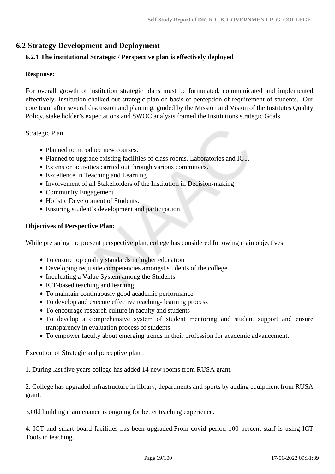## **6.2 Strategy Development and Deployment**

## **6.2.1 The institutional Strategic / Perspective plan is effectively deployed**

## **Response:**

For overall growth of institution strategic plans must be formulated, communicated and implemented effectively. Institution chalked out strategic plan on basis of perception of requirement of students. Our core team after several discussion and planning, guided by the Mission and Vision of the Institutes Quality Policy, stake holder's expectations and SWOC analysis framed the Institutions strategic Goals.

#### Strategic Plan

- Planned to introduce new courses.
- Planned to upgrade existing facilities of class rooms, Laboratories and ICT.
- Extension activities carried out through various committees.
- Excellence in Teaching and Learning
- Involvement of all Stakeholders of the Institution in Decision-making
- Community Engagement
- Holistic Development of Students.
- Ensuring student's development and participation

## **Objectives of Perspective Plan:**

While preparing the present perspective plan, college has considered following main objectives

- To ensure top quality standards in higher education
- Developing requisite competencies amongst students of the college
- Inculcating a Value System among the Students
- ICT-based teaching and learning.
- To maintain continuously good academic performance
- To develop and execute effective teaching- learning process
- To encourage research culture in faculty and students
- To develop a comprehensive system of student mentoring and student support and ensure transparency in evaluation process of students
- To empower faculty about emerging trends in their profession for academic advancement.

Execution of Strategic and perceptive plan :

1. During last five years college has added 14 new rooms from RUSA grant.

2. College has upgraded infrastructure in library, departments and sports by adding equipment from RUSA grant.

3.Old building maintenance is ongoing for better teaching experience.

4. ICT and smart board facilities has been upgraded.From covid period 100 percent staff is using ICT Tools in teaching.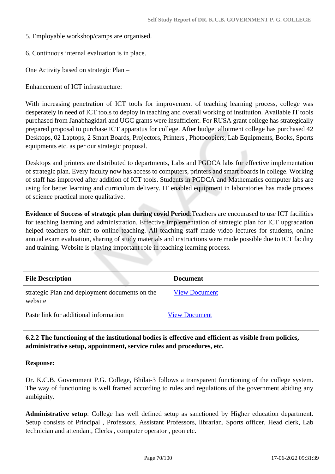- 5. Employable workshop/camps are organised.
- 6. Continuous internal evaluation is in place.

One Activity based on strategic Plan –

Enhancement of ICT infrastructure:

With increasing penetration of ICT tools for improvement of teaching learning process, college was desperately in need of ICT tools to deploy in teaching and overall working of institution. Available IT tools purchased from Janabhagidari and UGC grants were insufficient. For RUSA grant college has strategically prepared proposal to purchase ICT apparatus for college. After budget allotment college has purchased 42 Desktops, 02 Laptops, 2 Smart Boards, Projectors, Printers , Photocopiers, Lab Equipments, Books, Sports equipments etc. as per our strategic proposal.

Desktops and printers are distributed to departments, Labs and PGDCA labs for effective implementation of strategic plan. Every faculty now has access to computers, printers and smart boards in college. Working of staff has improved after addition of ICT tools. Students in PGDCA and Mathematics computer labs are using for better learning and curriculum delivery. IT enabled equipment in laboratories has made process of science practical more qualitative.

**Evidence of Success of strategic plan during covid Period**:Teachers are encourased to use ICT facilities for teaching laerning and administration. Effective implementation of strategic plan for ICT upgradation helped teachers to shift to online teaching. All teaching staff made video lectures for students, online annual exam evaluation, sharing of study materials and instructions were made possible due to ICT facility and training. Website is playing important role in teaching learning process.

| <b>File Description</b>                                   | <b>Document</b>      |
|-----------------------------------------------------------|----------------------|
| strategic Plan and deployment documents on the<br>website | <b>View Document</b> |
| Paste link for additional information                     | <b>View Document</b> |

 **6.2.2 The functioning of the institutional bodies is effective and efficient as visible from policies, administrative setup, appointment, service rules and procedures, etc.**

#### **Response:**

Dr. K.C.B. Government P.G. College, Bhilai-3 follows a transparent functioning of the college system. The way of functioning is well framed according to rules and regulations of the government abiding any ambiguity.

**Administrative setup**: College has well defined setup as sanctioned by Higher education department. Setup consists of Principal , Professors, Assistant Professors, librarian, Sports officer, Head clerk, Lab technician and attendant, Clerks , computer operator , peon etc.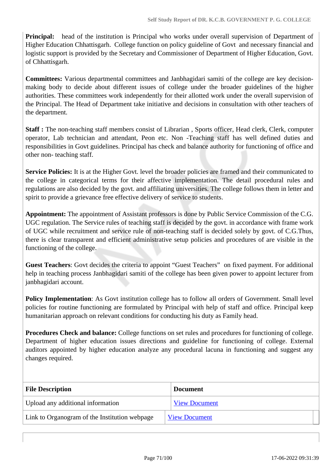**Principal:** head of the institution is Principal who works under overall supervision of Department of Higher Education Chhattisgarh. College function on policy guideline of Govt and necessary financial and logistic support is provided by the Secretary and Commissioner of Department of Higher Education, Govt. of Chhattisgarh.

**Committees:** Various departmental committees and Janbhagidari samiti of the college are key decisionmaking body to decide about different issues of college under the broader guidelines of the higher authorities. These committees work independently for their allotted work under the overall supervision of the Principal. The Head of Department take initiative and decisions in consultation with other teachers of the department.

Staff : The non-teaching staff members consist of Librarian, Sports officer, Head clerk, Clerk, computer operator, Lab technician and attendant, Peon etc. Non -Teaching staff has well defined duties and responsibilities in Govt guidelines. Principal has check and balance authority for functioning of office and other non- teaching staff.

**Service Policies:** It is at the Higher Govt. level the broader policies are framed and their communicated to the college in categorical terms for their affective implementation. The detail procedural rules and regulations are also decided by the govt. and affiliating universities. The college follows them in letter and spirit to provide a grievance free effective delivery of service to students.

**Appointment:** The appointment of Assistant professors is done by Public Service Commission of the C.G. UGC regulation. The Service rules of teaching staff is decided by the govt. in accordance with frame work of UGC while recruitment and service rule of non-teaching staff is decided solely by govt. of C.G.Thus, there is clear transparent and efficient administrative setup policies and procedures of are visible in the functioning of the college.

**Guest Teachers**: Govt decides the criteria to appoint "Guest Teachers" on fixed payment. For additional help in teaching process Janbhagidari samiti of the college has been given power to appoint lecturer from janbhagidari account.

**Policy Implementation**: As Govt institution college has to follow all orders of Government. Small level policies for routine functioning are formulated by Principal with help of staff and office. Principal keep humanitarian approach on relevant conditions for conducting his duty as Family head.

**Procedures Check and balance:** College functions on set rules and procedures for functioning of college. Department of higher education issues directions and guideline for functioning of college. External auditors appointed by higher education analyze any procedural lacuna in functioning and suggest any changes required.

| <b>File Description</b>                       | <b>Document</b>      |
|-----------------------------------------------|----------------------|
| Upload any additional information             | <b>View Document</b> |
| Link to Organogram of the Institution webpage | <b>View Document</b> |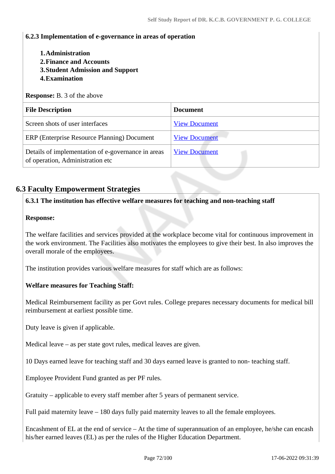#### **6.2.3 Implementation of e-governance in areas of operation**

- **1.Administration**
- **2.Finance and Accounts**
- **3.Student Admission and Support**
- **4.Examination**

**Response:** B. 3 of the above

| <b>File Description</b>                                                                | <b>Document</b>      |
|----------------------------------------------------------------------------------------|----------------------|
| Screen shots of user interfaces                                                        | <b>View Document</b> |
| ERP (Enterprise Resource Planning) Document                                            | <b>View Document</b> |
| Details of implementation of e-governance in areas<br>of operation, Administration etc | <b>View Document</b> |

## **6.3 Faculty Empowerment Strategies**

#### **6.3.1 The institution has effective welfare measures for teaching and non-teaching staff**

#### **Response:**

The welfare facilities and services provided at the workplace become vital for continuous improvement in the work environment. The Facilities also motivates the employees to give their best. In also improves the overall morale of the employees.

The institution provides various welfare measures for staff which are as follows:

## **Welfare measures for Teaching Staff:**

Medical Reimbursement facility as per Govt rules. College prepares necessary documents for medical bill reimbursement at earliest possible time.

Duty leave is given if applicable.

Medical leave – as per state govt rules, medical leaves are given.

10 Days earned leave for teaching staff and 30 days earned leave is granted to non- teaching staff.

Employee Provident Fund granted as per PF rules.

Gratuity – applicable to every staff member after 5 years of permanent service.

Full paid maternity leave – 180 days fully paid maternity leaves to all the female employees.

Encashment of EL at the end of service – At the time of superannuation of an employee, he/she can encash his/her earned leaves (EL) as per the rules of the Higher Education Department.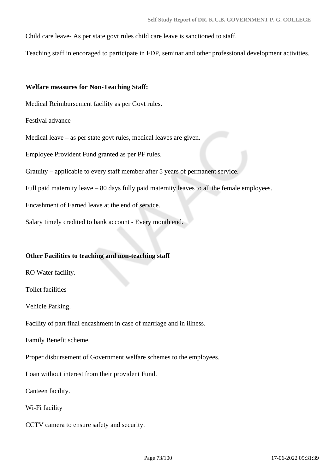Child care leave- As per state govt rules child care leave is sanctioned to staff.

Teaching staff in encoraged to participate in FDP, seminar and other professional development activities.

#### **Welfare measures for Non-Teaching Staff:**

Medical Reimbursement facility as per Govt rules.

Festival advance

Medical leave – as per state govt rules, medical leaves are given.

Employee Provident Fund granted as per PF rules.

Gratuity – applicable to every staff member after 5 years of permanent service.

Full paid maternity leave – 80 days fully paid maternity leaves to all the female employees.

Encashment of Earned leave at the end of service.

Salary timely credited to bank account - Every month end.

## **Other Facilities to teaching and non-teaching staff**

RO Water facility.

Toilet facilities

Vehicle Parking.

Facility of part final encashment in case of marriage and in illness.

Family Benefit scheme.

Proper disbursement of Government welfare schemes to the employees.

Loan without interest from their provident Fund.

Canteen facility.

Wi-Fi facility

CCTV camera to ensure safety and security.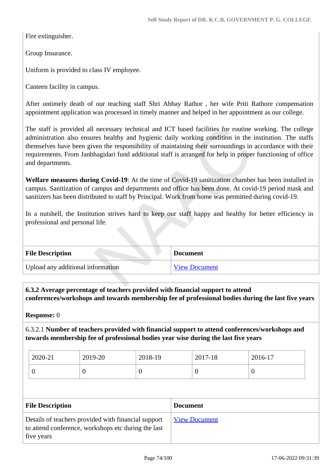Fire extinguisher.

Group Insurance.

Uniform is provided to class IV employee.

Canteen facility in campus.

After untimely death of our teaching staff Shri Abhay Rathor , her wife Priti Rathore compensation appointment application was processed in timely manner and helped in her appointment as our college.

The staff is provided all necessary technical and ICT based facilities for routine working. The college administration also ensures healthy and hygienic daily working condition in the institution. The staffs themselves have been given the responsibility of maintaining their surroundings in accordance with their requirements. From Janbhagidari fund additional staff is arranged for help in proper functioning of office and departments.

**Welfare measures during Covid-19**: At the time of Covid-19 sanitization chamber has been installed in campus. Sanitization of campus and departments and office has been done. At covid-19 period mask and sanitizers has been distributed to staff by Principal. Work from home was permitted during covid-19.

In a nutshell, the Institution strives hard to keep our staff happy and healthy for better efficiency in professional and personal life.

| <b>File Description</b>           | <b>Document</b>      |
|-----------------------------------|----------------------|
| Upload any additional information | <b>View Document</b> |

 **6.3.2 Average percentage of teachers provided with financial support to attend conferences/workshops and towards membership fee of professional bodies during the last five years**

**Response:** 0

6.3.2.1 **Number of teachers provided with financial support to attend conferences/workshops and towards membership fee of professional bodies year wise during the last five years**

| 2020-21 | 2019-20 | 2018-19 | 2017-18 | 2016-17 |
|---------|---------|---------|---------|---------|
|         | ິ       | ν       |         | ◡       |

| <b>File Description</b>                                                                                                  | <b>Document</b>      |
|--------------------------------------------------------------------------------------------------------------------------|----------------------|
| Details of teachers provided with financial support<br>to attend conference, workshops etc during the last<br>five years | <b>View Document</b> |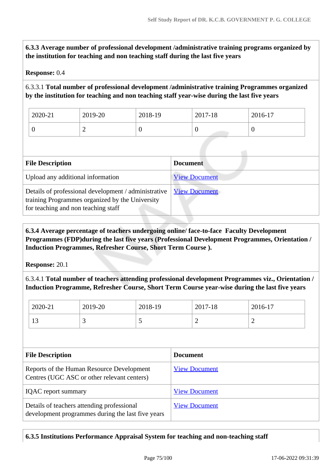**6.3.3 Average number of professional development /administrative training programs organized by the institution for teaching and non teaching staff during the last five years**

#### **Response:** 0.4

6.3.3.1 **Total number of professional development /administrative training Programmes organized by the institution for teaching and non teaching staff year-wise during the last five years**

| 2020-21 | 2019-20 | 2018-19 | 2017-18 | 2016-17 |
|---------|---------|---------|---------|---------|
|         | ∽       | v       |         | U       |

| <b>File Description</b>                                                                                                                        | <b>Document</b>      |
|------------------------------------------------------------------------------------------------------------------------------------------------|----------------------|
| Upload any additional information                                                                                                              | <b>View Document</b> |
| Details of professional development / administrative<br>training Programmes organized by the University<br>for teaching and non teaching staff | <b>View Document</b> |

 **6.3.4 Average percentage of teachers undergoing online/ face-to-face Faculty Development Programmes (FDP)during the last five years (Professional Development Programmes, Orientation / Induction Programmes, Refresher Course, Short Term Course ).**

**Response:** 20.1

6.3.4.1 **Total number of teachers attending professional development Programmes viz., Orientation / Induction Programme, Refresher Course, Short Term Course year-wise during the last five years**

|                                                                                          | 2020-21                 | 2019-20 | 2018-19              |                 | 2017-18        | 2016-17        |
|------------------------------------------------------------------------------------------|-------------------------|---------|----------------------|-----------------|----------------|----------------|
| 13                                                                                       |                         | 3       | 5                    |                 | $\overline{2}$ | $\overline{2}$ |
|                                                                                          | <b>File Description</b> |         |                      | <b>Document</b> |                |                |
| Reports of the Human Resource Development<br>Centres (UGC ASC or other relevant centers) |                         |         | <b>View Document</b> |                 |                |                |

| <b>IQAC</b> report summary                                                                      | <b>View Document</b> |
|-------------------------------------------------------------------------------------------------|----------------------|
| Details of teachers attending professional<br>development programmes during the last five years | <b>View Document</b> |

## **6.3.5 Institutions Performance Appraisal System for teaching and non-teaching staff**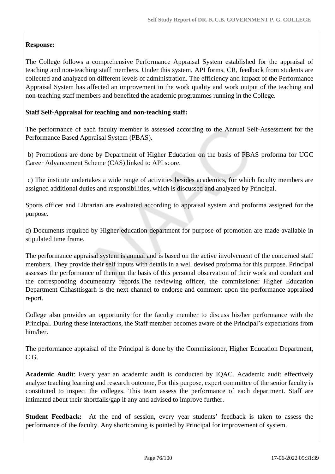## **Response:**

The College follows a comprehensive Performance Appraisal System established for the appraisal of teaching and non-teaching staff members. Under this system, API forms, CR, feedback from students are collected and analyzed on different levels of administration. The efficiency and impact of the Performance Appraisal System has affected an improvement in the work quality and work output of the teaching and non-teaching staff members and benefited the academic programmes running in the College.

## **Staff Self-Appraisal for teaching and non-teaching staff:**

The performance of each faculty member is assessed according to the Annual Self-Assessment for the Performance Based Appraisal System (PBAS).

 b) Promotions are done by Department of Higher Education on the basis of PBAS proforma for UGC Career Advancement Scheme (CAS) linked to API score.

 c) The institute undertakes a wide range of activities besides academics, for which faculty members are assigned additional duties and responsibilities, which is discussed and analyzed by Principal.

Sports officer and Librarian are evaluated according to appraisal system and proforma assigned for the purpose.

d) Documents required by Higher education department for purpose of promotion are made available in stipulated time frame.

The performance appraisal system is annual and is based on the active involvement of the concerned staff members. They provide their self inputs with details in a well devised proforma for this purpose. Principal assesses the performance of them on the basis of this personal observation of their work and conduct and the corresponding documentary records.The reviewing officer, the commissioner Higher Education Department Chhasttisgarh is the next channel to endorse and comment upon the performance appraised report.

College also provides an opportunity for the faculty member to discuss his/her performance with the Principal. During these interactions, the Staff member becomes aware of the Principal's expectations from him/her.

The performance appraisal of the Principal is done by the Commissioner, Higher Education Department, C.G.

**Academic Audit**: Every year an academic audit is conducted by IQAC. Academic audit effectively analyze teaching learning and research outcome, For this purpose, expert committee of the senior faculty is constituted to inspect the colleges. This team assess the performance of each department. Staff are intimated about their shortfalls/gap if any and advised to improve further.

**Student Feedback:** At the end of session, every year students' feedback is taken to assess the performance of the faculty. Any shortcoming is pointed by Principal for improvement of system.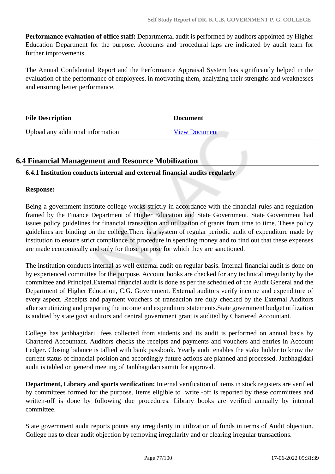**Performance evaluation of office staff:** Departmental audit is performed by auditors appointed by Higher Education Department for the purpose. Accounts and procedural laps are indicated by audit team for further improvements.

The Annual Confidential Report and the Performance Appraisal System has significantly helped in the evaluation of the performance of employees, in motivating them, analyzing their strengths and weaknesses and ensuring better performance.

| <b>File Description</b>           | <b>Document</b>      |
|-----------------------------------|----------------------|
| Upload any additional information | <b>View Document</b> |

## **6.4 Financial Management and Resource Mobilization**

## **6.4.1 Institution conducts internal and external financial audits regularly**

## **Response:**

Being a government institute college works strictly in accordance with the financial rules and regulation framed by the Finance Department of Higher Education and State Government. State Government had issues policy guidelines for financial transaction and utilization of grants from time to time. These policy guidelines are binding on the college.There is a system of regular periodic audit of expenditure made by institution to ensure strict compliance of procedure in spending money and to find out that these expenses are made economically and only for those purpose for which they are sanctioned.

The institution conducts internal as well external audit on regular basis. Internal financial audit is done on by experienced committee for the purpose. Account books are checked for any technical irregularity by the committee and Principal.External financial audit is done as per the scheduled of the Audit General and the Department of Higher Education, C.G. Government. External auditors verify income and expenditure of every aspect. Receipts and payment vouchers of transaction are duly checked by the External Auditors after scrutinizing and preparing the income and expenditure statements.State government budget utilization is audited by state govt auditors and central government grant is audited by Chartered Accountant.

College has janbhagidari fees collected from students and its audit is performed on annual basis by Chartered Accountant. Auditors checks the receipts and payments and vouchers and entries in Account Ledger. Closing balance is tallied with bank passbook. Yearly audit enables the stake holder to know the current status of financial position and accordingly future actions are planned and processed. Janbhagidari audit is tabled on general meeting of Janbhagidari samiti for approval.

**Department, Library and sports verification:** Internal verification of items in stock registers are verified by committees formed for the purpose. Items eligible to write -off is reported by these committees and written-off is done by following due procedures. Library books are verified annually by internal committee.

State government audit reports points any irregularity in utilization of funds in terms of Audit objection. College has to clear audit objection by removing irregularity and or clearing irregular transactions.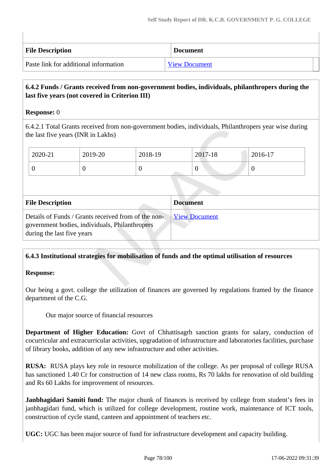| <b>File Description</b>               | <b>Document</b>      |
|---------------------------------------|----------------------|
| Paste link for additional information | <b>View Document</b> |

## **6.4.2 Funds / Grants received from non-government bodies, individuals, philanthropers during the last five years (not covered in Criterion III)**

#### **Response:** 0

6.4.2.1 Total Grants received from non-government bodies, individuals, Philanthropers year wise during the last five years (INR in Lakhs)

| 2020-21 | 2019-20 | 2018-19 | 2017-18 | 2016-17 |
|---------|---------|---------|---------|---------|
| ν       |         | ν       | ν       |         |

| <b>File Description</b>                                                                                                             | <b>Document</b>      |
|-------------------------------------------------------------------------------------------------------------------------------------|----------------------|
| Details of Funds / Grants received from of the non-<br>government bodies, individuals, Philanthropers<br>during the last five years | <b>View Document</b> |

## **6.4.3 Institutional strategies for mobilisation of funds and the optimal utilisation of resources**

## **Response:**

Our being a govt. college the utilization of finances are governed by regulations framed by the finance department of the C.G.

Our major source of financial resources

**Department of Higher Education:** Govt of Chhattisagrh sanction grants for salary, conduction of cocurricular and extracurricular activities, upgradation of infrastructure and laboratories facilities, purchase of library books, addition of any new infrastructure and other activities.

**RUSA:** RUSA plays key role in resource mobilization of the college. As per proposal of college RUSA has sanctioned 1.40 Cr for construction of 14 new class rooms, Rs 70 lakhs for renovation of old building and Rs 60 Lakhs for improvement of resources.

**Janbhagidari Samiti fund:** The major chunk of finances is received by college from student's fees in janbhagidari fund, which is utilized for college development, routine work, maintenance of ICT tools, construction of cycle stand, canteen and appointment of teachers etc.

**UGC:** UGC has been major source of fund for infrastructure development and capacity building.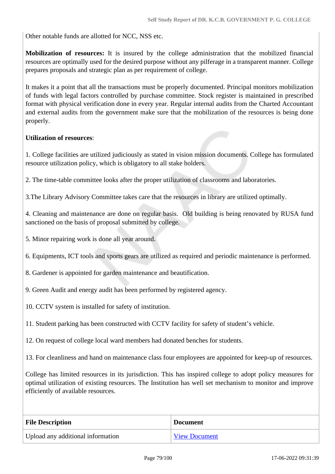Other notable funds are allotted for NCC, NSS etc.

**Mobilization of resources:** It is insured by the college administration that the mobilized financial resources are optimally used for the desired purpose without any pilferage in a transparent manner. College prepares proposals and strategic plan as per requirement of college.

It makes it a point that all the transactions must be properly documented. Principal monitors mobilization of funds with legal factors controlled by purchase committee. Stock register is maintained in prescribed format with physical verification done in every year. Regular internal audits from the Charted Accountant and external audits from the government make sure that the mobilization of the resources is being done properly.

#### **Utilization of resources**:

1. College facilities are utilized judiciously as stated in vision mission documents. College has formulated resource utilization policy, which is obligatory to all stake holders.

2. The time-table committee looks after the proper utilization of classrooms and laboratories.

3.The Library Advisory Committee takes care that the resources in library are utilized optimally.

4. Cleaning and maintenance are done on regular basis. Old building is being renovated by RUSA fund sanctioned on the basis of proposal submitted by college.

5. Minor repairing work is done all year around.

6. Equipments, ICT tools and sports gears are utilized as required and periodic maintenance is performed.

- 8. Gardener is appointed for garden maintenance and beautification.
- 9. Green Audit and energy audit has been performed by registered agency.
- 10. CCTV system is installed for safety of institution.
- 11. Student parking has been constructed with CCTV facility for safety of student's vehicle.
- 12. On request of college local ward members had donated benches for students.

13. For cleanliness and hand on maintenance class four employees are appointed for keep-up of resources.

College has limited resources in its jurisdiction. This has inspired college to adopt policy measures for optimal utilization of existing resources. The Institution has well set mechanism to monitor and improve efficiently of available resources.

| <b>File Description</b>           | <b>Document</b>      |
|-----------------------------------|----------------------|
| Upload any additional information | <b>View Document</b> |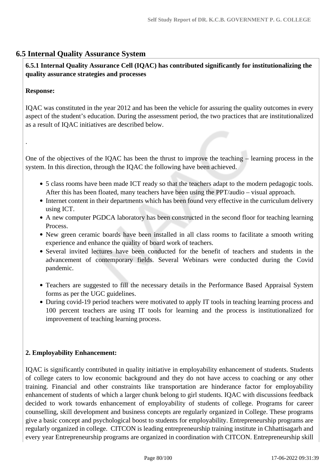## **6.5 Internal Quality Assurance System**

 **6.5.1 Internal Quality Assurance Cell (IQAC) has contributed significantly for institutionalizing the quality assurance strategies and processes**

## **Response:**

.

IQAC was constituted in the year 2012 and has been the vehicle for assuring the quality outcomes in every aspect of the student's education. During the assessment period, the two practices that are institutionalized as a result of IQAC initiatives are described below.

One of the objectives of the IQAC has been the thrust to improve the teaching – learning process in the system. In this direction, through the IQAC the following have been achieved.

- 5 class rooms have been made ICT ready so that the teachers adapt to the modern pedagogic tools. After this has been floated, many teachers have been using the PPT/audio – visual approach.
- Internet content in their departments which has been found very effective in the curriculum delivery using ICT.
- A new computer PGDCA laboratory has been constructed in the second floor for teaching learning Process.
- New green ceramic boards have been installed in all class rooms to facilitate a smooth writing experience and enhance the quality of board work of teachers.
- Several invited lectures have been conducted for the benefit of teachers and students in the advancement of contemporary fields. Several Webinars were conducted during the Covid pandemic.
- Teachers are suggested to fill the necessary details in the Performance Based Appraisal System forms as per the UGC guidelines.
- During covid-19 period teachers were motivated to apply IT tools in teaching learning process and 100 percent teachers are using IT tools for learning and the process is institutionalized for improvement of teaching learning process.

## **2. Employability Enhancement:**

IQAC is significantly contributed in quality initiative in employability enhancement of students. Students of college caters to low economic background and they do not have access to coaching or any other training. Financial and other constraints like transportation are hinderance factor for employability enhancement of students of which a larger chunk belong to girl students. IQAC with discussions feedback decided to work towards enhancement of employability of students of college. Programs for career counselling, skill development and business concepts are regularly organized in College. These programs give a basic concept and psychological boost to students for employability. Entrepreneurship programs are regularly organized in college. CITCON is leading entrepreneurship training institute in Chhattisagarh and every year Entrepreneurship programs are organized in coordination with CITCON. Entrepreneurship skill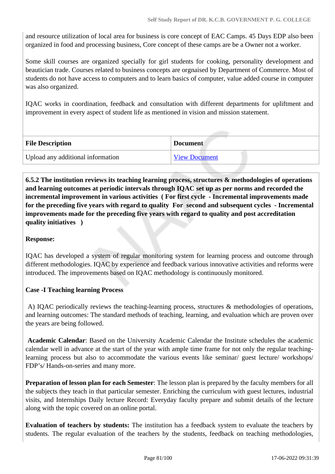and resource utilization of local area for business is core concept of EAC Camps. 45 Days EDP also been organized in food and processing business, Core concept of these camps are be a Owner not a worker.

Some skill courses are organized specially for girl students for cooking, personality development and beautician trade. Courses related to business concepts are orgnaised by Department of Commerce. Most of students do not have access to computers and to learn basics of computer, value added course in computer was also organized.

IQAC works in coordination, feedback and consultation with different departments for upliftment and improvement in every aspect of student life as mentioned in vision and mission statement.

| <b>File Description</b>           | <b>Document</b>      |
|-----------------------------------|----------------------|
| Upload any additional information | <b>View Document</b> |

 **6.5.2 The institution reviews its teaching learning process, structures & methodologies of operations and learning outcomes at periodic intervals through IQAC set up as per norms and recorded the incremental improvement in various activities ( For first cycle - Incremental improvements made for the preceding five years with regard to quality For second and subsequent cycles - Incremental improvements made for the preceding five years with regard to quality and post accreditation quality initiatives )** 

## **Response:**

IQAC has developed a system of regular monitoring system for learning process and outcome through different methodologies. IQAC by experience and feedback various innovative activities and reforms were introduced. The improvements based on IQAC methodology is continuously monitored.

## **Case -I Teaching learning Process**

 A) IQAC periodically reviews the teaching-learning process, structures & methodologies of operations, and learning outcomes: The standard methods of teaching, learning, and evaluation which are proven over the years are being followed.

**Academic Calendar**: Based on the University Academic Calendar the Institute schedules the academic calendar well in advance at the start of the year with ample time frame for not only the regular teachinglearning process but also to accommodate the various events like seminar/ guest lecture/ workshops/ FDP's/ Hands-on-series and many more.

**Preparation of lesson plan for each Semester**: The lesson plan is prepared by the faculty members for all the subjects they teach in that particular semester. Enriching the curriculum with guest lectures, industrial visits, and Internships Daily lecture Record: Everyday faculty prepare and submit details of the lecture along with the topic covered on an online portal.

**Evaluation of teachers by students:** The institution has a feedback system to evaluate the teachers by students. The regular evaluation of the teachers by the students, feedback on teaching methodologies,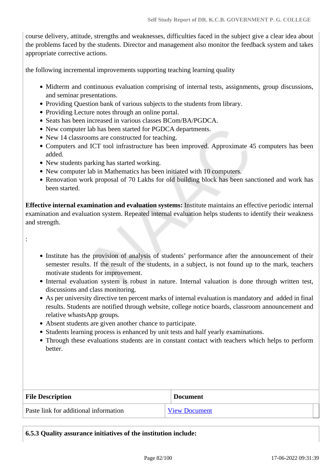course delivery, attitude, strengths and weaknesses, difficulties faced in the subject give a clear idea about the problems faced by the students. Director and management also monitor the feedback system and takes appropriate corrective actions.

the following incremental improvements supporting teaching learning quality

- Midterm and continuous evaluation comprising of internal tests, assignments, group discussions, and seminar presentations.
- Providing Question bank of various subjects to the students from library.
- Providing Lecture notes through an online portal.
- Seats has been increased in various classes BCom/BA/PGDCA.
- New computer lab has been started for PGDCA departments.
- New 14 classrooms are constructed for teaching.
- Computers and ICT tool infrastructure has been improved. Approximate 45 computers has been added.
- New students parking has started working.

:

- New computer lab in Mathematics has been initiated with 10 computers.
- Renovation work proposal of 70 Lakhs for old building block has been sanctioned and work has been started.

**Effective internal examination and evaluation systems:** Institute maintains an effective periodic internal examination and evaluation system. Repeated internal evaluation helps students to identify their weakness and strength.

- Institute has the provision of analysis of students' performance after the announcement of their semester results. If the result of the students, in a subject, is not found up to the mark, teachers motivate students for improvement.
- Internal evaluation system is robust in nature. Internal valuation is done through written test, discussions and class monitoring.
- As per university directive ten percent marks of internal evaluation is mandatory and added in final results. Students are notified through website, college notice boards, classroom announcement and relative whastsApp groups.
- Absent students are given another chance to participate.
- Students learning process is enhanced by unit tests and half yearly examinations.
- Through these evaluations students are in constant contact with teachers which helps to perform better.

| <b>File Description</b>               | <b>Document</b>      |
|---------------------------------------|----------------------|
| Paste link for additional information | <b>View Document</b> |

| 6.5.3 Quality assurance initiatives of the institution include: |  |  |  |
|-----------------------------------------------------------------|--|--|--|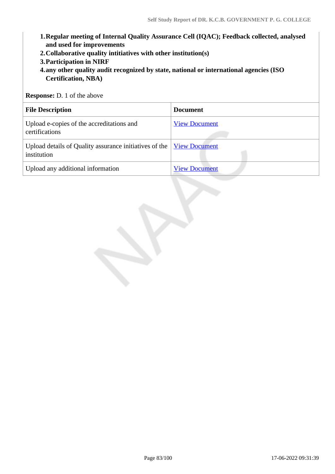- **1.Regular meeting of Internal Quality Assurance Cell (IQAC); Feedback collected, analysed and used for improvements**
- **2.Collaborative quality intitiatives with other institution(s)**
- **3.Participation in NIRF**
- **4.any other quality audit recognized by state, national or international agencies (ISO Certification, NBA)**

**Response:** D. 1 of the above

| <b>File Description</b>                                               | <b>Document</b>      |
|-----------------------------------------------------------------------|----------------------|
| Upload e-copies of the accreditations and<br>certifications           | <b>View Document</b> |
| Upload details of Quality assurance initiatives of the<br>institution | <b>View Document</b> |
| Upload any additional information                                     | <b>View Document</b> |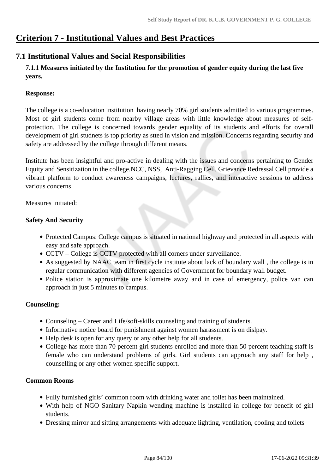## **Criterion 7 - Institutional Values and Best Practices**

## **7.1 Institutional Values and Social Responsibilities**

 **7.1.1 Measures initiated by the Institution for the promotion of gender equity during the last five years.**

## **Response:**

The college is a co-education institution having nearly 70% girl students admitted to various programmes. Most of girl students come from nearby village areas with little knowledge about measures of selfprotection. The college is concerned towards gender equality of its students and efforts for overall development of girl studnets is top priority as stted in vision and mission. Concerns regarding security and safety are addressed by the college through different means.

Institute has been insightful and pro-active in dealing with the issues and concerns pertaining to Gender Equity and Sensitization in the college.NCC, NSS, Anti-Ragging Cell, Grievance Redressal Cell provide a vibrant platform to conduct awareness campaigns, lectures, rallies, and interactive sessions to address various concerns.

Measures initiated:

## **Safety And Security**

- Protected Campus: College campus is situated in national highway and protected in all aspects with easy and safe approach.
- CCTV College is CCTV protected with all corners under surveillance.
- As suggested by NAAC team in first cycle institute about lack of boundary wall , the college is in regular communication with different agencies of Government for boundary wall budget.
- Police station is approximate one kilometre away and in case of emergency, police van can approach in just 5 minutes to campus.

## **Counseling:**

- Counseling Career and Life/soft-skills counseling and training of students.
- Informative notice board for punishment against women harassment is on dislpay.
- Help desk is open for any query or any other help for all students.
- College has more than 70 percent girl students enrolled and more than 50 percent teaching staff is female who can understand problems of girls. Girl students can approach any staff for help , counselling or any other women specific support.

## **Common Rooms**

- Fully furnished girls' common room with drinking water and toilet has been maintained.
- With help of NGO Sanitary Napkin wending machine is installed in college for benefit of girl students.
- Dressing mirror and sitting arrangements with adequate lighting, ventilation, cooling and toilets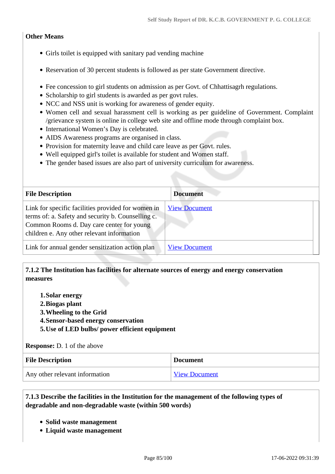## **Other Means**

- Girls toilet is equipped with sanitary pad vending machine
- Reservation of 30 percent students is followed as per state Government directive.
- Fee concession to girl students on admission as per Govt. of Chhattisagrh regulations.
- Scholarship to girl students is awarded as per govt rules.
- NCC and NSS unit is working for awareness of gender equity.
- Women cell and sexual harassment cell is working as per guideline of Government. Complaint /grievance system is online in college web site and offline mode through complaint box.
- International Women's Day is celebrated.
- AIDS Awareness programs are organised in class.
- Provision for maternity leave and child care leave as per Govt. rules.
- Well equipped girl's toilet is available for student and Women staff.
- The gender based issues are also part of university curriculum for awareness.

| <b>File Description</b>                                                                                                                                                                             | <b>Document</b>      |  |
|-----------------------------------------------------------------------------------------------------------------------------------------------------------------------------------------------------|----------------------|--|
| Link for specific facilities provided for women in<br>terms of: a. Safety and security b. Counselling c.<br>Common Rooms d. Day care center for young<br>children e. Any other relevant information | <b>View Document</b> |  |
| Link for annual gender sensitization action plan                                                                                                                                                    | <b>View Document</b> |  |

## **7.1.2 The Institution has facilities for alternate sources of energy and energy conservation measures**

- **1.Solar energy**
- **2.Biogas plant**
- **3.Wheeling to the Grid**
- **4.Sensor-based energy conservation**
- **5.Use of LED bulbs/ power efficient equipment**

## **Response:** D. 1 of the above

| <b>File Description</b>        | <b>Document</b>      |
|--------------------------------|----------------------|
| Any other relevant information | <b>View Document</b> |

## **7.1.3 Describe the facilities in the Institution for the management of the following types of degradable and non-degradable waste (within 500 words)**

- **Solid waste management**
- **Liquid waste management**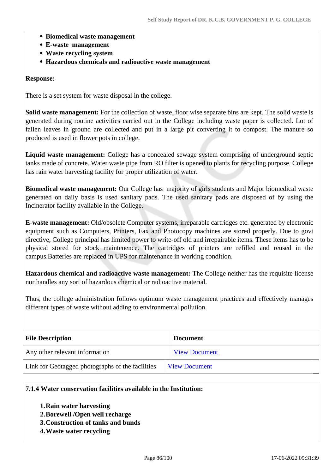- **Biomedical waste management**
- **E-waste management**
- **Waste recycling system**
- **Hazardous chemicals and radioactive waste management**

#### **Response:**

There is a set system for waste disposal in the college.

**Solid waste management:** For the collection of waste, floor wise separate bins are kept. The solid waste is generated during routine activities carried out in the College including waste paper is collected. Lot of fallen leaves in ground are collected and put in a large pit converting it to compost. The manure so produced is used in flower pots in college.

**Liquid waste management:** College has a concealed sewage system comprising of underground septic tanks made of concrete. Water waste pipe from RO filter is opened to plants for recycling purpose. College has rain water harvesting facility for proper utilization of water.

**Biomedical waste management:** Our College has majority of girls students and Major biomedical waste generated on daily basis is used sanitary pads. The used sanitary pads are disposed of by using the Incinerator facility available in the College.

**E-waste management:** Old/obsolete Computer systems, irreparable cartridges etc. generated by electronic equipment such as Computers, Printers, Fax and Photocopy machines are stored properly. Due to govt directive, College principal has limited power to write-off old and irrepairable items. These items has to be physical stored for stock maintenence. The cartridges of printers are refilled and reused in the campus.Batteries are replaced in UPS for maintenance in working condition.

**Hazardous chemical and radioactive waste management:** The College neither has the requisite license nor handles any sort of hazardous chemical or radioactive material.

Thus, the college administration follows optimum waste management practices and effectively manages different types of waste without adding to environmental pollution.

| <b>File Description</b>                          | <b>Document</b>      |  |
|--------------------------------------------------|----------------------|--|
| Any other relevant information                   | <b>View Document</b> |  |
| Link for Geotagged photographs of the facilities | <b>View Document</b> |  |

#### **7.1.4 Water conservation facilities available in the Institution:**

- **1.Rain water harvesting**
- **2.Borewell /Open well recharge**
- **3.Construction of tanks and bunds**
- **4.Waste water recycling**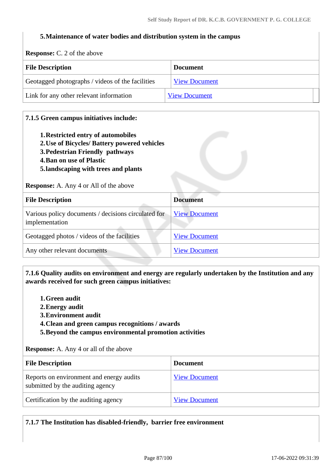#### **5.Maintenance of water bodies and distribution system in the campus**

**Response:** C. 2 of the above

| <b>File Description</b>                          | <b>Document</b>      |  |
|--------------------------------------------------|----------------------|--|
| Geotagged photographs / videos of the facilities | <b>View Document</b> |  |
| Link for any other relevant information          | <b>View Document</b> |  |

#### **7.1.5 Green campus initiatives include:**

- **1.Restricted entry of automobiles**
- **2.Use of Bicycles/ Battery powered vehicles**
- **3.Pedestrian Friendly pathways**
- **4.Ban on use of Plastic**
- **5.landscaping with trees and plants**

**Response:** A. Any 4 or All of the above

| <b>File Description</b>                                               | <b>Document</b>      |
|-----------------------------------------------------------------------|----------------------|
| Various policy documents / decisions circulated for<br>implementation | <b>View Document</b> |
| Geotagged photos / videos of the facilities                           | <b>View Document</b> |
| Any other relevant documents                                          | <b>View Document</b> |

## **7.1.6 Quality audits on environment and energy are regularly undertaken by the Institution and any awards received for such green campus initiatives:**

- **1.Green audit**
- **2.Energy audit**
- **3.Environment audit**
- **4.Clean and green campus recognitions / awards**
- **5.Beyond the campus environmental promotion activities**

**Response:** A. Any 4 or all of the above

| <b>File Description</b>                                                      | <b>Document</b>      |
|------------------------------------------------------------------------------|----------------------|
| Reports on environment and energy audits<br>submitted by the auditing agency | <b>View Document</b> |
| Certification by the auditing agency                                         | <b>View Document</b> |

**7.1.7 The Institution has disabled-friendly, barrier free environment**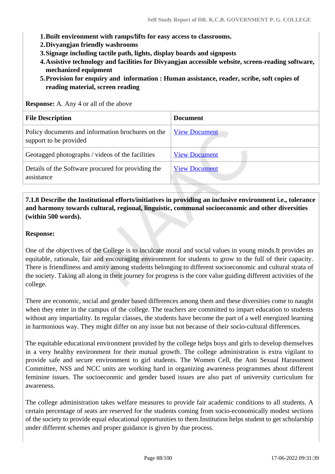- **1.Built environment with ramps/lifts for easy access to classrooms.**
- **2.Divyangjan friendly washrooms**
- **3.Signage including tactile path, lights, display boards and signposts**
- **4.Assistive technology and facilities for Divyangjan accessible website, screen-reading software, mechanized equipment**
- **5.Provision for enquiry and information : Human assistance, reader, scribe, soft copies of reading material, screen reading**

| <b>File Description</b>                                                     | <b>Document</b>      |
|-----------------------------------------------------------------------------|----------------------|
| Policy documents and information brochures on the<br>support to be provided | <b>View Document</b> |
| Geotagged photographs / videos of the facilities                            | <b>View Document</b> |
| Details of the Software procured for providing the<br>assistance            | <b>View Document</b> |

**Response:** A. Any 4 or all of the above

 **7.1.8 Describe the Institutional efforts/initiatives in providing an inclusive environment i.e., tolerance and harmony towards cultural, regional, linguistic, communal socioeconomic and other diversities (within 500 words).**

#### **Response:**

One of the objectives of the College is to inculcate moral and social values in young minds.It provides an equitable, rationale, fair and encouraging environment for students to grow to the full of their capacity. There is friendliness and amity among students belonging to different socioeconomic and cultural strata of the society. Taking all along in their journey for progress is the core value guiding different activities of the college.

There are economic, social and gender based differences among them and these diversities come to naught when they enter in the campus of the college. The teachers are committed to impart education to students without any impartiality. In regular classes, the students have become the part of a well energized learning in harmonious way. They might differ on any issue but not because of their socio-cultural differences.

The equitable educational environment provided by the college helps boys and girls to develop themselves in a very healthy environment for their mutual growth. The college administration is extra vigilant to provide safe and secure environment to girl students. The Women Cell, the Anti Sexual Harassment Committee, NSS and NCC units are working hard in organizing awareness programmes about different feminine issues. The socioeconmic and gender based issues are also part of university curriculum for awareness.

The college administration takes welfare measures to provide fair academic conditions to all students. A certain percentage of seats are reserved for the students coming from socio-economically modest sections of the society to provide equal educational opportunities to them.Institution helps student to get scholarship under different schemes and proper guidance is given by due process.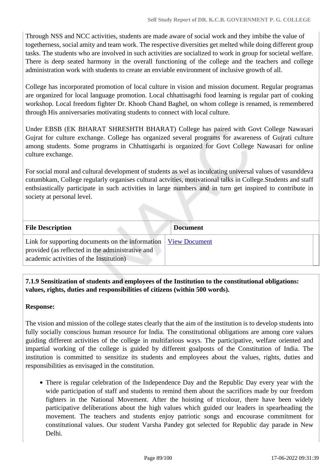Through NSS and NCC activities, students are made aware of social work and they imbibe the value of togetherness, social amity and team work. The respective diversities get melted while doing different group tasks. The students who are involved in such activities are socialized to work in group for societal welfare. There is deep seated harmony in the overall functioning of the college and the teachers and college administration work with students to create an enviable environment of inclusive growth of all.

College has incorporated promotion of local culture in vision and mission document. Regular programas are organized for local language promotion. Local chhattisagrhi food learning is regular part of cooking workshop. Local freedom fighter Dr. Khoob Chand Baghel, on whom college is renamed, is remembered through His anniversaries motivating students to connect with local culture.

Under EBSB (EK BHARAT SHRESHTH BHARAT) College has paired with Govt College Nawasari Gujrat for culture exchange. College has organized several programs for awareness of Gujrati culture among students. Some programs in Chhattisgarhi is organized for Govt College Nawasari for online culture exchange.

For social moral and cultural development of students as wel as inculcating universal values of vasunddeva cutumbkam, College regularly organises cultural actvities, motivational talks in College.Students and staff enthsiastically participate in such activities in large numbers and in turn get inspired to contribute in society at personal level.

| <b>File Description</b>                                                                                                                         | <b>Document</b>      |
|-------------------------------------------------------------------------------------------------------------------------------------------------|----------------------|
| Link for supporting documents on the information<br>provided (as reflected in the administrative and<br>academic activities of the Institution) | <b>View Document</b> |

## **7.1.9 Sensitization of students and employees of the Institution to the constitutional obligations: values, rights, duties and responsibilities of citizens (within 500 words).**

## **Response:**

The vision and mission of the college states clearly that the aim of the institution is to develop students into fully socially conscious human resource for India. The constitutional obligations are among core values guiding different activities of the college in multifarious ways. The participative, welfare oriented and impartial working of the college is guided by different goalposts of the Constitution of India. The institution is committed to sensitize its students and employees about the values, rights, duties and responsibilities as envisaged in the constitution.

There is regular celebration of the Independence Day and the Republic Day every year with the wide participation of staff and students to remind them about the sacrifices made by our freedom fighters in the National Movement. After the hoisting of tricolour, there have been widely participative deliberations about the high values which guided our leaders in spearheading the movement. The teachers and students enjoy patriotic songs and encourase commitment for constitutional values. Our student Varsha Pandey got selected for Republic day parade in New Delhi.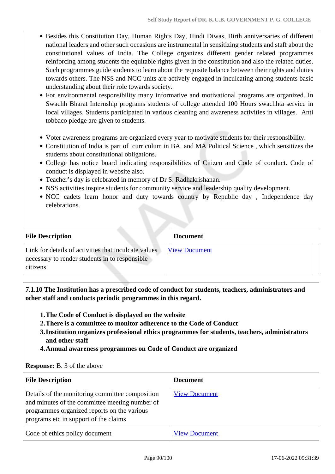- Besides this Constitution Day, Human Rights Day, Hindi Diwas, Birth anniversaries of different national leaders and other such occasions are instrumental in sensitizing students and staff about the constitutional values of India. The College organizes different gender related programmes reinforcing among students the equitable rights given in the constitution and also the related duties. Such programmes guide students to learn about the requisite balance between their rights and duties towards others. The NSS and NCC units are actively engaged in inculcating among students basic understanding about their role towards society.
- For environmental responsibility many informative and motivational programs are organized. In Swachh Bharat Internship programs students of college attended 100 Hours swachhta service in local villages. Students participated in various cleaning and awareness activities in villages. Anti tobbaco pledge are given to students.
- Voter awareness programs are organized every year to motivate students for their responsibility.
- Constitution of India is part of curriculum in BA and MA Political Science , which sensitizes the students about constitutional obligations.
- College has notice board indicating responsibilities of Citizen and Code of conduct. Code of conduct is displayed in website also.
- Teacher's day is celebrated in memory of Dr S. Radhakrishanan.
- NSS activities inspire students for community service and leadership quality development.
- NCC cadets learn honor and duty towards country by Republic day, Independence day celebrations.

| <b>File Description</b>                                                                                            | <b>Document</b>      |
|--------------------------------------------------------------------------------------------------------------------|----------------------|
| Link for details of activities that inculcate values<br>necessary to render students in to responsible<br>citizens | <b>View Document</b> |

 **7.1.10 The Institution has a prescribed code of conduct for students, teachers, administrators and other staff and conducts periodic programmes in this regard.** 

- **1.The Code of Conduct is displayed on the website**
- **2.There is a committee to monitor adherence to the Code of Conduct**
- **3.Institution organizes professional ethics programmes for students, teachers, administrators and other staff**
- **4.Annual awareness programmes on Code of Conduct are organized**

## **Response:** B. 3 of the above

| <b>File Description</b>                                                                                                                                                                   | <b>Document</b>      |
|-------------------------------------------------------------------------------------------------------------------------------------------------------------------------------------------|----------------------|
| Details of the monitoring committee composition<br>and minutes of the committee meeting number of<br>programmes organized reports on the various<br>programs etc in support of the claims | <b>View Document</b> |
| Code of ethics policy document                                                                                                                                                            | <b>View Document</b> |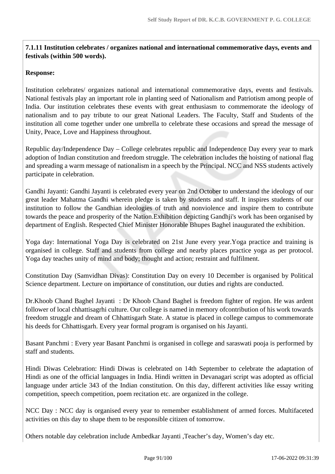## **7.1.11 Institution celebrates / organizes national and international commemorative days, events and festivals (within 500 words).**

#### **Response:**

Institution celebrates/ organizes national and international commemorative days, events and festivals. National festivals play an important role in planting seed of Nationalism and Patriotism among people of India. Our institution celebrates these events with great enthusiasm to commemorate the ideology of nationalism and to pay tribute to our great National Leaders. The Faculty, Staff and Students of the institution all come together under one umbrella to celebrate these occasions and spread the message of Unity, Peace, Love and Happiness throughout.

Republic day/Independence Day – College celebrates republic and Independence Day every year to mark adoption of Indian constitution and freedom struggle. The celebration includes the hoisting of national flag and spreading a warm message of nationalism in a speech by the Principal. NCC and NSS students actively participate in celebration.

Gandhi Jayanti: Gandhi Jayanti is celebrated every year on 2nd October to understand the ideology of our great leader Mahatma Gandhi wherein pledge is taken by students and staff. It inspires students of our institution to follow the Gandhian ideologies of truth and nonviolence and inspire them to contribute towards the peace and prosperity of the Nation.Exhibition depicting Gandhji's work has been organised by department of English. Respected Chief Minister Honorable Bhupes Baghel inaugurated the exhibition.

Yoga day: International Yoga Day is celebrated on 21st June every year.Yoga practice and training is organised in college. Staff and students from college and nearby places practice yoga as per protocol. Yoga day teaches unity of mind and body; thought and action; restraint and fulfilment.

Constitution Day (Samvidhan Divas): Constitution Day on every 10 December is organised by Political Science department. Lecture on importance of constitution, our duties and rights are conducted.

Dr.Khoob Chand Baghel Jayanti : Dr Khoob Chand Baghel is freedom fighter of region. He was ardent follower of local chhattisagrhi culture. Our college is named in memory ofcontribution of his work towards freedom struggle and dream of Chhattisgarh State. A statue is placed in college campus to commemorate his deeds for Chhattisgarh. Every year formal program is organised on his Jayanti.

Basant Panchmi : Every year Basant Panchmi is organised in college and saraswati pooja is performed by staff and students.

Hindi Diwas Celebration: Hindi Diwas is celebrated on 14th September to celebrate the adaptation of Hindi as one of the official languages in India. Hindi written in Devanagari script was adopted as official language under article 343 of the Indian constitution. On this day, different activities like essay writing competition, speech competition, poem recitation etc. are organized in the college.

NCC Day : NCC day is organised every year to remember establishment of armed forces. Multifaceted activities on this day to shape them to be responsible citizen of tomorrow.

Others notable day celebration include Ambedkar Jayanti ,Teacher's day, Women's day etc.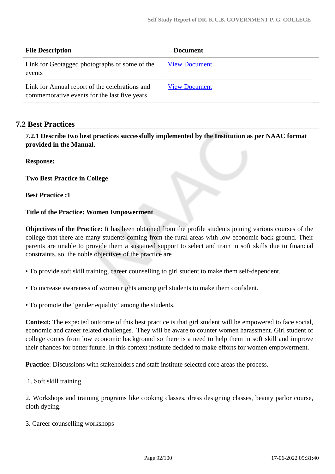| <b>File Description</b>                                                                        | <b>Document</b>      |  |
|------------------------------------------------------------------------------------------------|----------------------|--|
| Link for Geotagged photographs of some of the<br>events                                        | <b>View Document</b> |  |
| Link for Annual report of the celebrations and<br>commemorative events for the last five years | <b>View Document</b> |  |

## **7.2 Best Practices**

 **7.2.1 Describe two best practices successfully implemented by the Institution as per NAAC format provided in the Manual.**

**Response:** 

**Two Best Practice in College**

**Best Practice :1** 

**Title of the Practice: Women Empowerment**

**Objectives of the Practice:** It has been obtained from the profile students joining various courses of the college that there are many students coming from the rural areas with low economic back ground. Their parents are unable to provide them a sustained support to select and train in soft skills due to financial constraints. so, the noble objectives of the practice are

• To provide soft skill training, career counselling to girl student to make them self-dependent.

• To increase awareness of women rights among girl students to make them confident.

• To promote the 'gender equality' among the students.

**Context:** The expected outcome of this best practice is that girl student will be empowered to face social, economic and career related challenges. They will be aware to counter women harassment. Girl student of college comes from low economic background so there is a need to help them in soft skill and improve their chances for better future. In this context institute decided to make efforts for women empowerment.

**Practice**: Discussions with stakeholders and staff institute selected core areas the process.

1. Soft skill training

2. Workshops and training programs like cooking classes, dress designing classes, beauty parlor course, cloth dyeing.

3. Career counselling workshops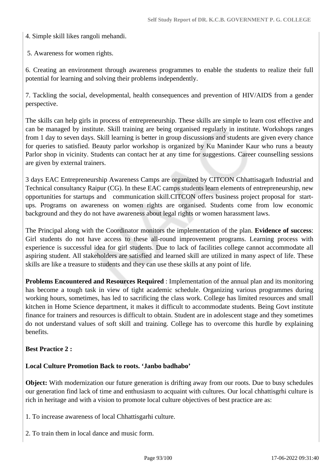4. Simple skill likes rangoli mehandi.

5. Awareness for women rights.

6. Creating an environment through awareness programmes to enable the students to realize their full potential for learning and solving their problems independently.

7. Tackling the social, developmental, health consequences and prevention of HIV/AIDS from a gender perspective.

The skills can help girls in process of entrepreneurship. These skills are simple to learn cost effective and can be managed by institute. Skill training are being organised regularly in institute. Workshops ranges from 1 day to seven days. Skill learning is better in group discussions and students are given every chance for queries to satisfied. Beauty parlor workshop is organized by Ku Maninder Kaur who runs a beauty Parlor shop in vicinity. Students can contact her at any time for suggestions. Career counselling sessions are given by external trainers.

3 days EAC Entrepreneurship Awareness Camps are organized by CITCON Chhattisagarh Industrial and Technical consultancy Raipur (CG). In these EAC camps students learn elements of entrepreneurship, new opportunities for startups and communication skill.CITCON offers business project proposal for startups. Programs on awareness on women rights are organised. Students come from low economic background and they do not have awareness about legal rights or women harassment laws.

The Principal along with the Coordinator monitors the implementation of the plan. **Evidence of success**: Girl students do not have access to these all-round improvement programs. Learning process with experience is successful idea for girl students. Due to lack of facilities college cannot accommodate all aspiring student. All stakeholders are satisfied and learned skill are utilized in many aspect of life. These skills are like a treasure to students and they can use these skills at any point of life.

**Problems Encountered and Resources Required** : Implementation of the annual plan and its monitoring has become a tough task in view of tight academic schedule. Organizing various programmes during working hours, sometimes, has led to sacrificing the class work. College has limited resources and small kitchen in Home Science department, it makes it difficult to accommodate students. Being Govt institute finance for trainers and resources is difficult to obtain. Student are in adolescent stage and they sometimes do not understand values of soft skill and training. College has to overcome this hurdle by explaining benefits.

## **Best Practice 2 :**

#### **Local Culture Promotion Back to roots. 'Janbo badhabo'**

**Object:** With modernization our future generation is drifting away from our roots. Due to busy schedules our generation find lack of time and enthusiasm to acquaint with cultures. Our local chhattisgrhi culture is rich in heritage and with a vision to promote local culture objectives of best practice are as:

1. To increase awareness of local Chhattisgarhi culture.

2. To train them in local dance and music form.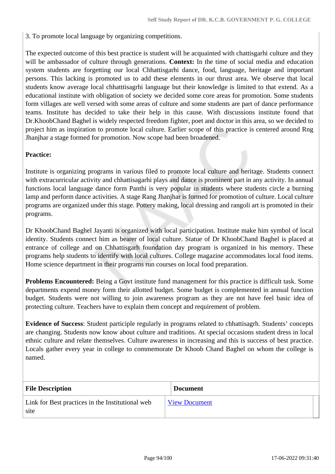3. To promote local language by organizing competitions.

The expected outcome of this best practice is student will be acquainted with chattisgarhi culture and they will be ambassador of culture through generations. **Context:** In the time of social media and education system students are forgetting our local Chhattisgarhi dance, food, language, heritage and important persons. This lacking is promoted us to add these elements in our thrust area. We observe that local students know average local chhatttisagrhi language but their knowledge is limited to that extend. As a educational institute with obligation of society we decided some core areas for promotion. Some students form villages are well versed with some areas of culture and some students are part of dance performance teams. Institute has decided to take their help in this cause. With discussions institute found that Dr.KhoobChand Baghel is widely respected freedom fighter, poet and doctor in this area, so we decided to project him as inspiration to promote local culture. Earlier scope of this practice is centered around Rng Jhanjhar a stage formed for promotion. Now scope had been broadened.

#### **Practice:**

Institute is organizing programs in various filed to promote local culture and heritage. Students connect with extracurricular activity and chhattisagarhi plays and dance is prominent part in any activity. In annual functions local language dance form Panthi is very popular in students where students circle a burning lamp and perform dance activities. A stage Rang Jhanjhar is formed for promotion of culture. Local culture programs are organized under this stage. Pottery making, local dressing and rangoli art is promoted in their programs.

Dr KhoobChand Baghel Jayanti is organized with local participation. Institute make him symbol of local identity. Students connect him as bearer of local culture. Statue of Dr KhoobChand Baghel is placed at entrance of college and on Chhattisgarh foundation day program is organized in his memory. These programs help students to identify with local cultures. College magazine accommodates local food items. Home science department in their programs run courses on local food preparation.

**Problems Encountered:** Being a Govt institute fund management for this practice is difficult task. Some departments expend money form their allotted budget. Some budget is complemented in annual function budget. Students were not willing to join awareness program as they are not have feel basic idea of protecting culture. Teachers have to explain them concept and requirement of problem.

**Evidence of Success**: Student participle regularly in programs related to chhattisagrh. Students' concepts are changing. Students now know about culture and traditions. At special occasions student dress in local ethnic culture and relate themselves. Culture awareness in increasing and this is success of best practice. Locals gather every year in college to commemorate Dr Khoob Chand Baghel on whom the college is named.

| <b>File Description</b>                                  | <b>Document</b>      |
|----------------------------------------------------------|----------------------|
| Link for Best practices in the Institutional web<br>site | <b>View Document</b> |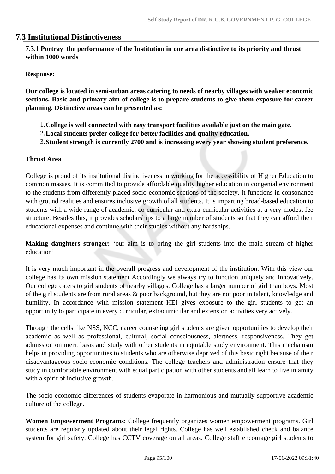## **7.3 Institutional Distinctiveness**

 **7.3.1 Portray the performance of the Institution in one area distinctive to its priority and thrust within 1000 words**

## **Response:**

**Our college is located in semi-urban areas catering to needs of nearby villages with weaker economic sections. Basic and primary aim of college is to prepare students to give them exposure for career planning. Distinctive areas can be presented as:**

- 1.**College is well connected with easy transport facilities available just on the main gate.**
- 2.**Local students prefer college for better facilities and quality education.**
- 3.**Student strength is currently 2700 and is increasing every year showing student preference.**

#### **Thrust Area**

College is proud of its institutional distinctiveness in working for the accessibility of Higher Education to common masses. It is committed to provide affordable quality higher education in congenial environment to the students from differently placed socio-economic sections of the society. It functions in consonance with ground realities and ensures inclusive growth of all students. It is imparting broad-based education to students with a wide range of academic, co-curricular and extra-curricular activities at a very modest fee structure. Besides this, it provides scholarships to a large number of students so that they can afford their educational expenses and continue with their studies without any hardships.

**Making daughters stronger:** 'our aim is to bring the girl students into the main stream of higher education'

It is very much important in the overall progress and development of the institution. With this view our college has its own mission statement Accordingly we always try to function uniquely and innovatively. Our college caters to girl students of nearby villages. College has a larger number of girl than boys. Most of the girl students are from rural areas & poor background, but they are not poor in talent, knowledge and humility. In accordance with mission statement HEI gives exposure to the girl students to get an opportunity to participate in every curricular, extracurricular and extension activities very actively.

Through the cells like NSS, NCC, career counseling girl students are given opportunities to develop their academic as well as professional, cultural, social consciousness, alertness, responsiveness. They get admission on merit basis and study with other students in equitable study environment. This mechanism helps in providing opportunities to students who are otherwise deprived of this basic right because of their disadvantageous socio-economic conditions. The college teachers and administration ensure that they study in comfortable environment with equal participation with other students and all learn to live in amity with a spirit of inclusive growth.

The socio-economic differences of students evaporate in harmonious and mutually supportive academic culture of the college.

**Women Empowerment Programs**: College frequently organizes women empowerment programs. Girl students are regularly updated about their legal rights. College has well established check and balance system for girl safety. College has CCTV coverage on all areas. College staff encourage girl students to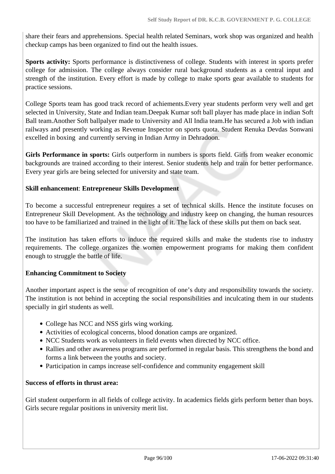share their fears and apprehensions. Special health related Seminars, work shop was organized and health checkup camps has been organized to find out the health issues.

**Sports activity:** Sports performance is distinctiveness of college. Students with interest in sports prefer college for admission. The college always consider rural background students as a central input and strength of the institution. Every effort is made by college to make sports gear available to students for practice sessions.

College Sports team has good track record of achiements.Every year students perform very well and get selected in University, State and Indian team.Deepak Kumar soft ball player has made place in indian Soft Ball team.Another Soft ballpalyer made to University and All India team.He has secured a Job with indian railways and presently working as Revenue Inspector on sports quota. Student Renuka Devdas Sonwani excelled in boxing and currently serving in Indian Army in Dehradoon.

**Girls Performance in sports:** Girls outperform in numbers is sports field. Girls from weaker economic backgrounds are trained according to their interest. Senior students help and train for better performance. Every year girls are being selected for university and state team.

## **Skill enhancement**: **Entrepreneur Skills Development**

To become a successful entrepreneur requires a set of technical skills. Hence the institute focuses on Entrepreneur Skill Development. As the technology and industry keep on changing, the human resources too have to be familiarized and trained in the light of it. The lack of these skills put them on back seat.

The institution has taken efforts to induce the required skills and make the students rise to industry requirements. The college organizes the women empowerment programs for making them confident enough to struggle the battle of life.

## **Enhancing Commitment to Society**

Another important aspect is the sense of recognition of one's duty and responsibility towards the society. The institution is not behind in accepting the social responsibilities and inculcating them in our students specially in girl students as well.

- College has NCC and NSS girls wing working.
- Activities of ecological concerns, blood donation camps are organized.
- NCC Students work as volunteers in field events when directed by NCC office.
- Rallies and other awareness programs are performed in regular basis. This strengthens the bond and forms a link between the youths and society.
- Participation in camps increase self-confidence and community engagement skill

## **Success of efforts in thrust area:**

Girl student outperform in all fields of college activity. In academics fields girls perform better than boys. Girls secure regular positions in university merit list.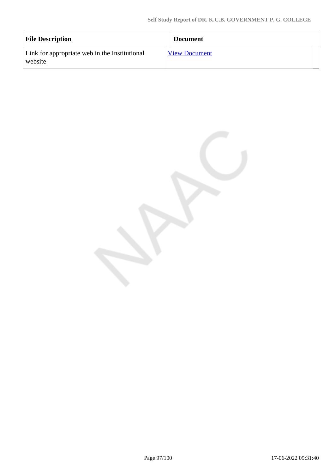| <b>File Description</b>                                  | <b>Document</b>      |
|----------------------------------------------------------|----------------------|
| Link for appropriate web in the Institutional<br>website | <b>View Document</b> |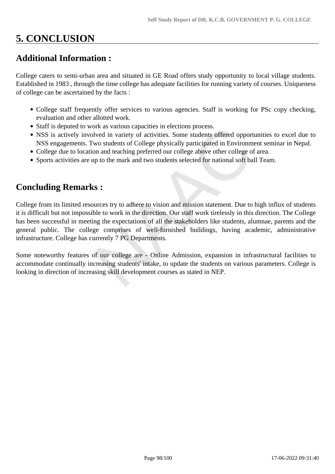# **5. CONCLUSION**

## **Additional Information :**

College caters to semi-urban area and situated in GE Road offers study opportunity to local village students. Established in 1983 , through the time college has adequate facilities for running variety of courses. Uniqueness of college can be ascertained by the facts :

- College staff frequently offer services to various agencies. Staff is working for PSc copy checking, evaluation and other allotted work.
- Staff is deputed to work as various capacities in elections process.
- NSS is actively involved in variety of activities. Some students offered opportunities to excel due to NSS engagements. Two students of College physically participated in Environment seminar in Nepal.
- College due to location and teaching preferred our college above other college of area.
- Sports activities are up to the mark and two students selected for national soft ball Team.

## **Concluding Remarks :**

College from its limited resources try to adhere to vision and mission statement. Due to high influx of students it is difficult but not impossible to work in the direction. Our staff work tirelessly in this direction. The College has been successful in meeting the expectations of all the stakeholders like students, alumnae, parents and the general public. The college comprises of well-furnished buildings, having academic, administrative infrastructure. College has currently 7 PG Departments.

Some noteworthy features of our college are - Online Admission, expansion in infrastructural facilities to accommodate continually increasing students' intake, to update the students on various parameters. College is looking in direction of increasing skill development courses as stated in NEP.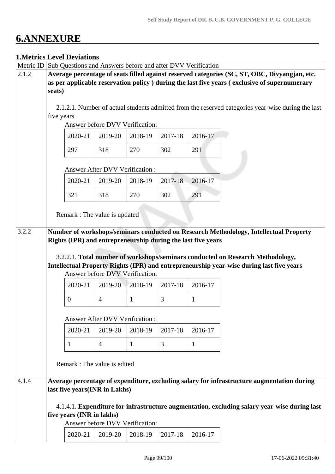# **6.ANNEXURE**

## **1.Metrics Level Deviations**

|       |            | Metric ID Sub Questions and Answers before and after DVV Verification |                                            |              |         |                                                              |                                                                                                                                                                                                |
|-------|------------|-----------------------------------------------------------------------|--------------------------------------------|--------------|---------|--------------------------------------------------------------|------------------------------------------------------------------------------------------------------------------------------------------------------------------------------------------------|
| 2.1.2 | seats)     |                                                                       |                                            |              |         |                                                              | Average percentage of seats filled against reserved categories (SC, ST, OBC, Divyangjan, etc.<br>as per applicable reservation policy ) during the last five years (exclusive of supernumerary |
|       | five years |                                                                       | Answer before DVV Verification:            |              |         |                                                              | 2.1.2.1. Number of actual students admitted from the reserved categories year-wise during the last                                                                                             |
|       |            | 2020-21                                                               | 2019-20                                    | 2018-19      | 2017-18 | 2016-17                                                      |                                                                                                                                                                                                |
|       |            | 297                                                                   | 318                                        | 270          | 302     | 291                                                          |                                                                                                                                                                                                |
|       |            |                                                                       | <b>Answer After DVV Verification:</b>      |              |         |                                                              |                                                                                                                                                                                                |
|       |            | 2020-21                                                               | 2019-20                                    | 2018-19      | 2017-18 | 2016-17                                                      |                                                                                                                                                                                                |
|       |            | 321                                                                   | 318                                        | 270          | 302     | 291                                                          |                                                                                                                                                                                                |
|       |            | Remark: The value is updated                                          |                                            |              |         |                                                              |                                                                                                                                                                                                |
|       |            |                                                                       | Answer before DVV Verification:            |              |         | Rights (IPR) and entrepreneurship during the last five years | 3.2.2.1. Total number of workshops/seminars conducted on Research Methodology,<br>Intellectual Property Rights (IPR) and entrepreneurship year-wise during last five years                     |
|       |            | 2020-21                                                               | 2019-20                                    | 2018-19      | 2017-18 | 2016-17                                                      |                                                                                                                                                                                                |
|       |            | $\theta$                                                              | $\overline{4}$                             | $\mathbf{1}$ | 3       | $\mathbf{1}$                                                 |                                                                                                                                                                                                |
|       |            |                                                                       | <b>Answer After DVV Verification:</b>      |              |         |                                                              |                                                                                                                                                                                                |
|       |            | 2020-21                                                               | 2019-20                                    | 2018-19      | 2017-18 | 2016-17                                                      |                                                                                                                                                                                                |
|       |            | 1                                                                     | $\overline{4}$                             | $\mathbf{1}$ | 3       | $\mathbf{1}$                                                 |                                                                                                                                                                                                |
|       |            | Remark: The value is edited                                           |                                            |              |         |                                                              |                                                                                                                                                                                                |
| 4.1.4 |            | last five years(INR in Lakhs)                                         |                                            |              |         |                                                              | Average percentage of expenditure, excluding salary for infrastructure augmentation during                                                                                                     |
|       |            | five years (INR in lakhs)                                             |                                            |              |         |                                                              | 4.1.4.1. Expenditure for infrastructure augmentation, excluding salary year-wise during last                                                                                                   |
|       |            | 2020-21                                                               | Answer before DVV Verification:<br>2019-20 | 2018-19      | 2017-18 | 2016-17                                                      |                                                                                                                                                                                                |
|       |            |                                                                       |                                            |              |         |                                                              |                                                                                                                                                                                                |